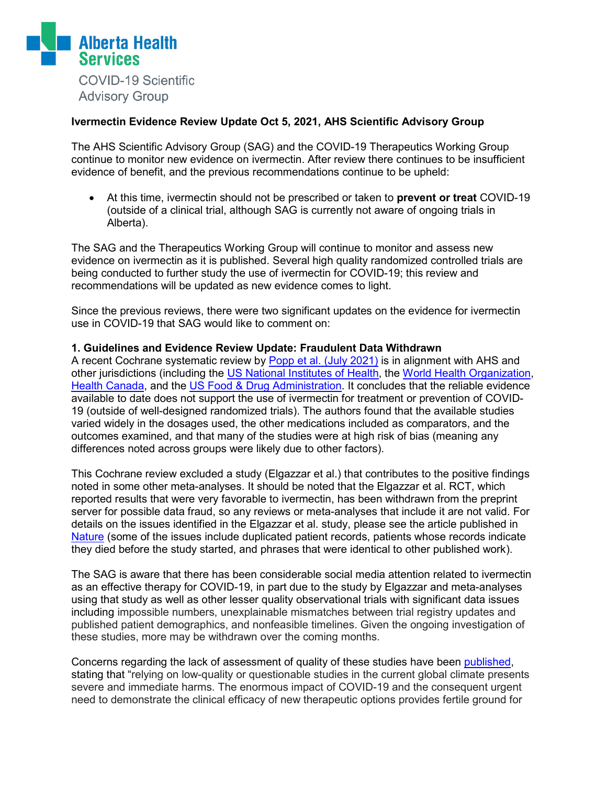

#### **Ivermectin Evidence Review Update Oct 5, 2021, AHS Scientific Advisory Group**

The AHS Scientific Advisory Group (SAG) and the COVID-19 Therapeutics Working Group continue to monitor new evidence on ivermectin. After review there continues to be insufficient evidence of benefit, and the previous recommendations continue to be upheld:

• At this time, ivermectin should not be prescribed or taken to **prevent or treat** COVID-19 (outside of a clinical trial, although SAG is currently not aware of ongoing trials in Alberta).

The SAG and the Therapeutics Working Group will continue to monitor and assess new evidence on ivermectin as it is published. Several high quality randomized controlled trials are being conducted to further study the use of ivermectin for COVID-19; this review and recommendations will be updated as new evidence comes to light.

Since the previous reviews, there were two significant updates on the evidence for ivermectin use in COVID-19 that SAG would like to comment on:

#### **1. Guidelines and Evidence Review Update: Fraudulent Data Withdrawn**

A recent Cochrane systematic review by [Popp et al. \(July 2021\)](https://www.cochranelibrary.com/cdsr/doi/10.1002/14651858.CD015017.pub2/full) is in alignment with AHS and other jurisdictions (including the [US National Institutes](https://www.covid19treatmentguidelines.nih.gov/therapies/antiviral-therapy/ivermectin/) of Health, the [World Health Organization,](https://app.magicapp.org/#/guideline/nBkO1E/section/LAQX7L) [Health Canada,](https://healthycanadians.gc.ca/recall-alert-rappel-avis/hc-sc/2021/76365a-eng.php) and the [US Food & Drug Administration.](https://www.fda.gov/consumers/consumer-updates/why-you-should-not-use-ivermectin-treat-or-prevent-covid-19) It concludes that the reliable evidence available to date does not support the use of ivermectin for treatment or prevention of COVID-19 (outside of well-designed randomized trials). The authors found that the available studies varied widely in the dosages used, the other medications included as comparators, and the outcomes examined, and that many of the studies were at high risk of bias (meaning any differences noted across groups were likely due to other factors).

This Cochrane review excluded a study (Elgazzar et al.) that contributes to the positive findings noted in some other meta-analyses. It should be noted that the Elgazzar et al. RCT, which reported results that were very favorable to ivermectin, has been withdrawn from the preprint server for possible data fraud, so any reviews or meta-analyses that include it are not valid. For details on the issues identified in the Elgazzar et al. study, please see the article published in [Nature](https://www.nature.com/articles/d41586-021-02081-w) (some of the issues include duplicated patient records, patients whose records indicate they died before the study started, and phrases that were identical to other published work).

The SAG is aware that there has been considerable social media attention related to ivermectin as an effective therapy for COVID-19, in part due to the study by Elgazzar and meta-analyses using that study as well as other lesser quality observational trials with significant data issues including impossible numbers, unexplainable mismatches between trial registry updates and published patient demographics, and nonfeasible timelines. Given the ongoing investigation of these studies, more may be withdrawn over the coming months.

Concerns regarding the lack of assessment of quality of these studies have been [published,](https://www.nature.com/articles/s41591-021-01535-y) stating that "relying on low-quality or questionable studies in the current global climate presents severe and immediate harms. The enormous impact of COVID-19 and the consequent urgent need to demonstrate the clinical efficacy of new therapeutic options provides fertile ground for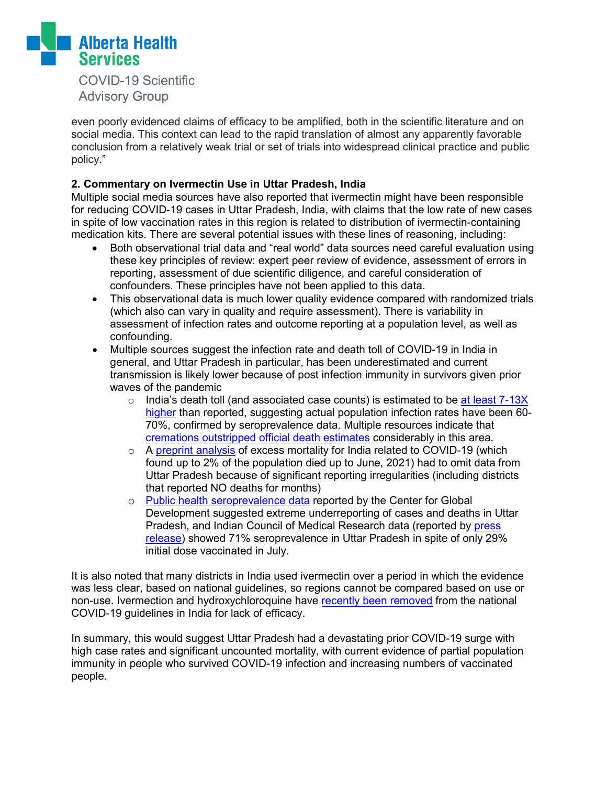

**COVID-19 Scientific Advisory Group** 

even poorly evidenced claims of efficacy to be amplified, both in the scientific literature and on social media. This context can lead to the rapid translation of almost any apparently favorable conclusion from a relatively weak trial or set of trials into widespread clinical practice and public policy."

#### **2. Commentary on Ivermectin Use in Uttar Pradesh, India**

Multiple social media sources have also reported that ivermectin might have been responsible for reducing COVID-19 cases in Uttar Pradesh, India, with claims that the low rate of new cases in spite of low vaccination rates in this region is related to distribution of ivermectin-containing medication kits. There are several potential issues with these lines of reasoning, including:

- Both observational trial data and "real world" data sources need careful evaluation using these key principles of review: expert peer review of evidence, assessment of errors in reporting, assessment of due scientific diligence, and careful consideration of confounders. These principles have not been applied to this data.
- This observational data is much lower quality evidence compared with randomized trials (which also can vary in quality and require assessment). There is variability in assessment of infection rates and outcome reporting at a population level, as well as confounding.
- Multiple sources suggest the infection rate and death toll of COVID-19 in India in general, and Uttar Pradesh in particular, has been underestimated and current transmission is likely lower because of post infection immunity in survivors given prior waves of the pandemic
	- $\circ$  India's death toll (and associated case counts) is estimated to be at least 7-13X [higher](https://www.medrxiv.org/content/10.1101/2021.09.30.21264376v1) than reported, suggesting actual population infection rates have been 60- 70%, confirmed by seroprevalence data. Multiple resources indicate that [cremations outstripped official death estimates](https://science.thewire.in/uncategorised/varanasi-about-half-of-covid-19-deaths-at-crematoria-graveyards-not-recorded/) considerably in this area.
	- o A [preprint analysis](https://www.medrxiv.org/content/10.1101/2021.08.04.21261604v1.full) of excess mortality for India related to COVID-19 (which found up to 2% of the population died up to June, 2021) had to omit data from Uttar Pradesh because of significant reporting irregularities (including districts that reported NO deaths for months)
	- o [Public health seroprevalence data](https://cgdev.org/publication/three-new-estimates-indias-all-cause-excess-mortality-during-covid-19-pandemic) reported by the Center for Global Development suggested extreme underreporting of cases and deaths in Uttar Pradesh, and Indian Council of Medical Research data (reported by [press](https://timesofindia.indiatimes.com/india/two-third-of-population-surveyed-in-11-states-have-coronavirus-antibodies-icmr-serosurvey/articleshow/84829729.cms)  [release\)](https://timesofindia.indiatimes.com/india/two-third-of-population-surveyed-in-11-states-have-coronavirus-antibodies-icmr-serosurvey/articleshow/84829729.cms) showed 71% seroprevalence in Uttar Pradesh in spite of only 29% initial dose vaccinated in July.

It is also noted that many districts in India used ivermectin over a period in which the evidence was less clear, based on national guidelines, so regions cannot be compared based on use or non-use. Ivermection and hydroxychloroquine have [recently been removed](https://www.indiatoday.in/coronavirus-outbreak/story/why-hcq-ivermectin-dropped-india-covid-treatment-protocol-1857306-2021-09-26) from the national COVID-19 guidelines in India for lack of efficacy.

In summary, this would suggest Uttar Pradesh had a devastating prior COVID-19 surge with high case rates and significant uncounted mortality, with current evidence of partial population immunity in people who survived COVID-19 infection and increasing numbers of vaccinated people.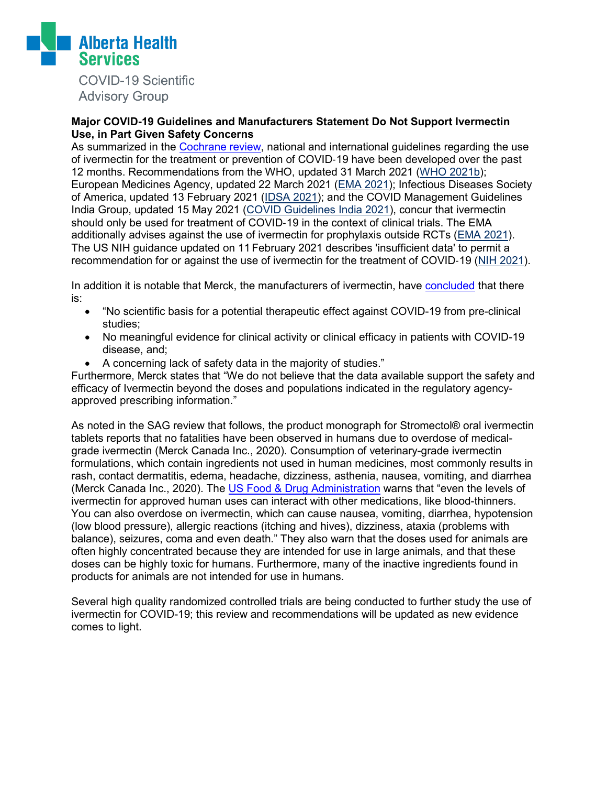

**COVID-19 Scientific Advisory Group** 

#### **Major COVID-19 Guidelines and Manufacturers Statement Do Not Support Ivermectin Use, in Part Given Safety Concerns**

As summarized in the [Cochrane review,](https://www.cochranelibrary.com/cdsr/doi/10.1002/14651858.CD015017.pub2/full) national and international guidelines regarding the use of ivermectin for the treatment or prevention of COVID‐19 have been developed over the past 12 months. Recommendations from the WHO, updated 31 March 2021 [\(WHO 2021b\)](https://www.cochranelibrary.com/cdsr/doi/10.1002/14651858.CD015017.pub2/references#CD015017-bbs2-0165); European Medicines Agency, updated 22 March 2021 [\(EMA 2021\)](https://www.cochranelibrary.com/cdsr/doi/10.1002/14651858.CD015017.pub2/references#CD015017-bbs2-0117); Infectious Diseases Society of America, updated 13 February 2021 [\(IDSA 2021\)](https://www.cochranelibrary.com/cdsr/doi/10.1002/14651858.CD015017.pub2/references#CD015017-bbs2-0131); and the COVID Management Guidelines India Group, updated 15 May 2021 [\(COVID Guidelines India 2021\)](https://www.cochranelibrary.com/cdsr/doi/10.1002/14651858.CD015017.pub2/references#CD015017-bbs2-0111), concur that ivermectin should only be used for treatment of COVID-19 in the context of clinical trials. The EMA additionally advises against the use of ivermectin for prophylaxis outside RCTs [\(EMA 2021\)](https://www.cochranelibrary.com/cdsr/doi/10.1002/14651858.CD015017.pub2/references#CD015017-bbs2-0117). The US NIH guidance updated on 11February 2021 describes 'insufficient data' to permit a recommendation for or against the use of ivermectin for the treatment of COVID‐19 [\(NIH 2021\)](https://www.cochranelibrary.com/cdsr/doi/10.1002/14651858.CD015017.pub2/references#CD015017-bbs2-0142).

In addition it is notable that Merck, the manufacturers of ivermectin, have [concluded](https://www.merck.com/news/merck-statement-on-ivermectin-use-during-the-covid-19-pandemic/) that there is:

- "No scientific basis for a potential therapeutic effect against COVID-19 from pre-clinical studies;
- No meaningful evidence for clinical activity or clinical efficacy in patients with COVID-19 disease, and;
- A concerning lack of safety data in the majority of studies."

Furthermore, Merck states that "We do not believe that the data available support the safety and efficacy of Ivermectin beyond the doses and populations indicated in the regulatory agencyapproved prescribing information."

As noted in the SAG review that follows, the product monograph for Stromectol® oral ivermectin tablets reports that no fatalities have been observed in humans due to overdose of medicalgrade ivermectin (Merck Canada Inc., 2020). Consumption of veterinary-grade ivermectin formulations, which contain ingredients not used in human medicines, most commonly results in rash, contact dermatitis, edema, headache, dizziness, asthenia, nausea, vomiting, and diarrhea (Merck Canada Inc., 2020). The [US](https://www.fda.gov/consumers/consumer-updates/why-you-should-not-use-ivermectin-treat-or-prevent-covid-19) Food & Drug Administration warns that "even the levels of ivermectin for approved human uses can interact with other medications, like blood-thinners. You can also overdose on ivermectin, which can cause nausea, vomiting, diarrhea, hypotension (low blood pressure), allergic reactions (itching and hives), dizziness, ataxia (problems with balance), seizures, coma and even death." They also warn that the doses used for animals are often highly concentrated because they are intended for use in large animals, and that these doses can be highly toxic for humans. Furthermore, many of the inactive ingredients found in products for animals are not intended for use in humans.

Several high quality randomized controlled trials are being conducted to further study the use of ivermectin for COVID-19; this review and recommendations will be updated as new evidence comes to light.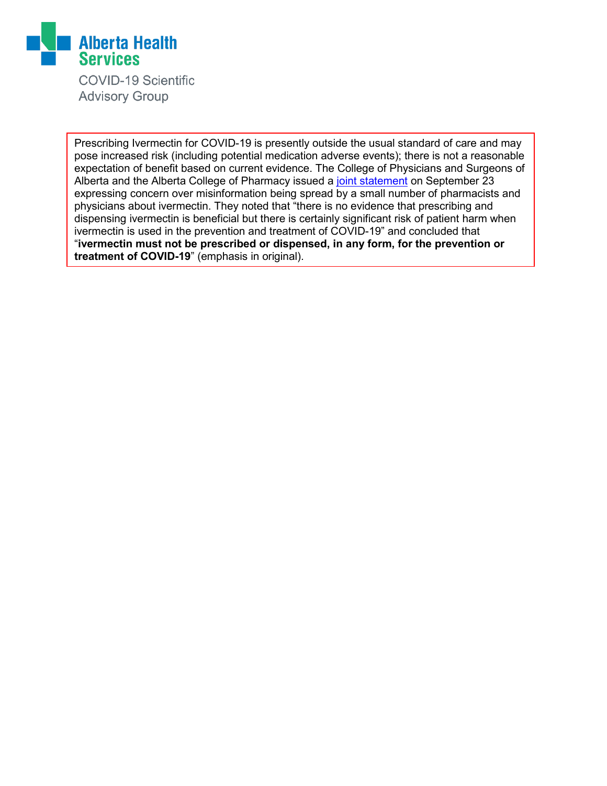

**COVID-19 Scientific Advisory Group** 

Prescribing Ivermectin for COVID-19 is presently outside the usual standard of care and may pose increased risk (including potential medication adverse events); there is not a reasonable expectation of benefit based on current evidence. The College of Physicians and Surgeons of Alberta and the Alberta College of Pharmacy issued a [joint statement](https://cpsa.ca/news/joint-statement-from-cpsa-and-acp-regarding-inappropriate-prescribing-and-dispensing-of-ivermectin-to-treat-or-prevent-covid-19/) on September 23 expressing concern over misinformation being spread by a small number of pharmacists and physicians about ivermectin. They noted that "there is no evidence that prescribing and dispensing ivermectin is beneficial but there is certainly significant risk of patient harm when ivermectin is used in the prevention and treatment of COVID-19" and concluded that "**ivermectin must not be prescribed or dispensed, in any form, for the prevention or treatment of COVID-19**" (emphasis in original).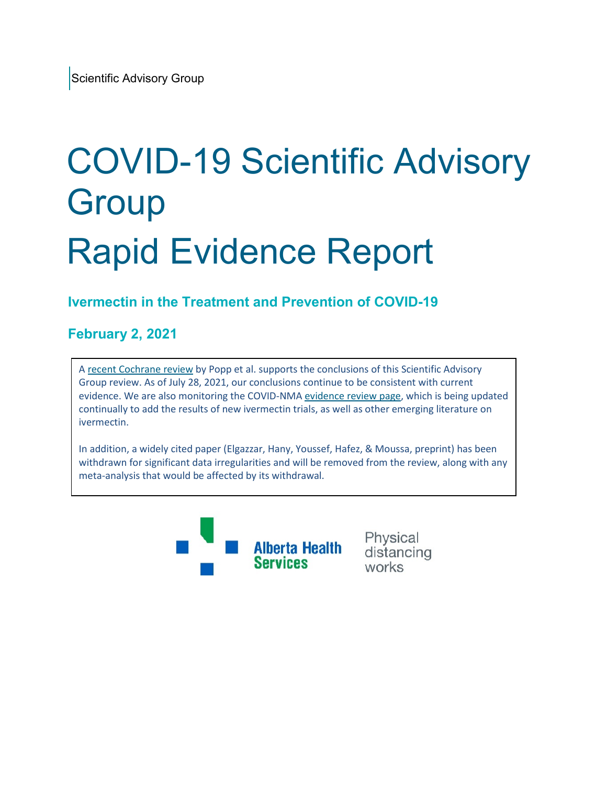# COVID-19 Scientific Advisory **Group** Rapid Evidence Report

# **Ivermectin in the Treatment and Prevention of COVID-19**

## **February 2, 2021**

A recent [Cochrane review](https://www.cochranelibrary.com/cdsr/doi/10.1002/14651858.CD015017.pub2/full) by Popp et al. supports the conclusions of this Scientific Advisory Group review. As of July 28, 2021, our conclusions continue to be consistent with current evidence. We are also monitoring the COVID-NM[A evidence review page,](https://covid-nma.com/living_data/index.php?comparison=36) which is being updated continually to add the results of new ivermectin trials, as well as other emerging literature on ivermectin.

In addition, a widely cited paper (Elgazzar, Hany, Youssef, Hafez, & Moussa, preprint) has been withdrawn for significant data irregularities and will be removed from the review, along with any meta-analysis that would be affected by its withdrawal.



Physical distancing works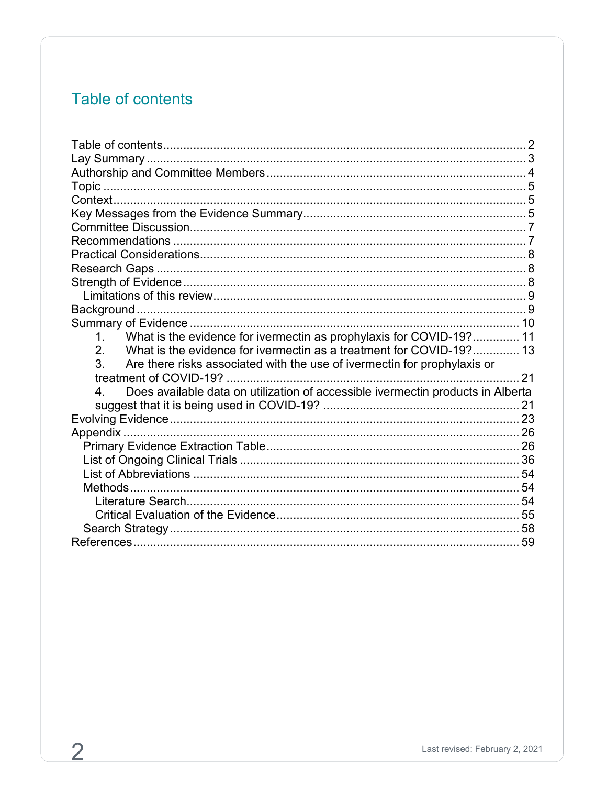# <span id="page-5-0"></span>Table of contents

| What is the evidence for ivermectin as prophylaxis for COVID-19? 11<br>1 <sup>1</sup>             |  |
|---------------------------------------------------------------------------------------------------|--|
| $\overline{2}$ .<br>What is the evidence for ivermectin as a treatment for COVID-19? 13           |  |
| 3.<br>Are there risks associated with the use of ivermectin for prophylaxis or                    |  |
|                                                                                                   |  |
| Does available data on utilization of accessible ivermectin products in Alberta<br>4 <sup>1</sup> |  |
|                                                                                                   |  |
|                                                                                                   |  |
|                                                                                                   |  |
|                                                                                                   |  |
|                                                                                                   |  |
|                                                                                                   |  |
|                                                                                                   |  |
|                                                                                                   |  |
|                                                                                                   |  |
|                                                                                                   |  |
|                                                                                                   |  |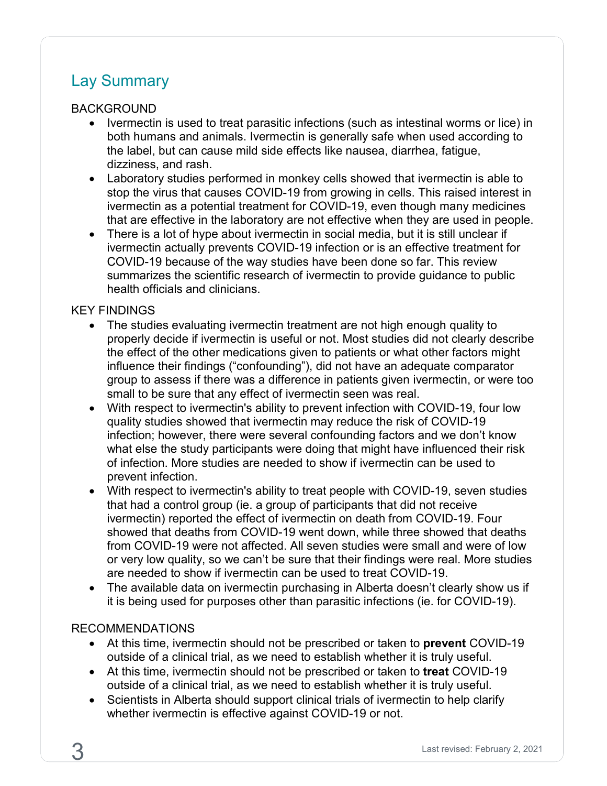# <span id="page-6-0"></span>Lay Summary

#### BACKGROUND

- Ivermectin is used to treat parasitic infections (such as intestinal worms or lice) in both humans and animals. Ivermectin is generally safe when used according to the label, but can cause mild side effects like nausea, diarrhea, fatigue, dizziness, and rash.
- Laboratory studies performed in monkey cells showed that ivermectin is able to stop the virus that causes COVID-19 from growing in cells. This raised interest in ivermectin as a potential treatment for COVID-19, even though many medicines that are effective in the laboratory are not effective when they are used in people.
- There is a lot of hype about ivermectin in social media, but it is still unclear if ivermectin actually prevents COVID-19 infection or is an effective treatment for COVID-19 because of the way studies have been done so far. This review summarizes the scientific research of ivermectin to provide guidance to public health officials and clinicians.

#### KEY FINDINGS

- The studies evaluating ivermectin treatment are not high enough quality to properly decide if ivermectin is useful or not. Most studies did not clearly describe the effect of the other medications given to patients or what other factors might influence their findings ("confounding"), did not have an adequate comparator group to assess if there was a difference in patients given ivermectin, or were too small to be sure that any effect of ivermectin seen was real.
- With respect to ivermectin's ability to prevent infection with COVID-19, four low quality studies showed that ivermectin may reduce the risk of COVID-19 infection; however, there were several confounding factors and we don't know what else the study participants were doing that might have influenced their risk of infection. More studies are needed to show if ivermectin can be used to prevent infection.
- With respect to ivermectin's ability to treat people with COVID-19, seven studies that had a control group (ie. a group of participants that did not receive ivermectin) reported the effect of ivermectin on death from COVID-19. Four showed that deaths from COVID-19 went down, while three showed that deaths from COVID-19 were not affected. All seven studies were small and were of low or very low quality, so we can't be sure that their findings were real. More studies are needed to show if ivermectin can be used to treat COVID-19.
- The available data on ivermectin purchasing in Alberta doesn't clearly show us if it is being used for purposes other than parasitic infections (ie. for COVID-19).

#### RECOMMENDATIONS

- At this time, ivermectin should not be prescribed or taken to **prevent** COVID-19 outside of a clinical trial, as we need to establish whether it is truly useful.
- At this time, ivermectin should not be prescribed or taken to **treat** COVID-19 outside of a clinical trial, as we need to establish whether it is truly useful.
- Scientists in Alberta should support clinical trials of ivermectin to help clarify whether ivermectin is effective against COVID-19 or not.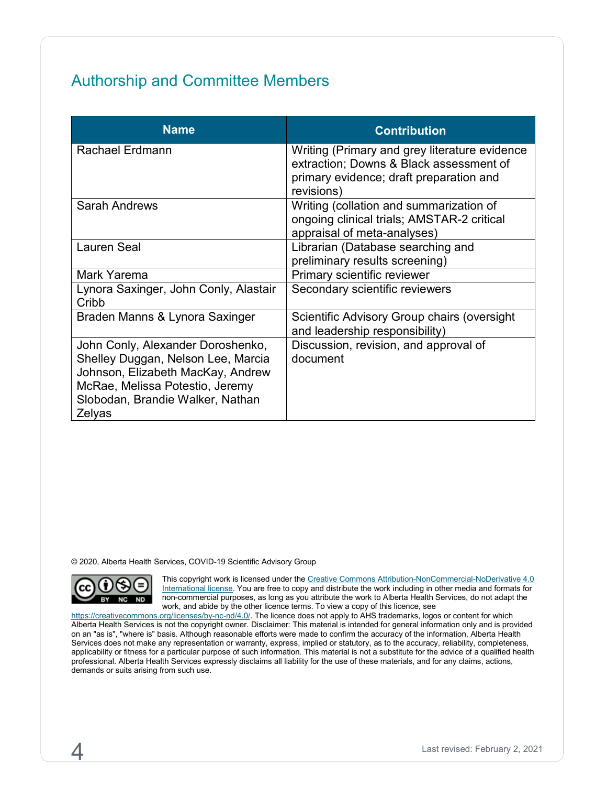# <span id="page-7-0"></span>Authorship and Committee Members

| <b>Name</b>                                                                                                                                                                                   | <b>Contribution</b>                                                                                                                               |
|-----------------------------------------------------------------------------------------------------------------------------------------------------------------------------------------------|---------------------------------------------------------------------------------------------------------------------------------------------------|
| <b>Rachael Erdmann</b>                                                                                                                                                                        | Writing (Primary and grey literature evidence<br>extraction; Downs & Black assessment of<br>primary evidence; draft preparation and<br>revisions) |
| <b>Sarah Andrews</b>                                                                                                                                                                          | Writing (collation and summarization of<br>ongoing clinical trials; AMSTAR-2 critical<br>appraisal of meta-analyses)                              |
| <b>Lauren Seal</b>                                                                                                                                                                            | Librarian (Database searching and<br>preliminary results screening)                                                                               |
| Mark Yarema                                                                                                                                                                                   | Primary scientific reviewer                                                                                                                       |
| Lynora Saxinger, John Conly, Alastair<br>Cribb                                                                                                                                                | Secondary scientific reviewers                                                                                                                    |
| Braden Manns & Lynora Saxinger                                                                                                                                                                | Scientific Advisory Group chairs (oversight<br>and leadership responsibility)                                                                     |
| John Conly, Alexander Doroshenko,<br>Shelley Duggan, Nelson Lee, Marcia<br>Johnson, Elizabeth MacKay, Andrew<br>McRae, Melissa Potestio, Jeremy<br>Slobodan, Brandie Walker, Nathan<br>Zelyas | Discussion, revision, and approval of<br>document                                                                                                 |

© 2020, Alberta Health Services, COVID-19 Scientific Advisory Group



This copyright work is licensed under the Creative Commons Attribution-NonCommercial-NoDerivative 4.0 [International license.](https://creativecommons.org/licenses/by-nc-nd/4.0/) You are free to copy and distribute the work including in other media and formats for non-commercial purposes, as long as you attribute the work to Alberta Health Services, do not adapt the work, and abide by the other licence terms. To view a copy of this licence, see

[https://creativecommons.org/licenses/by-nc-nd/4.0/.](https://creativecommons.org/licenses/by-nc-nd/4.0/) The licence does not apply to AHS trademarks, logos or content for which Alberta Health Services is not the copyright owner. Disclaimer: This material is intended for general information only and is provided on an "as is", "where is" basis. Although reasonable efforts were made to confirm the accuracy of the information, Alberta Health Services does not make any representation or warranty, express, implied or statutory, as to the accuracy, reliability, completeness, applicability or fitness for a particular purpose of such information. This material is not a substitute for the advice of a qualified health professional. Alberta Health Services expressly disclaims all liability for the use of these materials, and for any claims, actions, demands or suits arising from such use.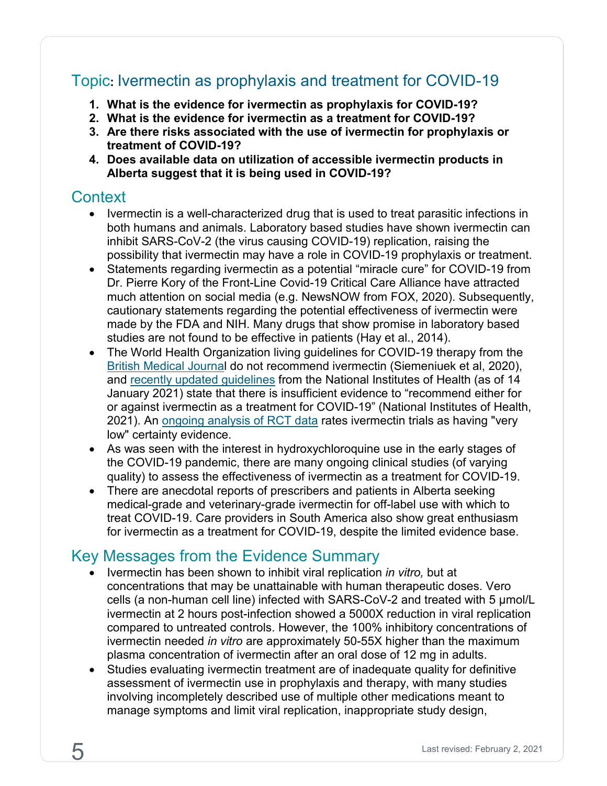# <span id="page-8-0"></span>Topic**:** Ivermectin as prophylaxis and treatment for COVID-19

- **1. What is the evidence for ivermectin as prophylaxis for COVID-19?**
- **2. What is the evidence for ivermectin as a treatment for COVID-19?**
- **3. Are there risks associated with the use of ivermectin for prophylaxis or treatment of COVID-19?**
- **4. Does available data on utilization of accessible ivermectin products in Alberta suggest that it is being used in COVID-19?**

# <span id="page-8-1"></span>**Context**

- Ivermectin is a well-characterized drug that is used to treat parasitic infections in both humans and animals. Laboratory based studies have shown ivermectin can inhibit SARS-CoV-2 (the virus causing COVID-19) replication, raising the possibility that ivermectin may have a role in COVID-19 prophylaxis or treatment.
- Statements regarding ivermectin as a potential "miracle cure" for COVID-19 from Dr. Pierre Kory of the Front-Line Covid-19 Critical Care Alliance have attracted much attention on social media (e.g. NewsNOW from FOX, 2020). Subsequently, cautionary statements regarding the potential effectiveness of ivermectin were made by the FDA and NIH. Many drugs that show promise in laboratory based studies are not found to be effective in patients (Hay et al., 2014).
- The World Health Organization living guidelines for COVID-19 therapy from the [British Medical Journal](https://www.bmj.com/content/370/bmj.m3379) do not recommend ivermectin (Siemeniuek et al, 2020), and [recently updated](https://www.covid19treatmentguidelines.nih.gov/statement-on-ivermectin/) guidelines from the National Institutes of Health (as of 14 January 2021) state that there is insufficient evidence to "recommend either for or against ivermectin as a treatment for COVID-19" (National Institutes of Health, 2021). An [ongoing analysis of RCT data](https://www.covid19lnma.com/drug-treatments) rates ivermectin trials as having "very low" certainty evidence.
- As was seen with the interest in hydroxychloroquine use in the early stages of the COVID-19 pandemic, there are many ongoing clinical studies (of varying quality) to assess the effectiveness of ivermectin as a treatment for COVID-19.
- There are anecdotal reports of prescribers and patients in Alberta seeking medical-grade and veterinary-grade ivermectin for off-label use with which to treat COVID-19. Care providers in South America also show great enthusiasm for ivermectin as a treatment for COVID-19, despite the limited evidence base.

# <span id="page-8-2"></span>Key Messages from the Evidence Summary

- Ivermectin has been shown to inhibit viral replication *in vitro,* but at concentrations that may be unattainable with human therapeutic doses. Vero cells (a non-human cell line) infected with SARS-CoV-2 and treated with 5 μmol/L ivermectin at 2 hours post-infection showed a 5000X reduction in viral replication compared to untreated controls. However, the 100% inhibitory concentrations of ivermectin needed *in vitro* are approximately 50-55X higher than the maximum plasma concentration of ivermectin after an oral dose of 12 mg in adults.
- Studies evaluating ivermectin treatment are of inadequate quality for definitive assessment of ivermectin use in prophylaxis and therapy, with many studies involving incompletely described use of multiple other medications meant to manage symptoms and limit viral replication, inappropriate study design,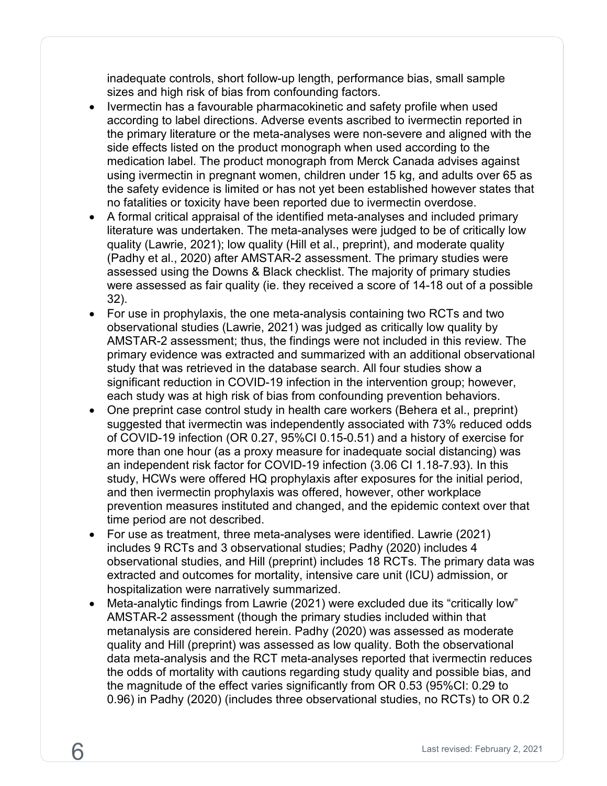inadequate controls, short follow-up length, performance bias, small sample sizes and high risk of bias from confounding factors.

- Ivermectin has a favourable pharmacokinetic and safety profile when used according to label directions. Adverse events ascribed to ivermectin reported in the primary literature or the meta-analyses were non-severe and aligned with the side effects listed on the product monograph when used according to the medication label. The product monograph from Merck Canada advises against using ivermectin in pregnant women, children under 15 kg, and adults over 65 as the safety evidence is limited or has not yet been established however states that no fatalities or toxicity have been reported due to ivermectin overdose.
- A formal critical appraisal of the identified meta-analyses and included primary literature was undertaken. The meta-analyses were judged to be of critically low quality (Lawrie, 2021); low quality (Hill et al., preprint), and moderate quality (Padhy et al., 2020) after AMSTAR-2 assessment. The primary studies were assessed using the Downs & Black checklist. The majority of primary studies were assessed as fair quality (ie. they received a score of 14-18 out of a possible 32).
- For use in prophylaxis, the one meta-analysis containing two RCTs and two observational studies (Lawrie, 2021) was judged as critically low quality by AMSTAR-2 assessment; thus, the findings were not included in this review. The primary evidence was extracted and summarized with an additional observational study that was retrieved in the database search. All four studies show a significant reduction in COVID-19 infection in the intervention group; however, each study was at high risk of bias from confounding prevention behaviors.
- One preprint case control study in health care workers (Behera et al., preprint) suggested that ivermectin was independently associated with 73% reduced odds of COVID-19 infection (OR 0.27, 95%CI 0.15-0.51) and a history of exercise for more than one hour (as a proxy measure for inadequate social distancing) was an independent risk factor for COVID-19 infection (3.06 CI 1.18-7.93). In this study, HCWs were offered HQ prophylaxis after exposures for the initial period, and then ivermectin prophylaxis was offered, however, other workplace prevention measures instituted and changed, and the epidemic context over that time period are not described.
- For use as treatment, three meta-analyses were identified. Lawrie (2021) includes 9 RCTs and 3 observational studies; Padhy (2020) includes 4 observational studies, and Hill (preprint) includes 18 RCTs. The primary data was extracted and outcomes for mortality, intensive care unit (ICU) admission, or hospitalization were narratively summarized.
- Meta-analytic findings from Lawrie (2021) were excluded due its "critically low" AMSTAR-2 assessment (though the primary studies included within that metanalysis are considered herein. Padhy (2020) was assessed as moderate quality and Hill (preprint) was assessed as low quality. Both the observational data meta-analysis and the RCT meta-analyses reported that ivermectin reduces the odds of mortality with cautions regarding study quality and possible bias, and the magnitude of the effect varies significantly from OR 0.53 (95%CI: 0.29 to 0.96) in Padhy (2020) (includes three observational studies, no RCTs) to OR 0.2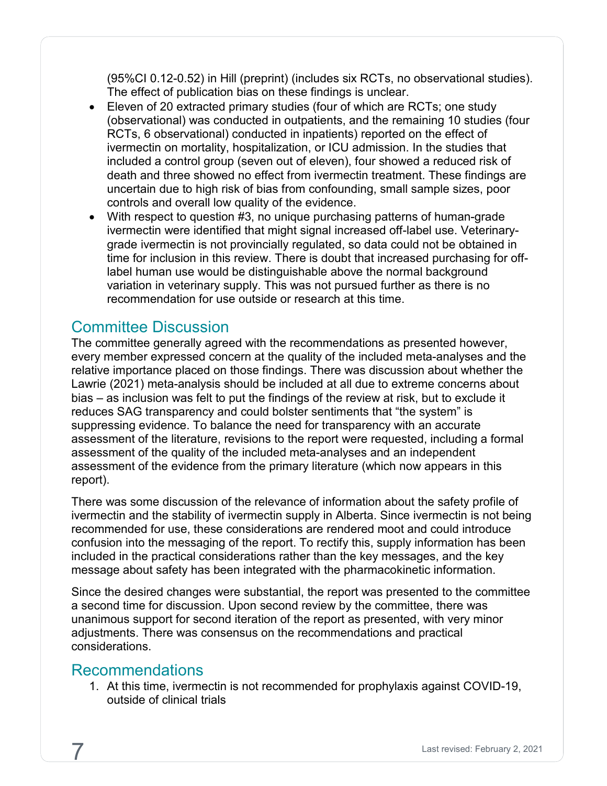(95%CI 0.12-0.52) in Hill (preprint) (includes six RCTs, no observational studies). The effect of publication bias on these findings is unclear.

- Eleven of 20 extracted primary studies (four of which are RCTs; one study (observational) was conducted in outpatients, and the remaining 10 studies (four RCTs, 6 observational) conducted in inpatients) reported on the effect of ivermectin on mortality, hospitalization, or ICU admission. In the studies that included a control group (seven out of eleven), four showed a reduced risk of death and three showed no effect from ivermectin treatment. These findings are uncertain due to high risk of bias from confounding, small sample sizes, poor controls and overall low quality of the evidence.
- With respect to question #3, no unique purchasing patterns of human-grade ivermectin were identified that might signal increased off-label use. Veterinarygrade ivermectin is not provincially regulated, so data could not be obtained in time for inclusion in this review. There is doubt that increased purchasing for offlabel human use would be distinguishable above the normal background variation in veterinary supply. This was not pursued further as there is no recommendation for use outside or research at this time.

# <span id="page-10-0"></span>Committee Discussion

The committee generally agreed with the recommendations as presented however, every member expressed concern at the quality of the included meta-analyses and the relative importance placed on those findings. There was discussion about whether the Lawrie (2021) meta-analysis should be included at all due to extreme concerns about bias – as inclusion was felt to put the findings of the review at risk, but to exclude it reduces SAG transparency and could bolster sentiments that "the system" is suppressing evidence. To balance the need for transparency with an accurate assessment of the literature, revisions to the report were requested, including a formal assessment of the quality of the included meta-analyses and an independent assessment of the evidence from the primary literature (which now appears in this report).

There was some discussion of the relevance of information about the safety profile of ivermectin and the stability of ivermectin supply in Alberta. Since ivermectin is not being recommended for use, these considerations are rendered moot and could introduce confusion into the messaging of the report. To rectify this, supply information has been included in the practical considerations rather than the key messages, and the key message about safety has been integrated with the pharmacokinetic information.

Since the desired changes were substantial, the report was presented to the committee a second time for discussion. Upon second review by the committee, there was unanimous support for second iteration of the report as presented, with very minor adjustments. There was consensus on the recommendations and practical considerations.

## <span id="page-10-1"></span>Recommendations

1. At this time, ivermectin is not recommended for prophylaxis against COVID-19, outside of clinical trials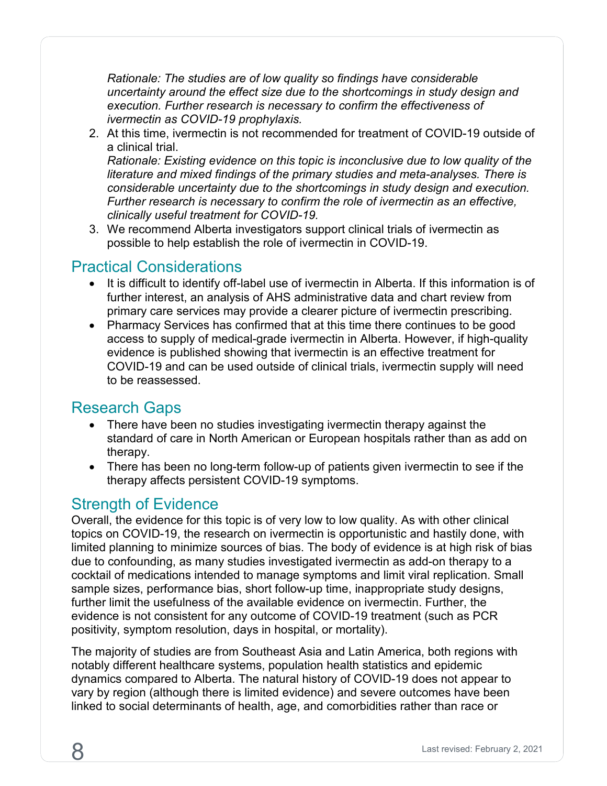*Rationale: The studies are of low quality so findings have considerable uncertainty around the effect size due to the shortcomings in study design and execution. Further research is necessary to confirm the effectiveness of ivermectin as COVID-19 prophylaxis.*

2. At this time, ivermectin is not recommended for treatment of COVID-19 outside of a clinical trial.

*Rationale: Existing evidence on this topic is inconclusive due to low quality of the literature and mixed findings of the primary studies and meta-analyses. There is considerable uncertainty due to the shortcomings in study design and execution. Further research is necessary to confirm the role of ivermectin as an effective, clinically useful treatment for COVID-19.*

3. We recommend Alberta investigators support clinical trials of ivermectin as possible to help establish the role of ivermectin in COVID-19.

# <span id="page-11-0"></span>Practical Considerations

- It is difficult to identify off-label use of ivermectin in Alberta. If this information is of further interest, an analysis of AHS administrative data and chart review from primary care services may provide a clearer picture of ivermectin prescribing.
- <span id="page-11-1"></span>• Pharmacy Services has confirmed that at this time there continues to be good access to supply of medical-grade ivermectin in Alberta. However, if high-quality evidence is published showing that ivermectin is an effective treatment for COVID-19 and can be used outside of clinical trials, ivermectin supply will need to be reassessed.

## Research Gaps

- There have been no studies investigating ivermectin therapy against the standard of care in North American or European hospitals rather than as add on therapy.
- There has been no long-term follow-up of patients given ivermectin to see if the therapy affects persistent COVID-19 symptoms.

# <span id="page-11-2"></span>Strength of Evidence

Overall, the evidence for this topic is of very low to low quality. As with other clinical topics on COVID-19, the research on ivermectin is opportunistic and hastily done, with limited planning to minimize sources of bias. The body of evidence is at high risk of bias due to confounding, as many studies investigated ivermectin as add-on therapy to a cocktail of medications intended to manage symptoms and limit viral replication. Small sample sizes, performance bias, short follow-up time, inappropriate study designs, further limit the usefulness of the available evidence on ivermectin. Further, the evidence is not consistent for any outcome of COVID-19 treatment (such as PCR positivity, symptom resolution, days in hospital, or mortality).

The majority of studies are from Southeast Asia and Latin America, both regions with notably different healthcare systems, population health statistics and epidemic dynamics compared to Alberta. The natural history of COVID-19 does not appear to vary by region (although there is limited evidence) and severe outcomes have been linked to social determinants of health, age, and comorbidities rather than race or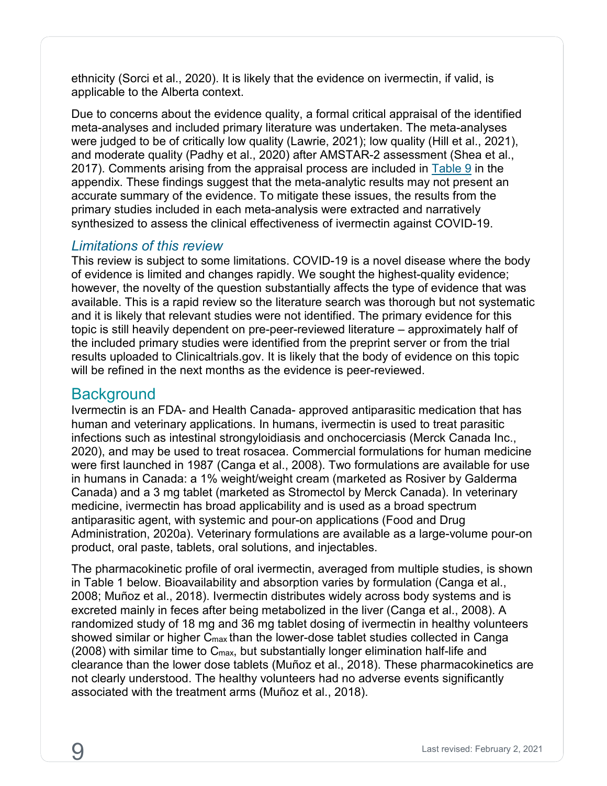ethnicity (Sorci et al., 2020). It is likely that the evidence on ivermectin, if valid, is applicable to the Alberta context.

Due to concerns about the evidence quality, a formal critical appraisal of the identified meta-analyses and included primary literature was undertaken. The meta-analyses were judged to be of critically low quality (Lawrie, 2021); low quality (Hill et al., 2021), and moderate quality (Padhy et al., 2020) after AMSTAR-2 assessment (Shea et al., 2017). Comments arising from the appraisal process are included in  $Table 9$  in the appendix. These findings suggest that the meta-analytic results may not present an accurate summary of the evidence. To mitigate these issues, the results from the primary studies included in each meta-analysis were extracted and narratively synthesized to assess the clinical effectiveness of ivermectin against COVID-19.

#### <span id="page-12-0"></span>*Limitations of this review*

This review is subject to some limitations. COVID-19 is a novel disease where the body of evidence is limited and changes rapidly. We sought the highest-quality evidence; however, the novelty of the question substantially affects the type of evidence that was available. This is a rapid review so the literature search was thorough but not systematic and it is likely that relevant studies were not identified. The primary evidence for this topic is still heavily dependent on pre-peer-reviewed literature – approximately half of the included primary studies were identified from the preprint server or from the trial results uploaded to Clinicaltrials.gov. It is likely that the body of evidence on this topic will be refined in the next months as the evidence is peer-reviewed.

## <span id="page-12-1"></span>**Background**

Ivermectin is an FDA- and Health Canada- approved antiparasitic medication that has human and veterinary applications. In humans, ivermectin is used to treat parasitic infections such as intestinal strongyloidiasis and onchocerciasis (Merck Canada Inc., 2020), and may be used to treat rosacea. Commercial formulations for human medicine were first launched in 1987 (Canga et al., 2008). Two formulations are available for use in humans in Canada: a 1% weight/weight cream (marketed as Rosiver by Galderma Canada) and a 3 mg tablet (marketed as Stromectol by Merck Canada). In veterinary medicine, ivermectin has broad applicability and is used as a broad spectrum antiparasitic agent, with systemic and pour-on applications (Food and Drug Administration, 2020a). Veterinary formulations are available as a large-volume pour-on product, oral paste, tablets, oral solutions, and injectables.

The pharmacokinetic profile of oral ivermectin, averaged from multiple studies, is shown in Table 1 below. Bioavailability and absorption varies by formulation (Canga et al., 2008; Muñoz et al., 2018). Ivermectin distributes widely across body systems and is excreted mainly in feces after being metabolized in the liver (Canga et al., 2008). A randomized study of 18 mg and 36 mg tablet dosing of ivermectin in healthy volunteers showed similar or higher C<sub>max</sub> than the lower-dose tablet studies collected in Canga  $(2008)$  with similar time to  $C_{\text{max}}$ , but substantially longer elimination half-life and clearance than the lower dose tablets (Muñoz et al., 2018). These pharmacokinetics are not clearly understood. The healthy volunteers had no adverse events significantly associated with the treatment arms (Muñoz et al., 2018).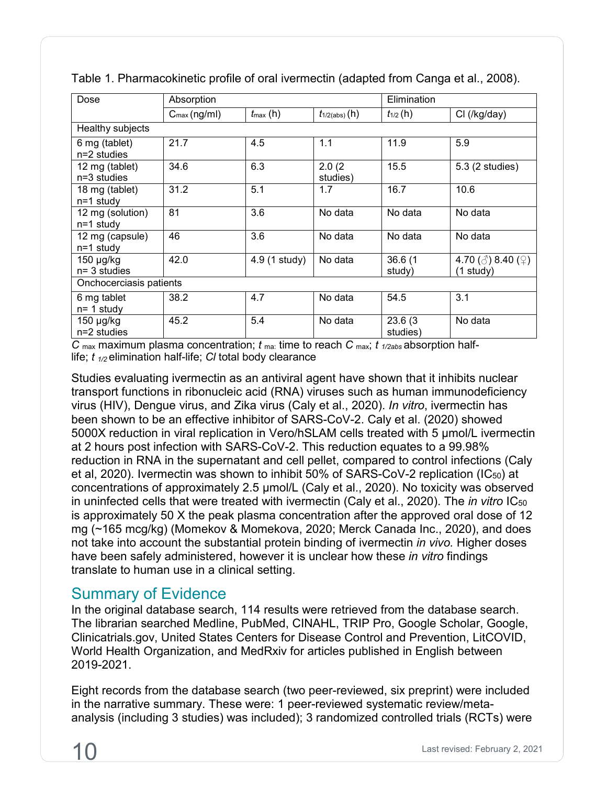| Dose                              | Absorption              |                      |                    | Elimination         |                                                |  |
|-----------------------------------|-------------------------|----------------------|--------------------|---------------------|------------------------------------------------|--|
|                                   | $C_{\text{max}}(ng/ml)$ | $t_{\text{max}}$ (h) | $t_{1/2(abs)}(h)$  | $t_{1/2}$ (h)       | CI (/kg/day)                                   |  |
| Healthy subjects                  |                         |                      |                    |                     |                                                |  |
| 6 mg (tablet)<br>$n=2$ studies    | 21.7                    | 4.5                  | 1.1                | 11.9                | 5.9                                            |  |
| 12 mg (tablet)<br>$n=3$ studies   | 34.6                    | 6.3                  | 2.0(2)<br>studies) | 15.5                | 5.3 (2 studies)                                |  |
| 18 mg (tablet)<br>$n=1$ study     | 31.2                    | 5.1                  | 1.7                | 16.7                | 10.6                                           |  |
| 12 mg (solution)<br>$n=1$ study   | 81                      | 3.6                  | No data            | No data             | No data                                        |  |
| 12 mg (capsule)<br>$n=1$ study    | 46                      | 3.6                  | No data            | No data             | No data                                        |  |
| 150 $\mu$ g/kg<br>$n = 3$ studies | 42.0                    | 4.9 (1 study)        | No data            | 36.6(1)<br>study)   | 4.70 ( $\circ$ ) 8.40 ( $\circ$ )<br>(1 study) |  |
| Onchocerciasis patients           |                         |                      |                    |                     |                                                |  |
| 6 mg tablet<br>$n = 1$ study      | 38.2                    | 4.7                  | No data            | 54.5                | 3.1                                            |  |
| $150 \mu g/kg$<br>n=2 studies     | 45.2                    | 5.4                  | No data            | 23.6(3)<br>studies) | No data                                        |  |

Table 1. Pharmacokinetic profile of oral ivermectin (adapted from Canga et al., 2008).

*C* max maximum plasma concentration; *t* ma: time to reach *C* max; *t 1/2abs* absorption halflife; *t 1/2* elimination half-life; *Cl* total body clearance

Studies evaluating ivermectin as an antiviral agent have shown that it inhibits nuclear transport functions in ribonucleic acid (RNA) viruses such as human immunodeficiency virus (HIV), Dengue virus, and Zika virus (Caly et al., 2020). *In vitro*, ivermectin has been shown to be an effective inhibitor of SARS-CoV-2. Caly et al. (2020) showed 5000X reduction in viral replication in Vero/hSLAM cells treated with 5 μmol/L ivermectin at 2 hours post infection with SARS-CoV-2. This reduction equates to a 99.98% reduction in RNA in the supernatant and cell pellet, compared to control infections (Caly et al, 2020). Ivermectin was shown to inhibit 50% of SARS-CoV-2 replication (IC50) at concentrations of approximately 2.5 μmol/L (Caly et al., 2020). No toxicity was observed in uninfected cells that were treated with ivermectin (Caly et al., 2020). The *in vitro* IC<sub>50</sub> is approximately 50 X the peak plasma concentration after the approved oral dose of 12 mg (~165 mcg/kg) (Momekov & Momekova, 2020; Merck Canada Inc., 2020), and does not take into account the substantial protein binding of ivermectin *in vivo.* Higher doses have been safely administered, however it is unclear how these *in vitro* findings translate to human use in a clinical setting.

# <span id="page-13-0"></span>Summary of Evidence

In the original database search, 114 results were retrieved from the database search. The librarian searched Medline, PubMed, CINAHL, TRIP Pro, Google Scholar, Google, Clinicatrials.gov, United States Centers for Disease Control and Prevention, LitCOVID, World Health Organization, and MedRxiv for articles published in English between 2019-2021.

Eight records from the database search (two peer-reviewed, six preprint) were included in the narrative summary. These were: 1 peer-reviewed systematic review/metaanalysis (including 3 studies) was included); 3 randomized controlled trials (RCTs) were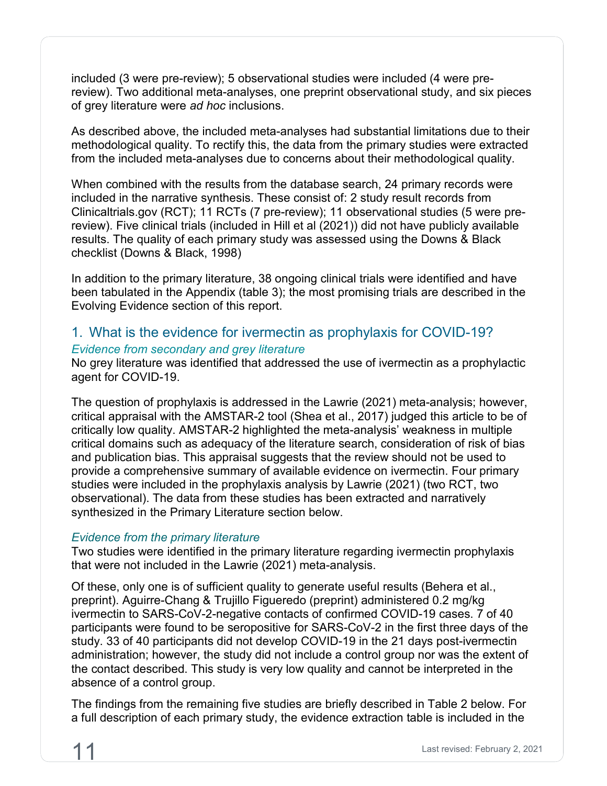included (3 were pre-review); 5 observational studies were included (4 were prereview). Two additional meta-analyses, one preprint observational study, and six pieces of grey literature were *ad hoc* inclusions.

As described above, the included meta-analyses had substantial limitations due to their methodological quality. To rectify this, the data from the primary studies were extracted from the included meta-analyses due to concerns about their methodological quality.

When combined with the results from the database search, 24 primary records were included in the narrative synthesis. These consist of: 2 study result records from Clinicaltrials.gov (RCT); 11 RCTs (7 pre-review); 11 observational studies (5 were prereview). Five clinical trials (included in Hill et al (2021)) did not have publicly available results. The quality of each primary study was assessed using the Downs & Black checklist (Downs & Black, 1998)

In addition to the primary literature, 38 ongoing clinical trials were identified and have been tabulated in the Appendix (table 3); the most promising trials are described in the Evolving Evidence section of this report.

# <span id="page-14-0"></span>1. What is the evidence for ivermectin as prophylaxis for COVID-19? *Evidence from secondary and grey literature*

No grey literature was identified that addressed the use of ivermectin as a prophylactic agent for COVID-19.

The question of prophylaxis is addressed in the Lawrie (2021) meta-analysis; however, critical appraisal with the AMSTAR-2 tool (Shea et al., 2017) judged this article to be of critically low quality. AMSTAR-2 highlighted the meta-analysis' weakness in multiple critical domains such as adequacy of the literature search, consideration of risk of bias and publication bias. This appraisal suggests that the review should not be used to provide a comprehensive summary of available evidence on ivermectin. Four primary studies were included in the prophylaxis analysis by Lawrie (2021) (two RCT, two observational). The data from these studies has been extracted and narratively synthesized in the Primary Literature section below.

#### *Evidence from the primary literature*

Two studies were identified in the primary literature regarding ivermectin prophylaxis that were not included in the Lawrie (2021) meta-analysis.

Of these, only one is of sufficient quality to generate useful results (Behera et al., preprint). Aguirre-Chang & Trujillo Figueredo (preprint) administered 0.2 mg/kg ivermectin to SARS-CoV-2-negative contacts of confirmed COVID-19 cases. 7 of 40 participants were found to be seropositive for SARS-CoV-2 in the first three days of the study. 33 of 40 participants did not develop COVID-19 in the 21 days post-ivermectin administration; however, the study did not include a control group nor was the extent of the contact described. This study is very low quality and cannot be interpreted in the absence of a control group.

The findings from the remaining five studies are briefly described in Table 2 below. For a full description of each primary study, the evidence extraction table is included in the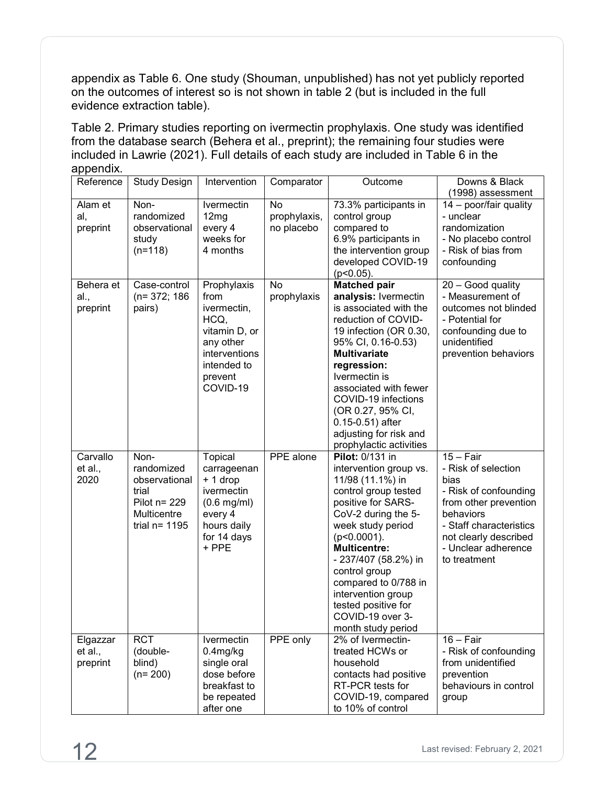appendix as Table 6. One study (Shouman, unpublished) has not yet publicly reported on the outcomes of interest so is not shown in table 2 (but is included in the full evidence extraction table).

Table 2. Primary studies reporting on ivermectin prophylaxis. One study was identified from the database search (Behera et al., preprint); the remaining four studies were included in Lawrie (2021). Full details of each study are included in Table 6 in the appendix

| Reference                       | Study Design                                                                                       | Intervention                                                                                                                    | Comparator                       | Outcome                                                                                                                                                                                                                                                                                                                                                         | Downs & Black<br>(1998) assessment                                                                                                                                                                   |
|---------------------------------|----------------------------------------------------------------------------------------------------|---------------------------------------------------------------------------------------------------------------------------------|----------------------------------|-----------------------------------------------------------------------------------------------------------------------------------------------------------------------------------------------------------------------------------------------------------------------------------------------------------------------------------------------------------------|------------------------------------------------------------------------------------------------------------------------------------------------------------------------------------------------------|
| Alam et<br>al,<br>preprint      | Non-<br>randomized<br>observational<br>study<br>$(n=118)$                                          | Ivermectin<br>12mg<br>every 4<br>weeks for<br>4 months                                                                          | No<br>prophylaxis,<br>no placebo | 73.3% participants in<br>control group<br>compared to<br>6.9% participants in<br>the intervention group<br>developed COVID-19<br>$(p<0.05)$ .                                                                                                                                                                                                                   | 14 - poor/fair quality<br>- unclear<br>randomization<br>- No placebo control<br>- Risk of bias from<br>confounding                                                                                   |
| Behera et<br>al.,<br>preprint   | Case-control<br>$(n=372; 186)$<br>pairs)                                                           | Prophylaxis<br>from<br>ivermectin,<br>HCQ,<br>vitamin D, or<br>any other<br>interventions<br>intended to<br>prevent<br>COVID-19 | <b>No</b><br>prophylaxis         | <b>Matched pair</b><br>analysis: Ivermectin<br>is associated with the<br>reduction of COVID-<br>19 infection (OR 0.30,<br>95% CI, 0.16-0.53)<br><b>Multivariate</b><br>regression:<br>Ivermectin is<br>associated with fewer<br>COVID-19 infections<br>(OR 0.27, 95% CI,<br>$0.15 - 0.51$ ) after<br>adjusting for risk and<br>prophylactic activities          | 20 - Good quality<br>- Measurement of<br>outcomes not blinded<br>- Potential for<br>confounding due to<br>unidentified<br>prevention behaviors                                                       |
| Carvallo<br>et al.,<br>2020     | Non-<br>randomized<br>observational<br>trial<br>Pilot $n = 229$<br>Multicentre<br>trial $n = 1195$ | Topical<br>carrageenan<br>+ 1 drop<br>ivermectin<br>$(0.6$ mg/ml)<br>every 4<br>hours daily<br>for 14 days<br>+ PPE             | PPE alone                        | <b>Pilot: 0/131 in</b><br>intervention group vs.<br>11/98 (11.1%) in<br>control group tested<br>positive for SARS-<br>CoV-2 during the 5-<br>week study period<br>$(p<0.0001)$ .<br><b>Multicentre:</b><br>- 237/407 (58.2%) in<br>control group<br>compared to 0/788 in<br>intervention group<br>tested positive for<br>COVID-19 over 3-<br>month study period | $15 - Fair$<br>- Risk of selection<br>bias<br>- Risk of confounding<br>from other prevention<br>behaviors<br>- Staff characteristics<br>not clearly described<br>- Unclear adherence<br>to treatment |
| Elgazzar<br>et al.,<br>preprint | <b>RCT</b><br>(double-<br>blind)<br>$(n=200)$                                                      | Ivermectin<br>$0.4$ mg/kg<br>single oral<br>dose before<br>breakfast to<br>be repeated<br>after one                             | PPE only                         | 2% of Ivermectin-<br>treated HCWs or<br>household<br>contacts had positive<br>RT-PCR tests for<br>COVID-19, compared<br>to 10% of control                                                                                                                                                                                                                       | $16 - Fair$<br>- Risk of confounding<br>from unidentified<br>prevention<br>behaviours in control<br>group                                                                                            |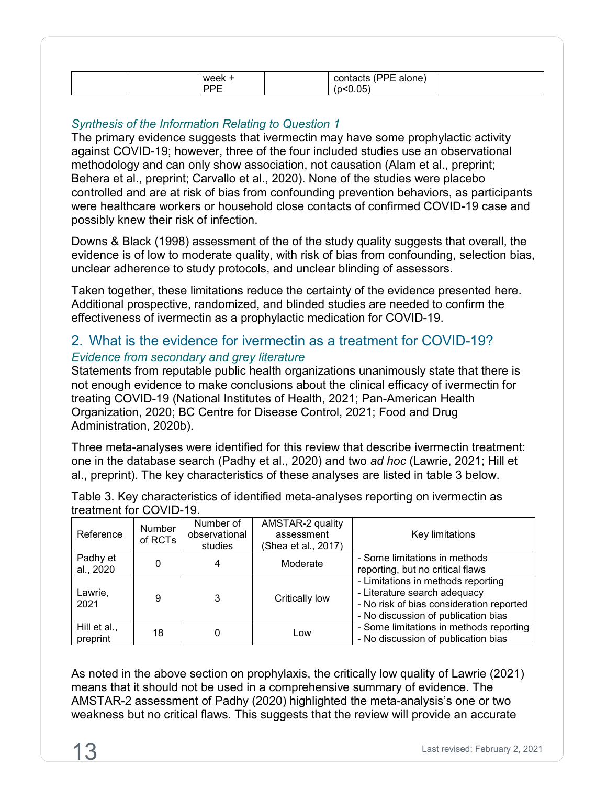| week | --<br>alone) |  |
|------|--------------|--|
| -    |              |  |

#### *Synthesis of the Information Relating to Question 1*

The primary evidence suggests that ivermectin may have some prophylactic activity against COVID-19; however, three of the four included studies use an observational methodology and can only show association, not causation (Alam et al., preprint; Behera et al., preprint; Carvallo et al., 2020). None of the studies were placebo controlled and are at risk of bias from confounding prevention behaviors, as participants were healthcare workers or household close contacts of confirmed COVID-19 case and possibly knew their risk of infection.

Downs & Black (1998) assessment of the of the study quality suggests that overall, the evidence is of low to moderate quality, with risk of bias from confounding, selection bias, unclear adherence to study protocols, and unclear blinding of assessors.

Taken together, these limitations reduce the certainty of the evidence presented here. Additional prospective, randomized, and blinded studies are needed to confirm the effectiveness of ivermectin as a prophylactic medication for COVID-19.

## <span id="page-16-0"></span>2. What is the evidence for ivermectin as a treatment for COVID-19? *Evidence from secondary and grey literature*

Statements from reputable public health organizations unanimously state that there is not enough evidence to make conclusions about the clinical efficacy of ivermectin for treating COVID-19 (National Institutes of Health, 2021; Pan-American Health Organization, 2020; BC Centre for Disease Control, 2021; Food and Drug Administration, 2020b).

Three meta-analyses were identified for this review that describe ivermectin treatment: one in the database search (Padhy et al., 2020) and two *ad hoc* (Lawrie, 2021; Hill et al., preprint). The key characteristics of these analyses are listed in table 3 below.

| ucauliciil IVI UUVID-TY. |                         |                     |                                          |  |  |  |  |
|--------------------------|-------------------------|---------------------|------------------------------------------|--|--|--|--|
|                          | Number of               | AMSTAR-2 quality    |                                          |  |  |  |  |
|                          | observational           | assessment          | Key limitations                          |  |  |  |  |
|                          | studies                 | (Shea et al., 2017) |                                          |  |  |  |  |
|                          |                         |                     | - Some limitations in methods            |  |  |  |  |
|                          |                         |                     | reporting, but no critical flaws         |  |  |  |  |
| 9                        | 3                       |                     | - Limitations in methods reporting       |  |  |  |  |
|                          |                         |                     | - Literature search adequacy             |  |  |  |  |
|                          |                         |                     | - No risk of bias consideration reported |  |  |  |  |
|                          |                         |                     | - No discussion of publication bias      |  |  |  |  |
|                          |                         |                     | - Some limitations in methods reporting  |  |  |  |  |
|                          |                         |                     | - No discussion of publication bias      |  |  |  |  |
|                          | Number<br>of RCTs<br>18 | 4<br>0              | Moderate<br>Critically low<br>Low        |  |  |  |  |

Table 3. Key characteristics of identified meta-analyses reporting on ivermectin as treatment for COVID-19.

As noted in the above section on prophylaxis, the critically low quality of Lawrie (2021) means that it should not be used in a comprehensive summary of evidence. The AMSTAR-2 assessment of Padhy (2020) highlighted the meta-analysis's one or two weakness but no critical flaws. This suggests that the review will provide an accurate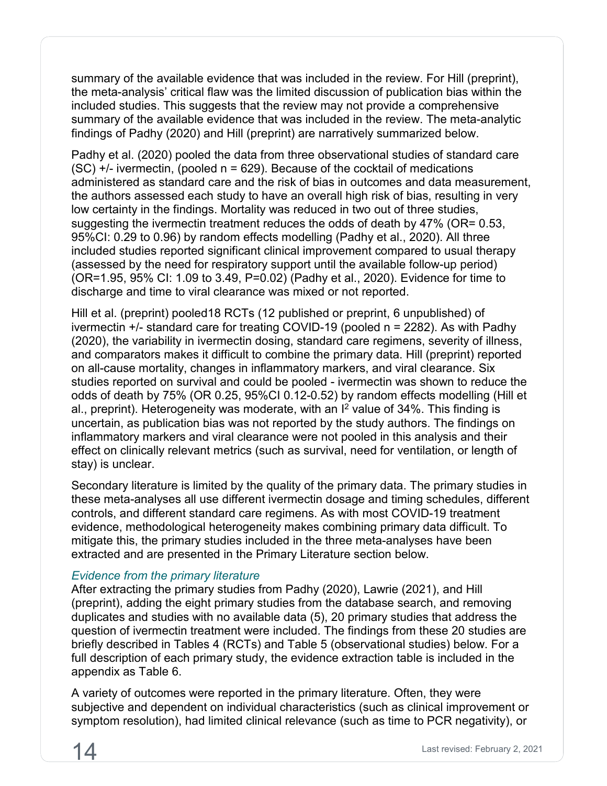summary of the available evidence that was included in the review. For Hill (preprint), the meta-analysis' critical flaw was the limited discussion of publication bias within the included studies. This suggests that the review may not provide a comprehensive summary of the available evidence that was included in the review. The meta-analytic findings of Padhy (2020) and Hill (preprint) are narratively summarized below.

Padhy et al. (2020) pooled the data from three observational studies of standard care  $(SC)$  +/- ivermectin, (pooled  $n = 629$ ). Because of the cocktail of medications administered as standard care and the risk of bias in outcomes and data measurement, the authors assessed each study to have an overall high risk of bias, resulting in very low certainty in the findings. Mortality was reduced in two out of three studies, suggesting the ivermectin treatment reduces the odds of death by 47% (OR= 0.53, 95%CI: 0.29 to 0.96) by random effects modelling (Padhy et al., 2020). All three included studies reported significant clinical improvement compared to usual therapy (assessed by the need for respiratory support until the available follow-up period) (OR=1.95, 95% CI: 1.09 to 3.49, P=0.02) (Padhy et al., 2020). Evidence for time to discharge and time to viral clearance was mixed or not reported.

Hill et al. (preprint) pooled18 RCTs (12 published or preprint, 6 unpublished) of ivermectin +/- standard care for treating COVID-19 (pooled n = 2282). As with Padhy (2020), the variability in ivermectin dosing, standard care regimens, severity of illness, and comparators makes it difficult to combine the primary data. Hill (preprint) reported on all-cause mortality, changes in inflammatory markers, and viral clearance. Six studies reported on survival and could be pooled - ivermectin was shown to reduce the odds of death by 75% (OR 0.25, 95%CI 0.12-0.52) by random effects modelling (Hill et al., preprint). Heterogeneity was moderate, with an  $I^2$  value of 34%. This finding is uncertain, as publication bias was not reported by the study authors. The findings on inflammatory markers and viral clearance were not pooled in this analysis and their effect on clinically relevant metrics (such as survival, need for ventilation, or length of stay) is unclear.

Secondary literature is limited by the quality of the primary data. The primary studies in these meta-analyses all use different ivermectin dosage and timing schedules, different controls, and different standard care regimens. As with most COVID-19 treatment evidence, methodological heterogeneity makes combining primary data difficult. To mitigate this, the primary studies included in the three meta-analyses have been extracted and are presented in the Primary Literature section below.

#### *Evidence from the primary literature*

After extracting the primary studies from Padhy (2020), Lawrie (2021), and Hill (preprint), adding the eight primary studies from the database search, and removing duplicates and studies with no available data (5), 20 primary studies that address the question of ivermectin treatment were included. The findings from these 20 studies are briefly described in Tables 4 (RCTs) and Table 5 (observational studies) below. For a full description of each primary study, the evidence extraction table is included in the appendix as Table 6.

A variety of outcomes were reported in the primary literature. Often, they were subjective and dependent on individual characteristics (such as clinical improvement or symptom resolution), had limited clinical relevance (such as time to PCR negativity), or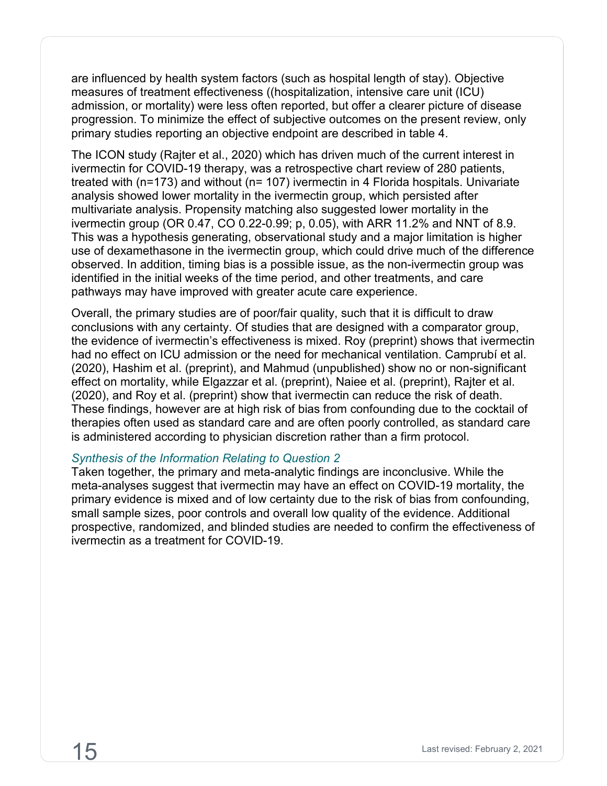are influenced by health system factors (such as hospital length of stay). Objective measures of treatment effectiveness ((hospitalization, intensive care unit (ICU) admission, or mortality) were less often reported, but offer a clearer picture of disease progression. To minimize the effect of subjective outcomes on the present review, only primary studies reporting an objective endpoint are described in table 4.

The ICON study (Rajter et al., 2020) which has driven much of the current interest in ivermectin for COVID-19 therapy, was a retrospective chart review of 280 patients, treated with (n=173) and without (n= 107) ivermectin in 4 Florida hospitals. Univariate analysis showed lower mortality in the ivermectin group, which persisted after multivariate analysis. Propensity matching also suggested lower mortality in the ivermectin group (OR 0.47, CO 0.22-0.99; p, 0.05), with ARR 11.2% and NNT of 8.9. This was a hypothesis generating, observational study and a major limitation is higher use of dexamethasone in the ivermectin group, which could drive much of the difference observed. In addition, timing bias is a possible issue, as the non-ivermectin group was identified in the initial weeks of the time period, and other treatments, and care pathways may have improved with greater acute care experience.

Overall, the primary studies are of poor/fair quality, such that it is difficult to draw conclusions with any certainty. Of studies that are designed with a comparator group, the evidence of ivermectin's effectiveness is mixed. Roy (preprint) shows that ivermectin had no effect on ICU admission or the need for mechanical ventilation. Camprubí et al. (2020), Hashim et al. (preprint), and Mahmud (unpublished) show no or non-significant effect on mortality, while Elgazzar et al. (preprint), Naiee et al. (preprint), Rajter et al. (2020), and Roy et al. (preprint) show that ivermectin can reduce the risk of death. These findings, however are at high risk of bias from confounding due to the cocktail of therapies often used as standard care and are often poorly controlled, as standard care is administered according to physician discretion rather than a firm protocol.

#### *Synthesis of the Information Relating to Question 2*

Taken together, the primary and meta-analytic findings are inconclusive. While the meta-analyses suggest that ivermectin may have an effect on COVID-19 mortality, the primary evidence is mixed and of low certainty due to the risk of bias from confounding, small sample sizes, poor controls and overall low quality of the evidence. Additional prospective, randomized, and blinded studies are needed to confirm the effectiveness of ivermectin as a treatment for COVID-19.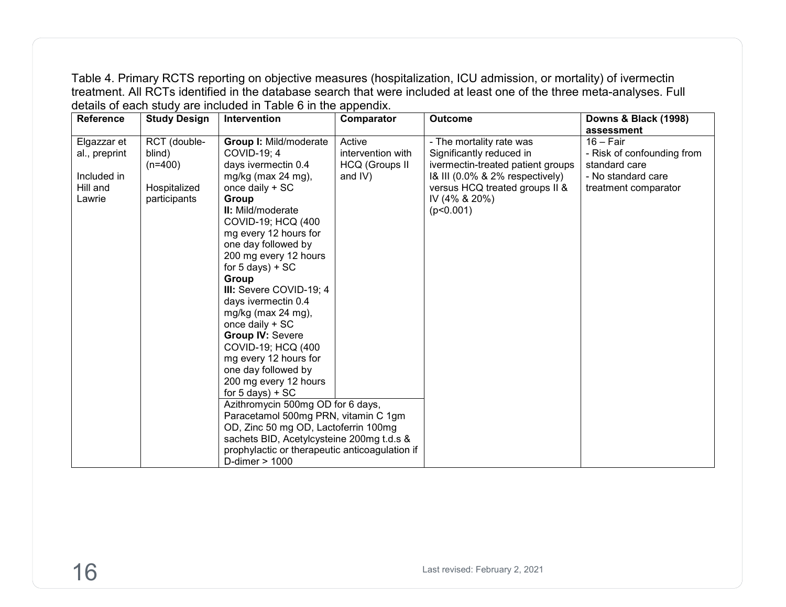Table 4. Primary RCTS reporting on objective measures (hospitalization, ICU admission, or mortality) of ivermectin treatment. All RCTs identified in the database search that were included at least one of the three meta-analyses. Full details of each study are included in Table 6 in the appendix.

| <b>Reference</b> | <b>Study Design</b> | Intervention                                   | Comparator            | <b>Outcome</b>                    | <b>Downs &amp; Black (1998)</b> |
|------------------|---------------------|------------------------------------------------|-----------------------|-----------------------------------|---------------------------------|
|                  |                     |                                                |                       |                                   | assessment                      |
| Elgazzar et      | RCT (double-        | Group I: Mild/moderate                         | Active                | - The mortality rate was          | $16 - Fair$                     |
| al., preprint    | blind)              | COVID-19; 4                                    | intervention with     | Significantly reduced in          | - Risk of confounding from      |
|                  | $(n=400)$           | days ivermectin 0.4                            | <b>HCQ (Groups II</b> | ivermectin-treated patient groups | standard care                   |
| Included in      |                     | mg/kg (max 24 mg),                             | and IV)               | 1& III (0.0% & 2% respectively)   | - No standard care              |
| Hill and         | Hospitalized        | once daily + SC                                |                       | versus HCQ treated groups II &    | treatment comparator            |
| Lawrie           | participants        | Group                                          |                       | IV (4% & 20%)                     |                                 |
|                  |                     | II: Mild/moderate                              |                       | (p<0.001)                         |                                 |
|                  |                     | COVID-19; HCQ (400                             |                       |                                   |                                 |
|                  |                     | mg every 12 hours for                          |                       |                                   |                                 |
|                  |                     | one day followed by                            |                       |                                   |                                 |
|                  |                     | 200 mg every 12 hours                          |                       |                                   |                                 |
|                  |                     | for $5$ days) + SC                             |                       |                                   |                                 |
|                  |                     | Group                                          |                       |                                   |                                 |
|                  |                     | III: Severe COVID-19; 4<br>days ivermectin 0.4 |                       |                                   |                                 |
|                  |                     | mg/kg (max $24$ mg),                           |                       |                                   |                                 |
|                  |                     | once daily + SC                                |                       |                                   |                                 |
|                  |                     | <b>Group IV: Severe</b>                        |                       |                                   |                                 |
|                  |                     | COVID-19; HCQ (400                             |                       |                                   |                                 |
|                  |                     | mg every 12 hours for                          |                       |                                   |                                 |
|                  |                     | one day followed by                            |                       |                                   |                                 |
|                  |                     | 200 mg every 12 hours                          |                       |                                   |                                 |
|                  |                     | for $5$ days) + SC                             |                       |                                   |                                 |
|                  |                     | Azithromycin 500mg OD for 6 days,              |                       |                                   |                                 |
|                  |                     | Paracetamol 500mg PRN, vitamin C 1gm           |                       |                                   |                                 |
|                  |                     | OD, Zinc 50 mg OD, Lactoferrin 100mg           |                       |                                   |                                 |
|                  |                     | sachets BID, Acetylcysteine 200mg t.d.s &      |                       |                                   |                                 |
|                  |                     | prophylactic or therapeutic anticoagulation if |                       |                                   |                                 |
|                  |                     | D-dimer $> 1000$                               |                       |                                   |                                 |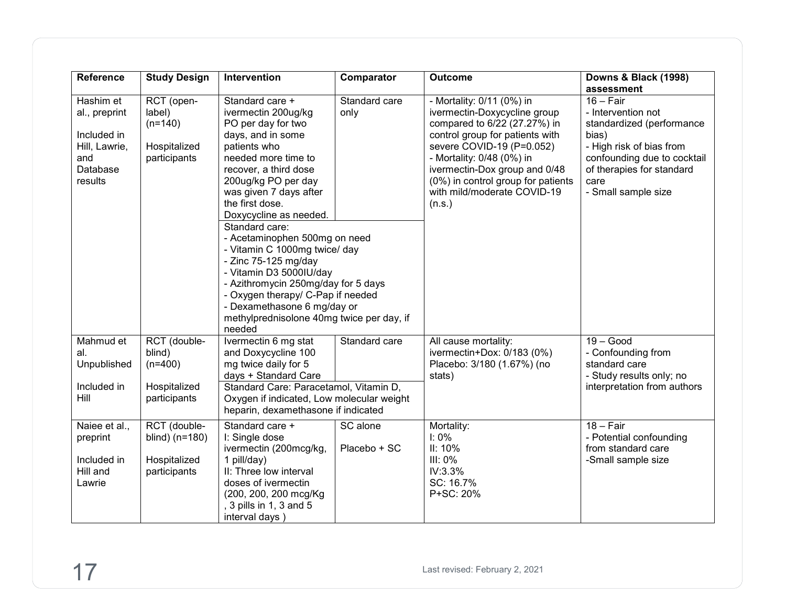| <b>Reference</b>                                                                         | <b>Study Design</b>                                                 | Intervention                                                                                                                                                                                                                                                                                                                                                                                                                                                                                                                                                                      | Comparator               | <b>Outcome</b>                                                                                                                                                                                                                                                                                         | Downs & Black (1998)<br>assessment                                                                                                                                                             |
|------------------------------------------------------------------------------------------|---------------------------------------------------------------------|-----------------------------------------------------------------------------------------------------------------------------------------------------------------------------------------------------------------------------------------------------------------------------------------------------------------------------------------------------------------------------------------------------------------------------------------------------------------------------------------------------------------------------------------------------------------------------------|--------------------------|--------------------------------------------------------------------------------------------------------------------------------------------------------------------------------------------------------------------------------------------------------------------------------------------------------|------------------------------------------------------------------------------------------------------------------------------------------------------------------------------------------------|
| Hashim et<br>al., preprint<br>Included in<br>Hill, Lawrie,<br>and<br>Database<br>results | RCT (open-<br>label)<br>$(n=140)$<br>Hospitalized<br>participants   | Standard care<br>Standard care +<br>ivermectin 200ug/kg<br>only<br>PO per day for two<br>days, and in some<br>patients who<br>needed more time to<br>recover, a third dose<br>200ug/kg PO per day<br>was given 7 days after<br>the first dose.<br>Doxycycline as needed.<br>Standard care:<br>- Acetaminophen 500mg on need<br>- Vitamin C 1000mg twice/ day<br>- Zinc 75-125 mg/day<br>- Vitamin D3 5000IU/day<br>- Azithromycin 250mg/day for 5 days<br>- Oxygen therapy/ C-Pap if needed<br>- Dexamethasone 6 mg/day or<br>methylprednisolone 40mg twice per day, if<br>needed |                          | - Mortality: 0/11 (0%) in<br>ivermectin-Doxycycline group<br>compared to 6/22 (27.27%) in<br>control group for patients with<br>severe COVID-19 (P=0.052)<br>- Mortality: 0/48 (0%) in<br>ivermectin-Dox group and 0/48<br>(0%) in control group for patients<br>with mild/moderate COVID-19<br>(n.s.) | $16 - Fair$<br>- Intervention not<br>standardized (performance<br>bias)<br>- High risk of bias from<br>confounding due to cocktail<br>of therapies for standard<br>care<br>- Small sample size |
| Mahmud et<br>al.<br>Unpublished<br>Included in<br>Hill                                   | RCT (double-<br>blind)<br>$(n=400)$<br>Hospitalized<br>participants | Ivermectin 6 mg stat<br>and Doxycycline 100<br>mg twice daily for 5<br>days + Standard Care<br>Standard Care: Paracetamol, Vitamin D,<br>Oxygen if indicated, Low molecular weight<br>heparin, dexamethasone if indicated                                                                                                                                                                                                                                                                                                                                                         | Standard care            | All cause mortality:<br>ivermectin+Dox: 0/183 (0%)<br>Placebo: 3/180 (1.67%) (no<br>stats)                                                                                                                                                                                                             | $19 - Good$<br>- Confounding from<br>standard care<br>- Study results only; no<br>interpretation from authors                                                                                  |
| Naiee et al.,<br>preprint<br>Included in<br>Hill and<br>Lawrie                           | RCT (double-<br>blind) (n=180)<br>Hospitalized<br>participants      | Standard care +<br>I: Single dose<br>ivermectin (200mcg/kg,<br>1 pill/day)<br>II: Three low interval<br>doses of ivermectin<br>(200, 200, 200 mcg/Kg<br>3 pills in 1, 3 and 5<br>interval days)                                                                                                                                                                                                                                                                                                                                                                                   | SC alone<br>Placebo + SC | Mortality:<br>$I: 0\%$<br>II: 10%<br>III: 0%<br>IV:3.3%<br>SC: 16.7%<br>P+SC: 20%                                                                                                                                                                                                                      | $18 - Fair$<br>- Potential confounding<br>from standard care<br>-Small sample size                                                                                                             |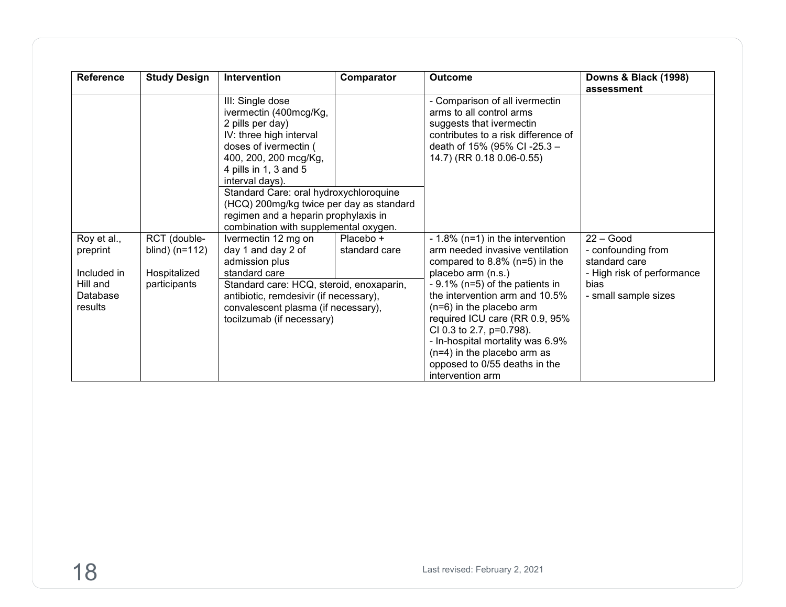| <b>Reference</b>                       | <b>Study Design</b>                              | Intervention                                                                                                                                                                                                                                                                                                                                                   | Comparator                 | <b>Outcome</b>                                                                                                                                                                                                                                                                            | <b>Downs &amp; Black (1998)</b><br>assessment                                    |
|----------------------------------------|--------------------------------------------------|----------------------------------------------------------------------------------------------------------------------------------------------------------------------------------------------------------------------------------------------------------------------------------------------------------------------------------------------------------------|----------------------------|-------------------------------------------------------------------------------------------------------------------------------------------------------------------------------------------------------------------------------------------------------------------------------------------|----------------------------------------------------------------------------------|
|                                        |                                                  | III: Single dose<br>ivermectin (400mcg/Kg,<br>2 pills per day)<br>IV: three high interval<br>doses of ivermectin (<br>400, 200, 200 mcg/Kg,<br>4 pills in 1, 3 and 5<br>interval days).<br>Standard Care: oral hydroxychloroquine<br>(HCQ) 200mg/kg twice per day as standard<br>regimen and a heparin prophylaxis in<br>combination with supplemental oxygen. |                            | - Comparison of all ivermectin<br>arms to all control arms<br>suggests that ivermectin<br>contributes to a risk difference of<br>death of 15% (95% CI-25.3 -<br>14.7) (RR 0.18 0.06-0.55)                                                                                                 |                                                                                  |
| Roy et al.,<br>preprint<br>Included in | RCT (double-<br>blind) $(n=112)$<br>Hospitalized | Ivermectin 12 mg on<br>day 1 and day 2 of<br>admission plus<br>standard care                                                                                                                                                                                                                                                                                   | Placebo +<br>standard care | $-1.8\%$ (n=1) in the intervention<br>arm needed invasive ventilation<br>compared to $8.8\%$ (n=5) in the<br>placebo arm (n.s.)                                                                                                                                                           | $22 - Good$<br>- confounding from<br>standard care<br>- High risk of performance |
| Hill and<br>Database<br>results        | participants                                     | Standard care: HCQ, steroid, enoxaparin,<br>antibiotic, remdesivir (if necessary),<br>convalescent plasma (if necessary),<br>tocilzumab (if necessary)                                                                                                                                                                                                         |                            | $-9.1\%$ (n=5) of the patients in<br>the intervention arm and 10.5%<br>$(n=6)$ in the placebo arm<br>required ICU care (RR 0.9, 95%<br>CI 0.3 to 2.7, p=0.798).<br>- In-hospital mortality was 6.9%<br>$(n=4)$ in the placebo arm as<br>opposed to 0/55 deaths in the<br>intervention arm | bias<br>- small sample sizes                                                     |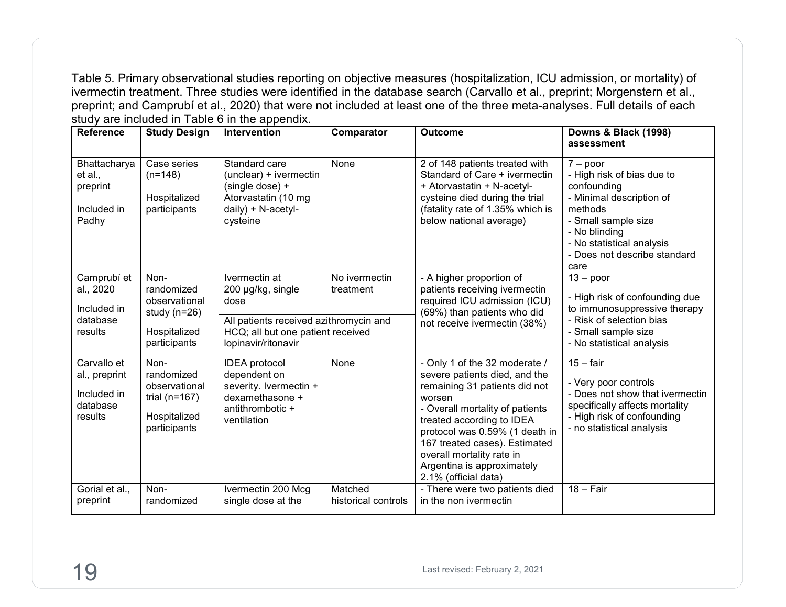Table 5. Primary observational studies reporting on objective measures (hospitalization, ICU admission, or mortality) of ivermectin treatment. Three studies were identified in the database search (Carvallo et al., preprint; Morgenstern et al., preprint; and Camprubí et al., 2020) that were not included at least one of the three meta-analyses. Full details of each study are included in Table 6 in the appendix.

| <b>Reference</b>                                                   | <b>Study Design</b>                                                                      | Intervention                                                                                                                                     | Comparator                     | <b>Outcome</b>                                                                                                                                                                                                                                                                                                                  | <b>Downs &amp; Black (1998)</b><br>assessment                                                                                                                                                               |
|--------------------------------------------------------------------|------------------------------------------------------------------------------------------|--------------------------------------------------------------------------------------------------------------------------------------------------|--------------------------------|---------------------------------------------------------------------------------------------------------------------------------------------------------------------------------------------------------------------------------------------------------------------------------------------------------------------------------|-------------------------------------------------------------------------------------------------------------------------------------------------------------------------------------------------------------|
| Bhattacharya<br>et al.,<br>preprint<br>Included in<br>Padhy        | Case series<br>$(n=148)$<br>Hospitalized<br>participants                                 | Standard care<br>(unclear) + ivermectin<br>(single dose) +<br>Atorvastatin (10 mg<br>daily) + N-acetyl-<br>cysteine                              | None                           | 2 of 148 patients treated with<br>Standard of Care + ivermectin<br>+ Atorvastatin + N-acetyl-<br>cysteine died during the trial<br>(fatality rate of 1.35% which is<br>below national average)                                                                                                                                  | $7 - poor$<br>- High risk of bias due to<br>confounding<br>- Minimal description of<br>methods<br>- Small sample size<br>- No blinding<br>- No statistical analysis<br>- Does not describe standard<br>care |
| Camprubí et<br>al., 2020<br>Included in<br>database<br>results     | Non-<br>randomized<br>observational<br>study $(n=26)$<br>Hospitalized<br>participants    | Ivermectin at<br>200 µg/kg, single<br>dose<br>All patients received azithromycin and<br>HCQ; all but one patient received<br>lopinavir/ritonavir | No ivermectin<br>treatment     | - A higher proportion of<br>patients receiving ivermectin<br>required ICU admission (ICU)<br>(69%) than patients who did<br>not receive ivermectin (38%)                                                                                                                                                                        | $13 - poor$<br>- High risk of confounding due<br>to immunosuppressive therapy<br>- Risk of selection bias<br>- Small sample size<br>- No statistical analysis                                               |
| Carvallo et<br>al., preprint<br>Included in<br>database<br>results | Non-<br>randomized<br>observational<br>trial ( $n=167$ )<br>Hospitalized<br>participants | <b>IDEA</b> protocol<br>dependent on<br>severity. Ivermectin +<br>dexamethasone +<br>antithrombotic +<br>ventilation                             | None                           | - Only 1 of the 32 moderate /<br>severe patients died, and the<br>remaining 31 patients did not<br>worsen<br>- Overall mortality of patients<br>treated according to IDEA<br>protocol was 0.59% (1 death in<br>167 treated cases). Estimated<br>overall mortality rate in<br>Argentina is approximately<br>2.1% (official data) | $15 - fair$<br>- Very poor controls<br>- Does not show that ivermectin<br>specifically affects mortality<br>- High risk of confounding<br>- no statistical analysis                                         |
| Gorial et al.,<br>preprint                                         | Non-<br>randomized                                                                       | Ivermectin 200 Mcg<br>single dose at the                                                                                                         | Matched<br>historical controls | - There were two patients died<br>in the non ivermectin                                                                                                                                                                                                                                                                         | $18 - Fair$                                                                                                                                                                                                 |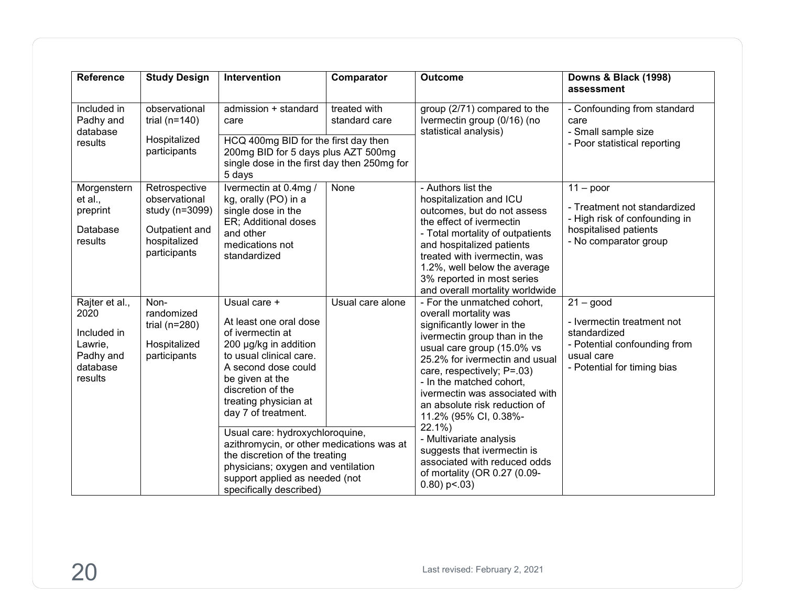| <b>Reference</b>                                                                     | <b>Study Design</b>                                                                                | Intervention                                                                                                                                                                                                                  | Comparator                    | <b>Outcome</b>                                                                                                                                                                                                                                                                                                                           | Downs & Black (1998)<br>assessment                                                                                                     |
|--------------------------------------------------------------------------------------|----------------------------------------------------------------------------------------------------|-------------------------------------------------------------------------------------------------------------------------------------------------------------------------------------------------------------------------------|-------------------------------|------------------------------------------------------------------------------------------------------------------------------------------------------------------------------------------------------------------------------------------------------------------------------------------------------------------------------------------|----------------------------------------------------------------------------------------------------------------------------------------|
| Included in<br>Padhy and<br>database<br>results                                      | observational<br>trial ( $n=140$ )<br>Hospitalized                                                 | admission + standard<br>care<br>HCQ 400mg BID for the first day then                                                                                                                                                          | treated with<br>standard care | group (2/71) compared to the<br>Ivermectin group (0/16) (no<br>statistical analysis)                                                                                                                                                                                                                                                     | - Confounding from standard<br>care<br>- Small sample size<br>- Poor statistical reporting                                             |
|                                                                                      | participants                                                                                       | 200mg BID for 5 days plus AZT 500mg<br>single dose in the first day then 250mg for<br>5 days                                                                                                                                  |                               |                                                                                                                                                                                                                                                                                                                                          |                                                                                                                                        |
| Morgenstern<br>et al.,<br>preprint<br>Database<br>results                            | Retrospective<br>observational<br>study (n=3099)<br>Outpatient and<br>hospitalized<br>participants | Ivermectin at 0.4mg /<br>kg, orally (PO) in a<br>single dose in the<br>ER; Additional doses<br>and other<br>medications not<br>standardized                                                                                   | None                          | - Authors list the<br>hospitalization and ICU<br>outcomes, but do not assess<br>the effect of ivermectin<br>- Total mortality of outpatients<br>and hospitalized patients<br>treated with ivermectin, was<br>1.2%, well below the average<br>3% reported in most series<br>and overall mortality worldwide                               | $11 - poor$<br>- Treatment not standardized<br>- High risk of confounding in<br>hospitalised patients<br>- No comparator group         |
| Rajter et al.,<br>2020<br>Included in<br>Lawrie,<br>Padhy and<br>database<br>results | Non-<br>randomized<br>trial ( $n=280$ )<br>Hospitalized<br>participants                            | Usual care +<br>At least one oral dose<br>of ivermectin at<br>200 µg/kg in addition<br>to usual clinical care.<br>A second dose could<br>be given at the<br>discretion of the<br>treating physician at<br>day 7 of treatment. | Usual care alone              | - For the unmatched cohort,<br>overall mortality was<br>significantly lower in the<br>ivermectin group than in the<br>usual care group (15.0% vs<br>25.2% for ivermectin and usual<br>care, respectively; P=.03)<br>- In the matched cohort,<br>ivermectin was associated with<br>an absolute risk reduction of<br>11.2% (95% CI, 0.38%- | $21 - good$<br>- Ivermectin treatment not<br>standardized<br>- Potential confounding from<br>usual care<br>- Potential for timing bias |
|                                                                                      |                                                                                                    | Usual care: hydroxychloroquine,<br>azithromycin, or other medications was at<br>the discretion of the treating<br>physicians; oxygen and ventilation<br>support applied as needed (not<br>specifically described)             |                               | 22.1%)<br>- Multivariate analysis<br>suggests that ivermectin is<br>associated with reduced odds<br>of mortality (OR 0.27 (0.09-<br>$0.80$ ) p < $0.03$ )                                                                                                                                                                                |                                                                                                                                        |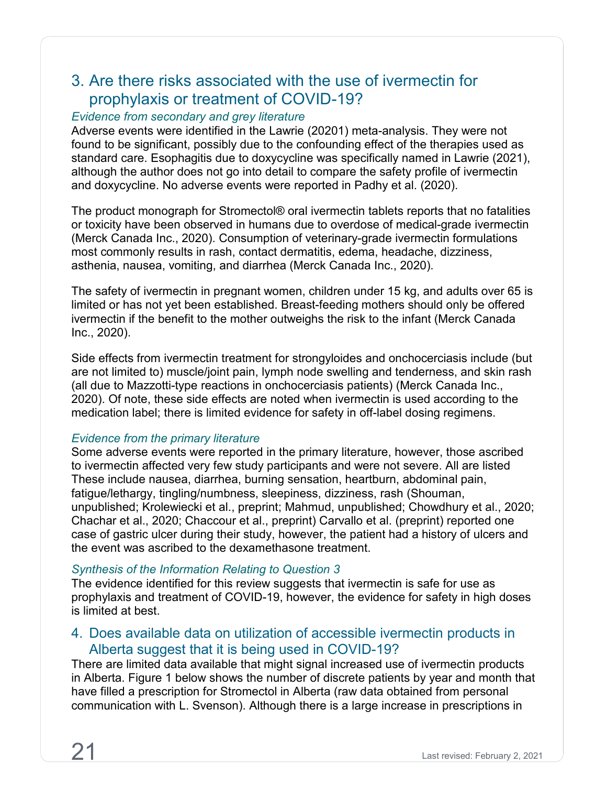# <span id="page-24-0"></span>3. Are there risks associated with the use of ivermectin for prophylaxis or treatment of COVID-19?

#### *Evidence from secondary and grey literature*

Adverse events were identified in the Lawrie (20201) meta-analysis. They were not found to be significant, possibly due to the confounding effect of the therapies used as standard care. Esophagitis due to doxycycline was specifically named in Lawrie (2021), although the author does not go into detail to compare the safety profile of ivermectin and doxycycline. No adverse events were reported in Padhy et al. (2020).

The product monograph for Stromectol® oral ivermectin tablets reports that no fatalities or toxicity have been observed in humans due to overdose of medical-grade ivermectin (Merck Canada Inc., 2020). Consumption of veterinary-grade ivermectin formulations most commonly results in rash, contact dermatitis, edema, headache, dizziness, asthenia, nausea, vomiting, and diarrhea (Merck Canada Inc., 2020).

The safety of ivermectin in pregnant women, children under 15 kg, and adults over 65 is limited or has not yet been established. Breast-feeding mothers should only be offered ivermectin if the benefit to the mother outweighs the risk to the infant (Merck Canada Inc., 2020).

Side effects from ivermectin treatment for strongyloides and onchocerciasis include (but are not limited to) muscle/joint pain, lymph node swelling and tenderness, and skin rash (all due to Mazzotti-type reactions in onchocerciasis patients) (Merck Canada Inc., 2020). Of note, these side effects are noted when ivermectin is used according to the medication label; there is limited evidence for safety in off-label dosing regimens.

#### *Evidence from the primary literature*

Some adverse events were reported in the primary literature, however, those ascribed to ivermectin affected very few study participants and were not severe. All are listed These include nausea, diarrhea, burning sensation, heartburn, abdominal pain, fatigue/lethargy, tingling/numbness, sleepiness, dizziness, rash (Shouman, unpublished; Krolewiecki et al., preprint; Mahmud, unpublished; Chowdhury et al., 2020; Chachar et al., 2020; Chaccour et al., preprint) Carvallo et al. (preprint) reported one case of gastric ulcer during their study, however, the patient had a history of ulcers and the event was ascribed to the dexamethasone treatment.

#### *Synthesis of the Information Relating to Question 3*

The evidence identified for this review suggests that ivermectin is safe for use as prophylaxis and treatment of COVID-19, however, the evidence for safety in high doses is limited at best.

## <span id="page-24-1"></span>4. Does available data on utilization of accessible ivermectin products in Alberta suggest that it is being used in COVID-19?

There are limited data available that might signal increased use of ivermectin products in Alberta. Figure 1 below shows the number of discrete patients by year and month that have filled a prescription for Stromectol in Alberta (raw data obtained from personal communication with L. Svenson). Although there is a large increase in prescriptions in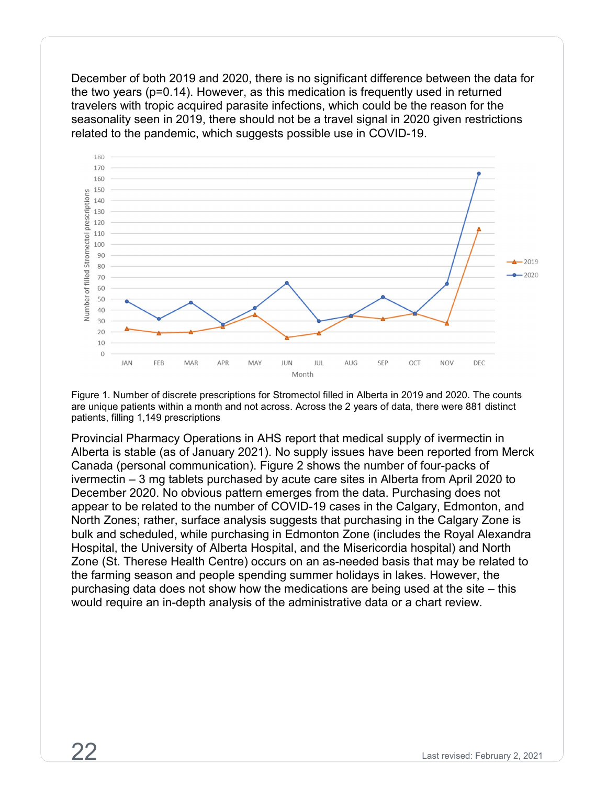December of both 2019 and 2020, there is no significant difference between the data for the two years (p=0.14). However, as this medication is frequently used in returned travelers with tropic acquired parasite infections, which could be the reason for the seasonality seen in 2019, there should not be a travel signal in 2020 given restrictions related to the pandemic, which suggests possible use in COVID-19.



Figure 1. Number of discrete prescriptions for Stromectol filled in Alberta in 2019 and 2020. The counts are unique patients within a month and not across. Across the 2 years of data, there were 881 distinct patients, filling 1,149 prescriptions

Provincial Pharmacy Operations in AHS report that medical supply of ivermectin in Alberta is stable (as of January 2021). No supply issues have been reported from Merck Canada (personal communication). Figure 2 shows the number of four-packs of ivermectin – 3 mg tablets purchased by acute care sites in Alberta from April 2020 to December 2020. No obvious pattern emerges from the data. Purchasing does not appear to be related to the number of COVID-19 cases in the Calgary, Edmonton, and North Zones; rather, surface analysis suggests that purchasing in the Calgary Zone is bulk and scheduled, while purchasing in Edmonton Zone (includes the Royal Alexandra Hospital, the University of Alberta Hospital, and the Misericordia hospital) and North Zone (St. Therese Health Centre) occurs on an as-needed basis that may be related to the farming season and people spending summer holidays in lakes. However, the purchasing data does not show how the medications are being used at the site – this would require an in-depth analysis of the administrative data or a chart review.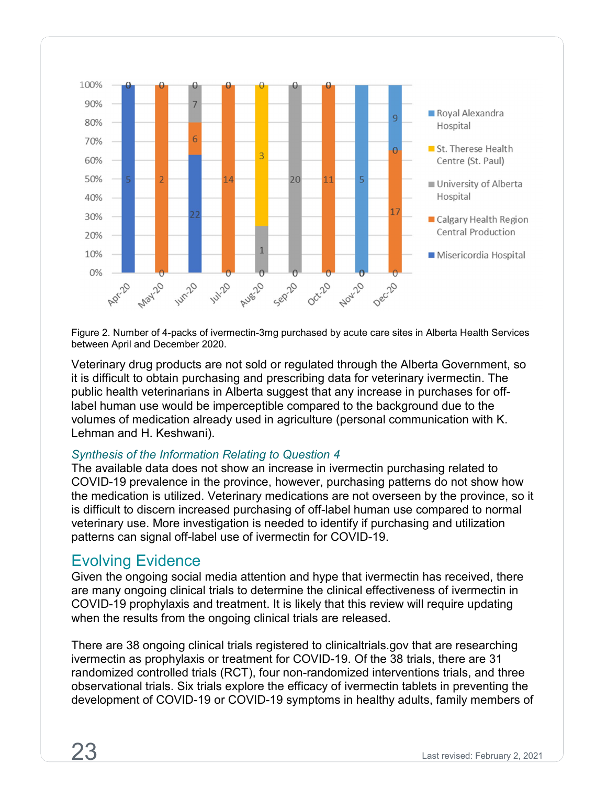

Figure 2. Number of 4-packs of ivermectin-3mg purchased by acute care sites in Alberta Health Services between April and December 2020.

Veterinary drug products are not sold or regulated through the Alberta Government, so it is difficult to obtain purchasing and prescribing data for veterinary ivermectin. The public health veterinarians in Alberta suggest that any increase in purchases for offlabel human use would be imperceptible compared to the background due to the volumes of medication already used in agriculture (personal communication with K. Lehman and H. Keshwani).

#### *Synthesis of the Information Relating to Question 4*

The available data does not show an increase in ivermectin purchasing related to COVID-19 prevalence in the province, however, purchasing patterns do not show how the medication is utilized. Veterinary medications are not overseen by the province, so it is difficult to discern increased purchasing of off-label human use compared to normal veterinary use. More investigation is needed to identify if purchasing and utilization patterns can signal off-label use of ivermectin for COVID-19.

## <span id="page-26-0"></span>Evolving Evidence

Given the ongoing social media attention and hype that ivermectin has received, there are many ongoing clinical trials to determine the clinical effectiveness of ivermectin in COVID-19 prophylaxis and treatment. It is likely that this review will require updating when the results from the ongoing clinical trials are released.

There are 38 ongoing clinical trials registered to clinicaltrials.gov that are researching ivermectin as prophylaxis or treatment for COVID-19. Of the 38 trials, there are 31 randomized controlled trials (RCT), four non-randomized interventions trials, and three observational trials. Six trials explore the efficacy of ivermectin tablets in preventing the development of COVID-19 or COVID-19 symptoms in healthy adults, family members of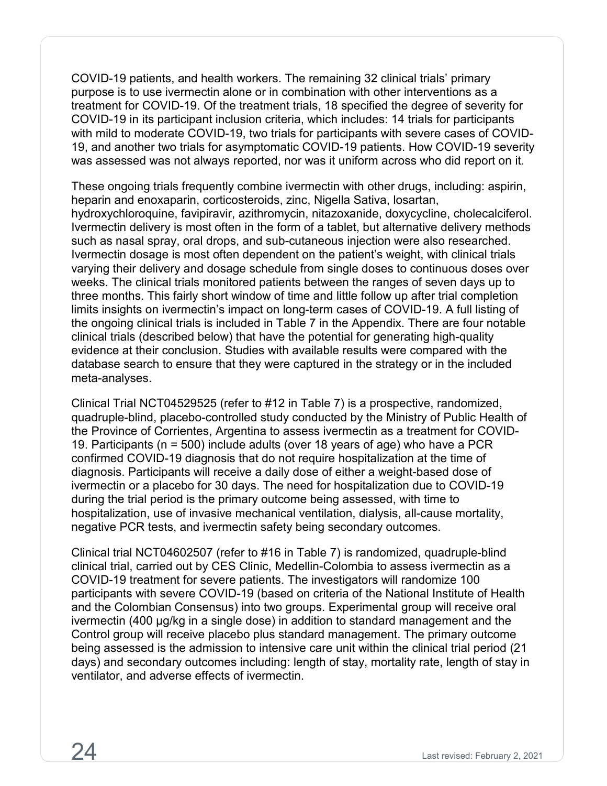COVID-19 patients, and health workers. The remaining 32 clinical trials' primary purpose is to use ivermectin alone or in combination with other interventions as a treatment for COVID-19. Of the treatment trials, 18 specified the degree of severity for COVID-19 in its participant inclusion criteria, which includes: 14 trials for participants with mild to moderate COVID-19, two trials for participants with severe cases of COVID-19, and another two trials for asymptomatic COVID-19 patients. How COVID-19 severity was assessed was not always reported, nor was it uniform across who did report on it.

These ongoing trials frequently combine ivermectin with other drugs, including: aspirin, heparin and enoxaparin, corticosteroids, zinc, Nigella Sativa, losartan, hydroxychloroquine, favipiravir, azithromycin, nitazoxanide, doxycycline, cholecalciferol. Ivermectin delivery is most often in the form of a tablet, but alternative delivery methods such as nasal spray, oral drops, and sub-cutaneous injection were also researched. Ivermectin dosage is most often dependent on the patient's weight, with clinical trials varying their delivery and dosage schedule from single doses to continuous doses over weeks. The clinical trials monitored patients between the ranges of seven days up to three months. This fairly short window of time and little follow up after trial completion limits insights on ivermectin's impact on long-term cases of COVID-19. A full listing of the ongoing clinical trials is included in Table 7 in the Appendix. There are four notable clinical trials (described below) that have the potential for generating high-quality evidence at their conclusion. Studies with available results were compared with the database search to ensure that they were captured in the strategy or in the included meta-analyses.

Clinical Trial NCT04529525 (refer to #12 in Table 7) is a prospective, randomized, quadruple-blind, placebo-controlled study conducted by the Ministry of Public Health of the Province of Corrientes, Argentina to assess ivermectin as a treatment for COVID-19. Participants (n = 500) include adults (over 18 years of age) who have a PCR confirmed COVID-19 diagnosis that do not require hospitalization at the time of diagnosis. Participants will receive a daily dose of either a weight-based dose of ivermectin or a placebo for 30 days. The need for hospitalization due to COVID-19 during the trial period is the primary outcome being assessed, with time to hospitalization, use of invasive mechanical ventilation, dialysis, all-cause mortality, negative PCR tests, and ivermectin safety being secondary outcomes.

Clinical trial NCT04602507 (refer to #16 in Table 7) is randomized, quadruple-blind clinical trial, carried out by CES Clinic, Medellin-Colombia to assess ivermectin as a COVID-19 treatment for severe patients. The investigators will randomize 100 participants with severe COVID-19 (based on criteria of the National Institute of Health and the Colombian Consensus) into two groups. Experimental group will receive oral ivermectin (400 µg/kg in a single dose) in addition to standard management and the Control group will receive placebo plus standard management. The primary outcome being assessed is the admission to intensive care unit within the clinical trial period (21 days) and secondary outcomes including: length of stay, mortality rate, length of stay in ventilator, and adverse effects of ivermectin.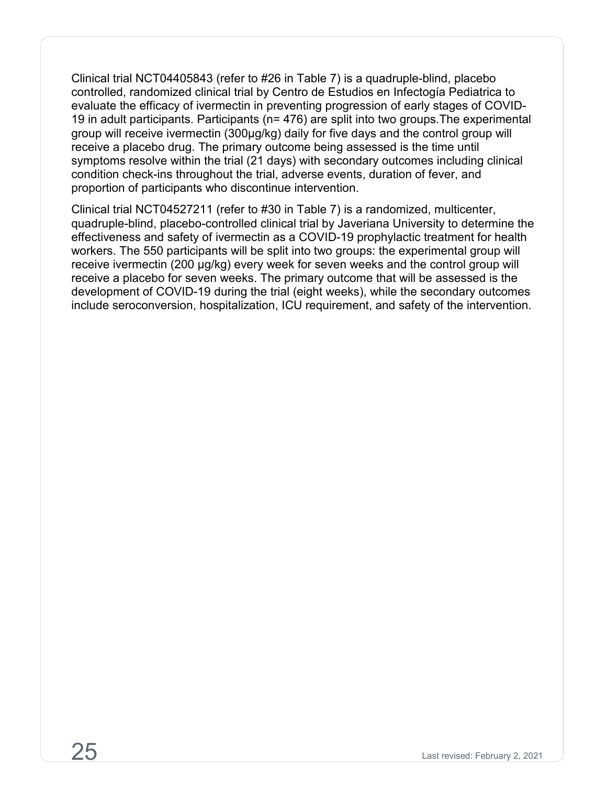Clinical trial NCT04405843 (refer to #26 in Table 7) is a quadruple-blind, placebo controlled, randomized clinical trial by Centro de Estudios en Infectogía Pediatrica to evaluate the efficacy of ivermectin in preventing progression of early stages of COVID-19 in adult participants. Participants (n= 476) are split into two groups.The experimental group will receive ivermectin (300µg/kg) daily for five days and the control group will receive a placebo drug. The primary outcome being assessed is the time until symptoms resolve within the trial (21 days) with secondary outcomes including clinical condition check-ins throughout the trial, adverse events, duration of fever, and proportion of participants who discontinue intervention.

Clinical trial NCT04527211 (refer to #30 in Table 7) is a randomized, multicenter, quadruple-blind, placebo-controlled clinical trial by Javeriana University to determine the effectiveness and safety of ivermectin as a COVID-19 prophylactic treatment for health workers. The 550 participants will be split into two groups: the experimental group will receive ivermectin (200 µg/kg) every week for seven weeks and the control group will receive a placebo for seven weeks. The primary outcome that will be assessed is the development of COVID-19 during the trial (eight weeks), while the secondary outcomes include seroconversion, hospitalization, ICU requirement, and safety of the intervention.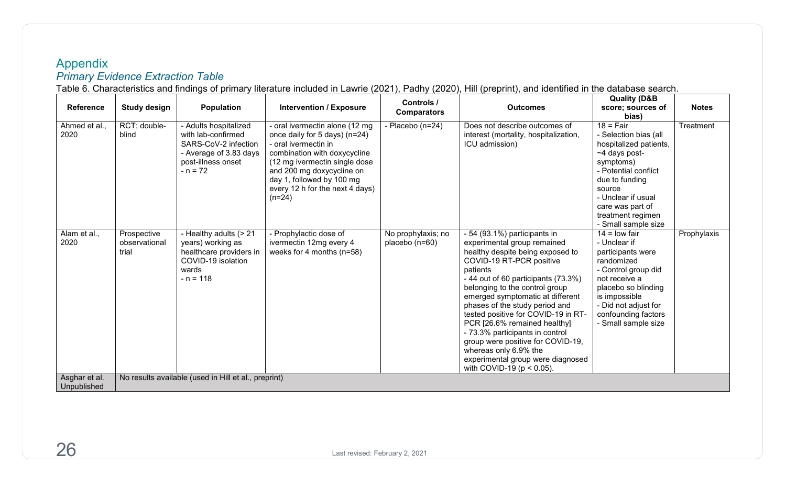# Appendix *Primary Evidence Extraction Table*

Table 6. Characteristics and findings of primary literature included in Lawrie (2021), Padhy (2020), Hill (preprint), and identified in the database search.

<span id="page-29-1"></span><span id="page-29-0"></span>

| <b>Reference</b>             | <b>Study design</b>                                  | <b>Population</b>                                                                                                                 | <b>Intervention / Exposure</b>                                                                                                                                                                                                                                    | Controls /<br><b>Comparators</b>       | <b>Outcomes</b>                                                                                                                                                                                                                                                                                                                                                                                                                                                                                                                      | <b>Quality (D&amp;B</b><br>score; sources of                                                                                                                                                                                                           | <b>Notes</b> |  |  |  |
|------------------------------|------------------------------------------------------|-----------------------------------------------------------------------------------------------------------------------------------|-------------------------------------------------------------------------------------------------------------------------------------------------------------------------------------------------------------------------------------------------------------------|----------------------------------------|--------------------------------------------------------------------------------------------------------------------------------------------------------------------------------------------------------------------------------------------------------------------------------------------------------------------------------------------------------------------------------------------------------------------------------------------------------------------------------------------------------------------------------------|--------------------------------------------------------------------------------------------------------------------------------------------------------------------------------------------------------------------------------------------------------|--------------|--|--|--|
| Ahmed et al.,<br>2020        | RCT; double-<br>blind                                | - Adults hospitalized<br>with lab-confirmed<br>SARS-CoV-2 infection<br>- Average of 3.83 days<br>post-illness onset<br>$- n = 72$ | - oral ivermectin alone (12 mg<br>once daily for 5 days) (n=24)<br>- oral ivermectin in<br>combination with doxycycline<br>(12 mg ivermectin single dose<br>and 200 mg doxycycline on<br>day 1, followed by 100 mg<br>every 12 h for the next 4 days)<br>$(n=24)$ | - Placebo (n=24)                       | Does not describe outcomes of<br>interest (mortality, hospitalization,<br>ICU admission)                                                                                                                                                                                                                                                                                                                                                                                                                                             | bias)<br>$18 = \text{Fair}$<br>- Selection bias (all<br>hospitalized patients,<br>~4 days post-<br>symptoms)<br>- Potential conflict<br>due to funding<br>source<br>- Unclear if usual<br>care was part of<br>treatment regimen<br>- Small sample size | Treatment    |  |  |  |
| Alam et al.,<br>2020         | Prospective<br>observational<br>trial                | - Healthy adults (> 21<br>years) working as<br>healthcare providers in<br>COVID-19 isolation<br>wards<br>$- n = 118$              | - Prophylactic dose of<br>ivermectin 12mg every 4<br>weeks for 4 months $(n=58)$                                                                                                                                                                                  | No prophylaxis; no<br>placebo $(n=60)$ | - 54 (93.1%) participants in<br>experimental group remained<br>healthy despite being exposed to<br>COVID-19 RT-PCR positive<br>patients<br>- 44 out of 60 participants (73.3%)<br>belonging to the control group<br>emerged symptomatic at different<br>phases of the study period and<br>tested positive for COVID-19 in RT-<br>PCR [26.6% remained healthy]<br>- 73.3% participants in control<br>group were positive for COVID-19,<br>whereas only 6.9% the<br>experimental group were diagnosed<br>with COVID-19 ( $p < 0.05$ ). | $14 =$ low fair<br>- Unclear if<br>participants were<br>randomized<br>- Control group did<br>not receive a<br>placebo so blinding<br>is impossible<br>- Did not adjust for<br>confounding factors<br>- Small sample size                               | Prophylaxis  |  |  |  |
| Asghar et al.<br>Unpublished | No results available (used in Hill et al., preprint) |                                                                                                                                   |                                                                                                                                                                                                                                                                   |                                        |                                                                                                                                                                                                                                                                                                                                                                                                                                                                                                                                      |                                                                                                                                                                                                                                                        |              |  |  |  |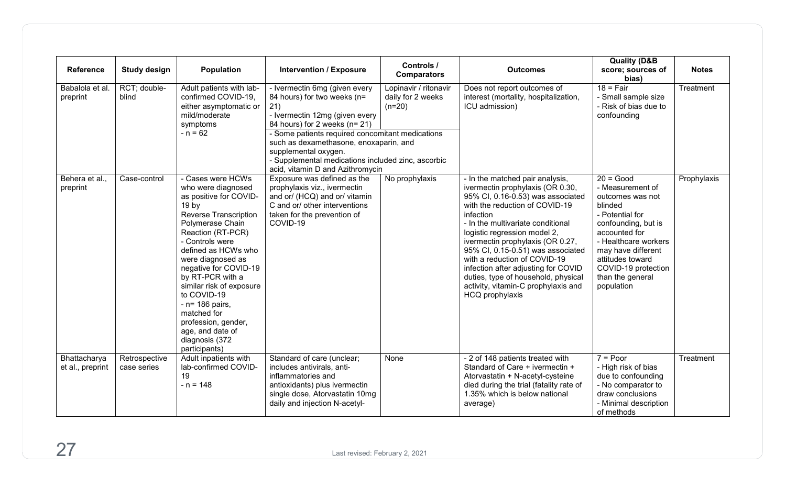| <b>Reference</b>                 | <b>Study design</b>          | <b>Population</b>                                                                                                                                                                                                                                                                                                                                                                                                                     | <b>Intervention / Exposure</b>                                                                                                                                                                                                                                                                                                                         | Controls /<br><b>Comparators</b>                       | <b>Outcomes</b>                                                                                                                                                                                                                                                                                                                                                                                                                                                               | <b>Quality (D&amp;B</b><br>score; sources of<br>bias)                                                                                                                                                                                                | <b>Notes</b> |
|----------------------------------|------------------------------|---------------------------------------------------------------------------------------------------------------------------------------------------------------------------------------------------------------------------------------------------------------------------------------------------------------------------------------------------------------------------------------------------------------------------------------|--------------------------------------------------------------------------------------------------------------------------------------------------------------------------------------------------------------------------------------------------------------------------------------------------------------------------------------------------------|--------------------------------------------------------|-------------------------------------------------------------------------------------------------------------------------------------------------------------------------------------------------------------------------------------------------------------------------------------------------------------------------------------------------------------------------------------------------------------------------------------------------------------------------------|------------------------------------------------------------------------------------------------------------------------------------------------------------------------------------------------------------------------------------------------------|--------------|
| Babalola et al.<br>preprint      | RCT; double-<br>blind        | Adult patients with lab-<br>confirmed COVID-19,<br>either asymptomatic or<br>mild/moderate<br>symptoms<br>$- n = 62$                                                                                                                                                                                                                                                                                                                  | - Ivermectin 6mg (given every<br>84 hours) for two weeks (n=<br>21)<br>- Ivermectin 12mg (given every<br>84 hours) for 2 weeks (n= 21)<br>- Some patients required concomitant medications<br>such as dexamethasone, enoxaparin, and<br>supplemental oxygen.<br>- Supplemental medications included zinc, ascorbic<br>acid, vitamin D and Azithromycin | Lopinavir / ritonavir<br>daily for 2 weeks<br>$(n=20)$ | Does not report outcomes of<br>interest (mortality, hospitalization,<br>ICU admission)                                                                                                                                                                                                                                                                                                                                                                                        | $18 = \text{Fair}$<br>- Small sample size<br>- Risk of bias due to<br>confounding                                                                                                                                                                    | Treatment    |
| Behera et al.,<br>preprint       | Case-control                 | - Cases were HCWs<br>who were diagnosed<br>as positive for COVID-<br>19 <sub>by</sub><br><b>Reverse Transcription</b><br>Polymerase Chain<br>Reaction (RT-PCR)<br>- Controls were<br>defined as HCWs who<br>were diagnosed as<br>negative for COVID-19<br>by RT-PCR with a<br>similar risk of exposure<br>to COVID-19<br>- n= 186 pairs,<br>matched for<br>profession, gender,<br>age, and date of<br>diagnosis (372<br>participants) | Exposure was defined as the<br>prophylaxis viz., ivermectin<br>and or/ (HCQ) and or/ vitamin<br>C and or/ other interventions<br>taken for the prevention of<br>COVID-19                                                                                                                                                                               | No prophylaxis                                         | - In the matched pair analysis,<br>ivermectin prophylaxis (OR 0.30,<br>95% CI, 0.16-0.53) was associated<br>with the reduction of COVID-19<br>infection<br>- In the multivariate conditional<br>logistic regression model 2,<br>ivermectin prophylaxis (OR 0.27,<br>95% CI, 0.15-0.51) was associated<br>with a reduction of COVID-19<br>infection after adjusting for COVID<br>duties, type of household, physical<br>activity, vitamin-C prophylaxis and<br>HCQ prophylaxis | $20 = Good$<br>- Measurement of<br>outcomes was not<br>blinded<br>- Potential for<br>confounding, but is<br>accounted for<br>- Healthcare workers<br>may have different<br>attitudes toward<br>COVID-19 protection<br>than the general<br>population | Prophylaxis  |
| Bhattacharya<br>et al., preprint | Retrospective<br>case series | Adult inpatients with<br>lab-confirmed COVID-<br>19<br>$- n = 148$                                                                                                                                                                                                                                                                                                                                                                    | Standard of care (unclear;<br>includes antivirals, anti-<br>inflammatories and<br>antioxidants) plus ivermectin<br>single dose, Atorvastatin 10mg<br>daily and injection N-acetyl-                                                                                                                                                                     | None                                                   | - 2 of 148 patients treated with<br>Standard of Care + ivermectin +<br>Atorvastatin + N-acetyl-cysteine<br>died during the trial (fatality rate of<br>1.35% which is below national<br>average)                                                                                                                                                                                                                                                                               | $7 = Poor$<br>- High risk of bias<br>due to confounding<br>- No comparator to<br>draw conclusions<br>- Minimal description<br>of methods                                                                                                             | Treatment    |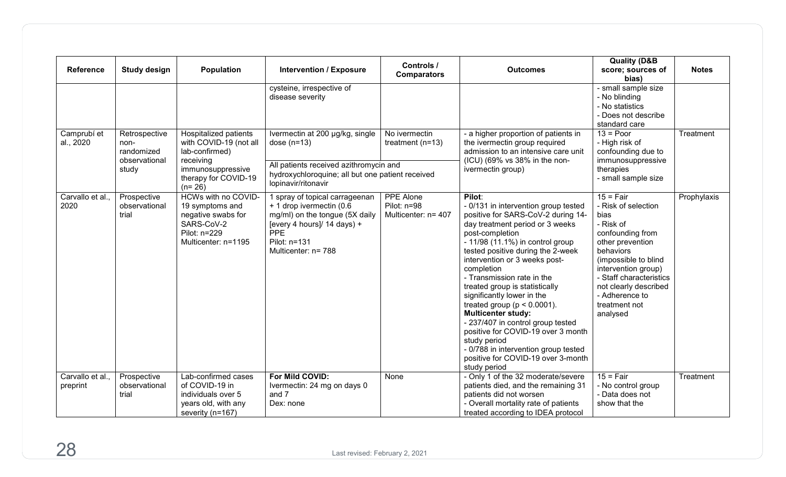| <b>Reference</b>            | <b>Study design</b>                                           | <b>Population</b>                                                                                                                       | <b>Intervention / Exposure</b>                                                                                                                                                     | Controls /<br><b>Comparators</b>                | <b>Outcomes</b>                                                                                                                                                                                                                                                                                                                                                                                                                                                                                                                                                                                                            | <b>Quality (D&amp;B</b><br>score; sources of<br>bias)                                                                                                                                                                                                          | <b>Notes</b> |
|-----------------------------|---------------------------------------------------------------|-----------------------------------------------------------------------------------------------------------------------------------------|------------------------------------------------------------------------------------------------------------------------------------------------------------------------------------|-------------------------------------------------|----------------------------------------------------------------------------------------------------------------------------------------------------------------------------------------------------------------------------------------------------------------------------------------------------------------------------------------------------------------------------------------------------------------------------------------------------------------------------------------------------------------------------------------------------------------------------------------------------------------------------|----------------------------------------------------------------------------------------------------------------------------------------------------------------------------------------------------------------------------------------------------------------|--------------|
|                             |                                                               |                                                                                                                                         | cysteine, irrespective of<br>disease severity                                                                                                                                      |                                                 |                                                                                                                                                                                                                                                                                                                                                                                                                                                                                                                                                                                                                            | - small sample size<br>- No blinding<br>- No statistics<br>- Does not describe<br>standard care                                                                                                                                                                |              |
| Camprubi et<br>al., 2020    | Retrospective<br>non-<br>randomized<br>observational<br>study | Hospitalized patients<br>with COVID-19 (not all<br>lab-confirmed)<br>receiving<br>immunosuppressive<br>therapy for COVID-19<br>$(n=26)$ | Ivermectin at 200 µg/kg, single<br>dose $(n=13)$<br>All patients received azithromycin and<br>hydroxychloroquine; all but one patient received<br>lopinavir/ritonavir              | No ivermectin<br>treatment $(n=13)$             | - a higher proportion of patients in<br>the ivermectin group required<br>admission to an intensive care unit<br>(ICU) (69% vs 38% in the non-<br>ivermectin group)                                                                                                                                                                                                                                                                                                                                                                                                                                                         | $13 = Poor$<br>- High risk of<br>confounding due to<br>immunosuppressive<br>therapies<br>- small sample size                                                                                                                                                   | Treatment    |
| Carvallo et al.,<br>2020    | Prospective<br>observational<br>trial                         | HCWs with no COVID-<br>19 symptoms and<br>negative swabs for<br>SARS-CoV-2<br>Pilot: n=229<br>Multicenter: n=1195                       | 1 spray of topical carrageenan<br>+ 1 drop ivermectin (0.6<br>mg/ml) on the tongue (5X daily<br>[every 4 hours]/ $14$ days) +<br><b>PPE</b><br>Pilot: n=131<br>Multicenter: n= 788 | PPE Alone<br>Pilot: n=98<br>Multicenter: n= 407 | Pilot:<br>- 0/131 in intervention group tested<br>positive for SARS-CoV-2 during 14-<br>day treatment period or 3 weeks<br>post-completion<br>$-11/98$ (11.1%) in control group<br>tested positive during the 2-week<br>intervention or 3 weeks post-<br>completion<br>- Transmission rate in the<br>treated group is statistically<br>significantly lower in the<br>treated group ( $p < 0.0001$ ).<br><b>Multicenter study:</b><br>- 237/407 in control group tested<br>positive for COVID-19 over 3 month<br>study period<br>- 0/788 in intervention group tested<br>positive for COVID-19 over 3-month<br>study period | $15 = Fair$<br>- Risk of selection<br>bias<br>- Risk of<br>confounding from<br>other prevention<br>behaviors<br>(impossible to blind<br>intervention group)<br>- Staff characteristics<br>not clearly described<br>- Adherence to<br>treatment not<br>analysed | Prophylaxis  |
| Carvallo et al.<br>preprint | Prospective<br>observational<br>trial                         | Lab-confirmed cases<br>of COVID-19 in<br>individuals over 5<br>years old, with any<br>severity (n=167)                                  | For Mild COVID:<br>Ivermectin: 24 mg on days 0<br>and 7<br>Dex: none                                                                                                               | None                                            | - Only 1 of the 32 moderate/severe<br>patients died, and the remaining 31<br>patients did not worsen<br>- Overall mortality rate of patients<br>treated according to IDEA protocol                                                                                                                                                                                                                                                                                                                                                                                                                                         | $15 = Fair$<br>- No control group<br>- Data does not<br>show that the                                                                                                                                                                                          | Treatment    |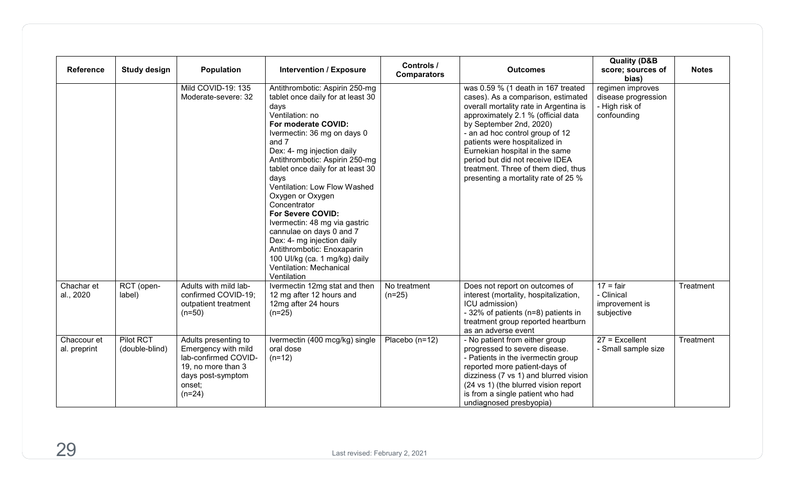| <b>Reference</b>            | <b>Study design</b>         | Population                                                                                                                           | <b>Intervention / Exposure</b>                                                                                                                                                                                                                                                                                                                                                                                                                                                                                                                                          | Controls /<br><b>Comparators</b> | <b>Outcomes</b>                                                                                                                                                                                                                                                                                                                                                                                            | <b>Quality (D&amp;B</b><br>score; sources of<br>bias)                    | <b>Notes</b> |
|-----------------------------|-----------------------------|--------------------------------------------------------------------------------------------------------------------------------------|-------------------------------------------------------------------------------------------------------------------------------------------------------------------------------------------------------------------------------------------------------------------------------------------------------------------------------------------------------------------------------------------------------------------------------------------------------------------------------------------------------------------------------------------------------------------------|----------------------------------|------------------------------------------------------------------------------------------------------------------------------------------------------------------------------------------------------------------------------------------------------------------------------------------------------------------------------------------------------------------------------------------------------------|--------------------------------------------------------------------------|--------------|
|                             |                             | Mild COVID-19: 135<br>Moderate-severe: 32                                                                                            | Antithrombotic: Aspirin 250-mg<br>tablet once daily for at least 30<br>days<br>Ventilation: no<br>For moderate COVID:<br>Ivermectin: 36 mg on days 0<br>and 7<br>Dex: 4- mg injection daily<br>Antithrombotic: Aspirin 250-mg<br>tablet once daily for at least 30<br>days<br>Ventilation: Low Flow Washed<br>Oxygen or Oxygen<br>Concentrator<br>For Severe COVID:<br>Ivermectin: 48 mg via gastric<br>cannulae on days 0 and 7<br>Dex: 4- mg injection daily<br>Antithrombotic: Enoxaparin<br>100 UI/kg (ca. 1 mg/kg) daily<br>Ventilation: Mechanical<br>Ventilation |                                  | was 0.59 % (1 death in 167 treated<br>cases). As a comparison, estimated<br>overall mortality rate in Argentina is<br>approximately 2.1 % (official data<br>by September 2nd, 2020)<br>- an ad hoc control group of 12<br>patients were hospitalized in<br>Eurnekian hospital in the same<br>period but did not receive IDEA<br>treatment. Three of them died, thus<br>presenting a mortality rate of 25 % | regimen improves<br>disease progression<br>- High risk of<br>confounding |              |
| Chachar et<br>al., 2020     | RCT (open-<br>label)        | Adults with mild lab-<br>confirmed COVID-19;<br>outpatient treatment<br>$(n=50)$                                                     | Ivermectin 12mg stat and then<br>12 mg after 12 hours and<br>12mg after 24 hours<br>$(n=25)$                                                                                                                                                                                                                                                                                                                                                                                                                                                                            | No treatment<br>$(n=25)$         | Does not report on outcomes of<br>interest (mortality, hospitalization,<br>ICU admission)<br>- 32% of patients (n=8) patients in<br>treatment group reported heartburn<br>as an adverse event                                                                                                                                                                                                              | $17 = \text{fair}$<br>- Clinical<br>improvement is<br>subjective         | Treatment    |
| Chaccour et<br>al. preprint | Pilot RCT<br>(double-blind) | Adults presenting to<br>Emergency with mild<br>lab-confirmed COVID-<br>19, no more than 3<br>days post-symptom<br>onset;<br>$(n=24)$ | Ivermectin (400 mcg/kg) single<br>oral dose<br>$(n=12)$                                                                                                                                                                                                                                                                                                                                                                                                                                                                                                                 | Placebo (n=12)                   | - No patient from either group<br>progressed to severe disease.<br>- Patients in the ivermectin group<br>reported more patient-days of<br>dizziness (7 vs 1) and blurred vision<br>(24 vs 1) (the blurred vision report<br>is from a single patient who had<br>undiagnosed presbyopia)                                                                                                                     | $27$ = Excellent<br>- Small sample size                                  | Treatment    |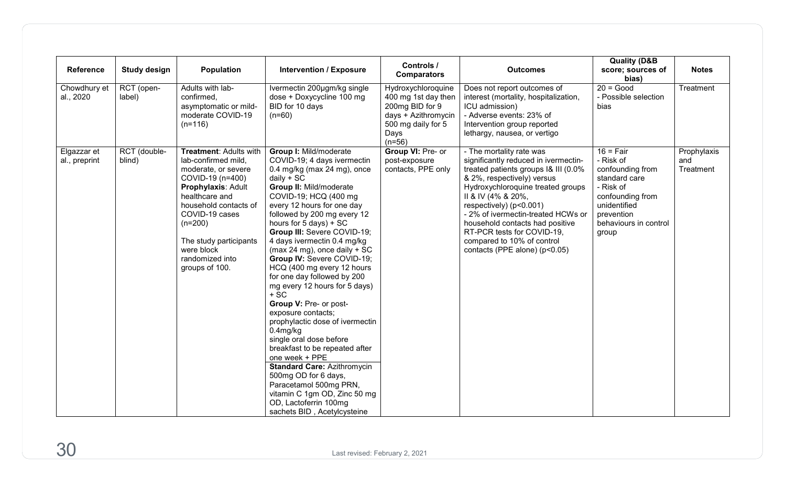| Reference                    | Study design           | Population                                                                                                                                                                                                                                                            | <b>Intervention / Exposure</b>                                                                                                                                                                                                                                                                                                                                                                                                                                                                                                                                                                                                                                                                                                                                                                                                                                                   | Controls /<br><b>Comparators</b>                                                                                              | <b>Outcomes</b>                                                                                                                                                                                                                                                                                                                                                                                    | <b>Quality (D&amp;B</b><br>score; sources of<br>bias)                                                                                                          | <b>Notes</b>                    |
|------------------------------|------------------------|-----------------------------------------------------------------------------------------------------------------------------------------------------------------------------------------------------------------------------------------------------------------------|----------------------------------------------------------------------------------------------------------------------------------------------------------------------------------------------------------------------------------------------------------------------------------------------------------------------------------------------------------------------------------------------------------------------------------------------------------------------------------------------------------------------------------------------------------------------------------------------------------------------------------------------------------------------------------------------------------------------------------------------------------------------------------------------------------------------------------------------------------------------------------|-------------------------------------------------------------------------------------------------------------------------------|----------------------------------------------------------------------------------------------------------------------------------------------------------------------------------------------------------------------------------------------------------------------------------------------------------------------------------------------------------------------------------------------------|----------------------------------------------------------------------------------------------------------------------------------------------------------------|---------------------------------|
| Chowdhury et<br>al., 2020    | RCT (open-<br>label)   | Adults with lab-<br>confirmed,<br>asymptomatic or mild-<br>moderate COVID-19<br>$(n=116)$                                                                                                                                                                             | Ivermectin 200µgm/kg single<br>dose + Doxycycline 100 mg<br>BID for 10 days<br>$(n=60)$                                                                                                                                                                                                                                                                                                                                                                                                                                                                                                                                                                                                                                                                                                                                                                                          | Hydroxychloroquine<br>400 mg 1st day then<br>200mg BID for 9<br>days + Azithromycin<br>500 mg daily for 5<br>Days<br>$(n=56)$ | Does not report outcomes of<br>interest (mortality, hospitalization,<br>ICU admission)<br>- Adverse events: 23% of<br>Intervention group reported<br>lethargy, nausea, or vertigo                                                                                                                                                                                                                  | $20 = Good$<br>- Possible selection<br>bias                                                                                                                    | Treatment                       |
| Elgazzar et<br>al., preprint | RCT (double-<br>blind) | Treatment: Adults with<br>lab-confirmed mild,<br>moderate, or severe<br>COVID-19 (n=400)<br>Prophylaxis: Adult<br>healthcare and<br>household contacts of<br>COVID-19 cases<br>$(n=200)$<br>The study participants<br>were block<br>randomized into<br>groups of 100. | <b>Group I: Mild/moderate</b><br>COVID-19; 4 days ivermectin<br>0.4 mg/kg (max 24 mg), once<br>$d$ aily + SC<br><b>Group II: Mild/moderate</b><br>COVID-19; HCQ (400 mg<br>every 12 hours for one day<br>followed by 200 mg every 12<br>hours for 5 days) + SC<br>Group III: Severe COVID-19;<br>4 days ivermectin 0.4 mg/kg<br>(max 24 mg), once daily $+$ SC<br>Group IV: Severe COVID-19;<br>HCQ (400 mg every 12 hours<br>for one day followed by 200<br>mg every 12 hours for 5 days)<br>$+ \overline{SC}$<br>Group V: Pre- or post-<br>exposure contacts;<br>prophylactic dose of ivermectin<br>$0.4$ mg/kg<br>single oral dose before<br>breakfast to be repeated after<br>one week + PPE<br><b>Standard Care: Azithromycin</b><br>500mg OD for 6 days,<br>Paracetamol 500mg PRN,<br>vitamin C 1gm OD, Zinc 50 mg<br>OD, Lactoferrin 100mg<br>sachets BID, Acetylcysteine | Group VI: Pre- or<br>post-exposure<br>contacts, PPE only                                                                      | - The mortality rate was<br>significantly reduced in ivermectin-<br>treated patients groups I& III (0.0%<br>& 2%, respectively) versus<br>Hydroxychloroquine treated groups<br>II & IV (4% & 20%,<br>respectively) (p<0.001)<br>- 2% of ivermectin-treated HCWs or<br>household contacts had positive<br>RT-PCR tests for COVID-19,<br>compared to 10% of control<br>contacts (PPE alone) (p<0.05) | $16 = Fair$<br>- Risk of<br>confounding from<br>standard care<br>- Risk of<br>confounding from<br>unidentified<br>prevention<br>behaviours in control<br>group | Prophylaxis<br>and<br>Treatment |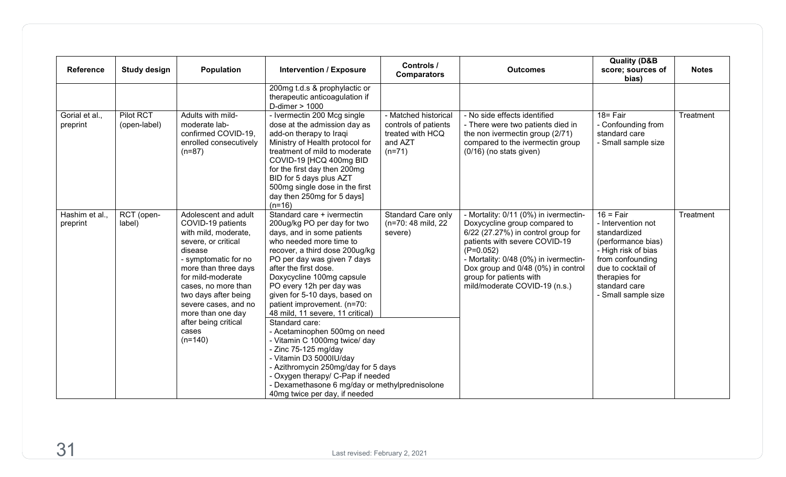| <b>Reference</b>           | <b>Study design</b>       | Population                                                                                                                                                                                                                                                                                                         | <b>Intervention / Exposure</b>                                                                                                                                                                                                                                                                                                                                                                                                                                                                                                                                                                                                                 | Controls /<br><b>Comparators</b>                                                        | <b>Outcomes</b>                                                                                                                                                                                                                                                                                         | <b>Quality (D&amp;B</b><br>score; sources of<br>bias)                                                                                                                                             | <b>Notes</b> |
|----------------------------|---------------------------|--------------------------------------------------------------------------------------------------------------------------------------------------------------------------------------------------------------------------------------------------------------------------------------------------------------------|------------------------------------------------------------------------------------------------------------------------------------------------------------------------------------------------------------------------------------------------------------------------------------------------------------------------------------------------------------------------------------------------------------------------------------------------------------------------------------------------------------------------------------------------------------------------------------------------------------------------------------------------|-----------------------------------------------------------------------------------------|---------------------------------------------------------------------------------------------------------------------------------------------------------------------------------------------------------------------------------------------------------------------------------------------------------|---------------------------------------------------------------------------------------------------------------------------------------------------------------------------------------------------|--------------|
|                            |                           |                                                                                                                                                                                                                                                                                                                    | 200mg t.d.s & prophylactic or<br>therapeutic anticoagulation if<br>D-dimer > 1000                                                                                                                                                                                                                                                                                                                                                                                                                                                                                                                                                              |                                                                                         |                                                                                                                                                                                                                                                                                                         |                                                                                                                                                                                                   |              |
| Gorial et al.,<br>preprint | Pilot RCT<br>(open-label) | Adults with mild-<br>moderate lab-<br>confirmed COVID-19,<br>enrolled consecutively<br>$(n=87)$                                                                                                                                                                                                                    | - Ivermectin 200 Mcg single<br>dose at the admission day as<br>add-on therapy to Iraqi<br>Ministry of Health protocol for<br>treatment of mild to moderate<br>COVID-19 [HCQ 400mg BID<br>for the first day then 200mg<br>BID for 5 days plus AZT<br>500mg single dose in the first<br>day then 250mg for 5 days]<br>$(n=16)$                                                                                                                                                                                                                                                                                                                   | - Matched historical<br>controls of patients<br>treated with HCQ<br>and AZT<br>$(n=71)$ | - No side effects identified<br>- There were two patients died in<br>the non ivermectin group (2/71)<br>compared to the ivermectin group<br>(0/16) (no stats given)                                                                                                                                     | $18 = \overline{Fair}$<br>- Confounding from<br>standard care<br>- Small sample size                                                                                                              | Treatment    |
| Hashim et al.,<br>preprint | RCT (open-<br>label)      | Adolescent and adult<br>COVID-19 patients<br>with mild, moderate,<br>severe, or critical<br>disease<br>- symptomatic for no<br>more than three days<br>for mild-moderate<br>cases, no more than<br>two days after being<br>severe cases, and no<br>more than one day<br>after being critical<br>cases<br>$(n=140)$ | Standard care + ivermectin<br>200ug/kg PO per day for two<br>days, and in some patients<br>who needed more time to<br>recover, a third dose 200ug/kg<br>PO per day was given 7 days<br>after the first dose.<br>Doxycycline 100mg capsule<br>PO every 12h per day was<br>given for 5-10 days, based on<br>patient improvement. (n=70:<br>48 mild, 11 severe, 11 critical)<br>Standard care:<br>- Acetaminophen 500mg on need<br>- Vitamin C 1000mg twice/ day<br>- Zinc 75-125 mg/day<br>- Vitamin D3 5000IU/day<br>- Azithromycin 250mg/day for 5 days<br>- Oxygen therapy/ C-Pap if needed<br>- Dexamethasone 6 mg/day or methylprednisolone | <b>Standard Care only</b><br>(n=70: 48 mild, 22<br>severe)                              | - Mortality: 0/11 (0%) in ivermectin-<br>Doxycycline group compared to<br>6/22 (27.27%) in control group for<br>patients with severe COVID-19<br>$(P=0.052)$<br>- Mortality: 0/48 (0%) in ivermectin-<br>Dox group and 0/48 (0%) in control<br>group for patients with<br>mild/moderate COVID-19 (n.s.) | $16 = Fair$<br>- Intervention not<br>standardized<br>(performance bias)<br>- High risk of bias<br>from confounding<br>due to cocktail of<br>therapies for<br>standard care<br>- Small sample size | Treatment    |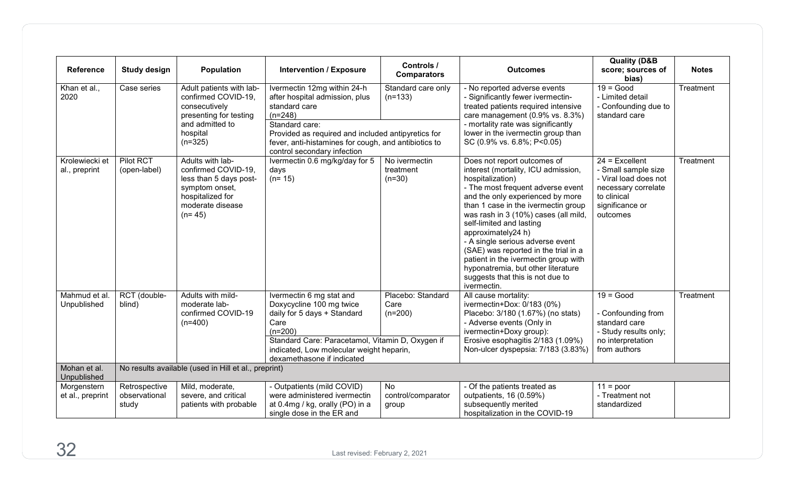| <b>Reference</b>                | <b>Study design</b>                     | <b>Population</b>                                                                                                                       | <b>Intervention / Exposure</b>                                                                                                                                                                                                                             | Controls /<br><b>Comparators</b>       | <b>Outcomes</b>                                                                                                                                                                                                                                                                                                                                                                                                                                                                                               | <b>Quality (D&amp;B</b><br>score; sources of<br>bias)                                                                                 | <b>Notes</b> |
|---------------------------------|-----------------------------------------|-----------------------------------------------------------------------------------------------------------------------------------------|------------------------------------------------------------------------------------------------------------------------------------------------------------------------------------------------------------------------------------------------------------|----------------------------------------|---------------------------------------------------------------------------------------------------------------------------------------------------------------------------------------------------------------------------------------------------------------------------------------------------------------------------------------------------------------------------------------------------------------------------------------------------------------------------------------------------------------|---------------------------------------------------------------------------------------------------------------------------------------|--------------|
| Khan et al.,<br>2020            | Case series                             | Adult patients with lab-<br>confirmed COVID-19,<br>consecutively<br>presenting for testing<br>and admitted to<br>hospital<br>$(n=325)$  | Ivermectin 12mg within 24-h<br>after hospital admission, plus<br>standard care<br>$(n=248)$<br>Standard care:<br>Provided as required and included antipyretics for<br>fever, anti-histamines for cough, and antibiotics to<br>control secondary infection | Standard care only<br>$(n=133)$        | - No reported adverse events<br>- Significantly fewer ivermectin-<br>treated patients required intensive<br>care management (0.9% vs. 8.3%)<br>- mortality rate was significantly<br>lower in the ivermectin group than<br>SC (0.9% vs. 6.8%; P<0.05)                                                                                                                                                                                                                                                         | $19 = Good$<br>- Limited detail<br>- Confounding due to<br>standard care                                                              | Treatment    |
| Krolewiecki et<br>al., preprint | Pilot RCT<br>(open-label)               | Adults with lab-<br>confirmed COVID-19,<br>less than 5 days post-<br>symptom onset,<br>hospitalized for<br>moderate disease<br>$(n=45)$ | Ivermectin 0.6 mg/kg/day for 5<br>days<br>$(n=15)$                                                                                                                                                                                                         | No ivermectin<br>treatment<br>$(n=30)$ | Does not report outcomes of<br>interest (mortality, ICU admission,<br>hospitalization)<br>- The most frequent adverse event<br>and the only experienced by more<br>than 1 case in the ivermectin group<br>was rash in 3 (10%) cases (all mild,<br>self-limited and lasting<br>approximately24 h)<br>- A single serious adverse event<br>(SAE) was reported in the trial in a<br>patient in the ivermectin group with<br>hyponatremia, but other literature<br>suggests that this is not due to<br>ivermectin. | $24$ = Excellent<br>- Small sample size<br>- Viral load does not<br>necessary correlate<br>to clinical<br>significance or<br>outcomes | Treatment    |
| Mahmud et al.<br>Unpublished    | RCT (double-<br>blind)                  | Adults with mild-<br>moderate lab-<br>confirmed COVID-19<br>$(n=400)$                                                                   | Ivermectin 6 mg stat and<br>Doxycycline 100 mg twice<br>daily for 5 days + Standard<br>Care<br>$(n=200)$<br>Standard Care: Paracetamol, Vitamin D, Oxygen if<br>indicated, Low molecular weight heparin,<br>dexamethasone if indicated                     | Placebo: Standard<br>Care<br>$(n=200)$ | All cause mortality:<br>ivermectin+Dox: 0/183 (0%)<br>Placebo: 3/180 (1.67%) (no stats)<br>- Adverse events (Only in<br>ivermectin+Doxy group):<br>Erosive esophagitis 2/183 (1.09%)<br>Non-ulcer dyspepsia: 7/183 (3.83%)                                                                                                                                                                                                                                                                                    | $19 = Good$<br>- Confounding from<br>standard care<br>- Study results only;<br>no interpretation<br>from authors                      | Treatment    |
| Mohan et al.<br>Unpublished     |                                         | No results available (used in Hill et al., preprint)                                                                                    |                                                                                                                                                                                                                                                            |                                        |                                                                                                                                                                                                                                                                                                                                                                                                                                                                                                               |                                                                                                                                       |              |
| Morgenstern<br>et al., preprint | Retrospective<br>observational<br>study | Mild, moderate,<br>severe, and critical<br>patients with probable                                                                       | - Outpatients (mild COVID)<br>were administered ivermectin<br>at 0.4mg / kg, orally (PO) in a<br>single dose in the ER and                                                                                                                                 | No<br>control/comparator<br>group      | - Of the patients treated as<br>outpatients, 16 (0.59%)<br>subsequently merited<br>hospitalization in the COVID-19                                                                                                                                                                                                                                                                                                                                                                                            | $11 = poor$<br>- Treatment not<br>standardized                                                                                        |              |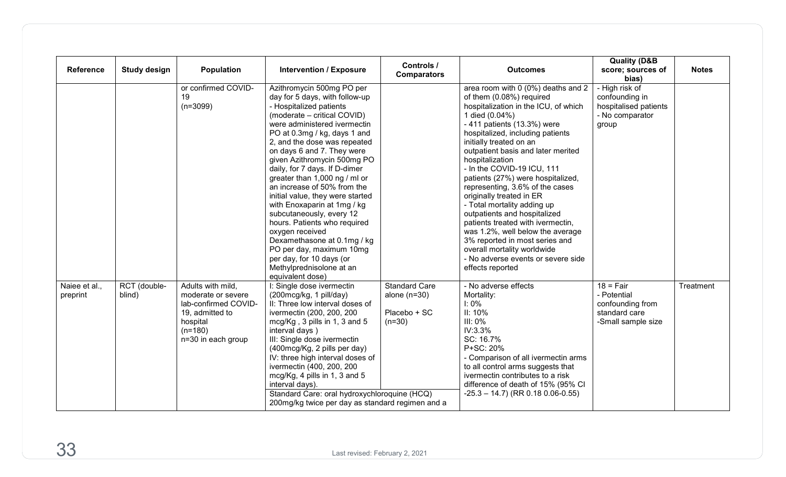| <b>Reference</b>          | <b>Study design</b>    | <b>Population</b>                                                                                                                 | <b>Intervention / Exposure</b>                                                                                                                                                                                                                                                                                                                                                                                                                                                                                                                                                                                                                                               | Controls /<br><b>Comparators</b>                                   | <b>Outcomes</b>                                                                                                                                                                                                                                                                                                                                                                                                                                                                                                                                                                                                                                                                      | <b>Quality (D&amp;B</b><br>score; sources of<br>bias)                                        | <b>Notes</b> |
|---------------------------|------------------------|-----------------------------------------------------------------------------------------------------------------------------------|------------------------------------------------------------------------------------------------------------------------------------------------------------------------------------------------------------------------------------------------------------------------------------------------------------------------------------------------------------------------------------------------------------------------------------------------------------------------------------------------------------------------------------------------------------------------------------------------------------------------------------------------------------------------------|--------------------------------------------------------------------|--------------------------------------------------------------------------------------------------------------------------------------------------------------------------------------------------------------------------------------------------------------------------------------------------------------------------------------------------------------------------------------------------------------------------------------------------------------------------------------------------------------------------------------------------------------------------------------------------------------------------------------------------------------------------------------|----------------------------------------------------------------------------------------------|--------------|
|                           |                        | or confirmed COVID-<br>19<br>$(n=3099)$                                                                                           | Azithromycin 500mg PO per<br>day for 5 days, with follow-up<br>- Hospitalized patients<br>(moderate - critical COVID)<br>were administered ivermectin<br>PO at 0.3mg / kg, days 1 and<br>2, and the dose was repeated<br>on days 6 and 7. They were<br>given Azithromycin 500mg PO<br>daily, for 7 days. If D-dimer<br>greater than 1,000 ng / ml or<br>an increase of 50% from the<br>initial value, they were started<br>with Enoxaparin at 1mg / kg<br>subcutaneously, every 12<br>hours. Patients who required<br>oxygen received<br>Dexamethasone at 0.1mg / kg<br>PO per day, maximum 10mg<br>per day, for 10 days (or<br>Methylprednisolone at an<br>equivalent dose) |                                                                    | area room with 0 (0%) deaths and 2<br>of them (0.08%) required<br>hospitalization in the ICU, of which<br>1 died (0.04%)<br>- 411 patients (13.3%) were<br>hospitalized, including patients<br>initially treated on an<br>outpatient basis and later merited<br>hospitalization<br>- In the COVID-19 ICU, 111<br>patients (27%) were hospitalized,<br>representing, 3.6% of the cases<br>originally treated in ER<br>- Total mortality adding up<br>outpatients and hospitalized<br>patients treated with ivermectin,<br>was 1.2%, well below the average<br>3% reported in most series and<br>overall mortality worldwide<br>- No adverse events or severe side<br>effects reported | - High risk of<br>confounding in<br>hospitalised patients<br>- No comparator<br>group        |              |
| Naiee et al.,<br>preprint | RCT (double-<br>blind) | Adults with mild,<br>moderate or severe<br>lab-confirmed COVID-<br>19, admitted to<br>hospital<br>$(n=180)$<br>n=30 in each group | I: Single dose ivermectin<br>(200mcg/kg, 1 pill/day)<br>II: Three low interval doses of<br>ivermectin (200, 200, 200<br>mcg/Kg, 3 pills in 1, 3 and 5<br>interval days)<br>III: Single dose ivermectin<br>(400mcg/Kg, 2 pills per day)<br>IV: three high interval doses of<br>ivermectin (400, 200, 200<br>mcg/Kg, 4 pills in 1, 3 and 5<br>interval days).<br>Standard Care: oral hydroxychloroquine (HCQ)<br>200mg/kg twice per day as standard regimen and a                                                                                                                                                                                                              | <b>Standard Care</b><br>alone $(n=30)$<br>Placebo + SC<br>$(n=30)$ | - No adverse effects<br>Mortality:<br>$I: 0\%$<br>II: 10%<br>$III: 0\%$<br>IV:3.3%<br>SC: 16.7%<br>P+SC: 20%<br>- Comparison of all ivermectin arms<br>to all control arms suggests that<br>ivermectin contributes to a risk<br>difference of death of 15% (95% CI<br>$-25.3 - 14.7$ ) (RR 0.18 0.06-0.55)                                                                                                                                                                                                                                                                                                                                                                           | $18 = \text{Fair}$<br>- Potential<br>confounding from<br>standard care<br>-Small sample size | Treatment    |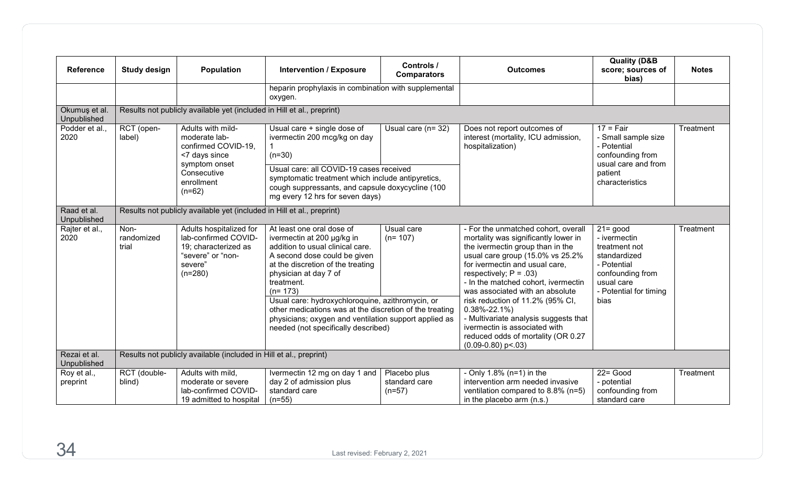| <b>Reference</b>             | <b>Study design</b>         | <b>Population</b>                                                                                                    | <b>Intervention / Exposure</b>                                                                                                                                                                                                                                                                                                                                                                                                      | Controls /<br><b>Comparators</b>                                           | <b>Outcomes</b>                                                                                                                                                                                                                                                                                                                                                                                                                                                                                    | <b>Quality (D&amp;B</b><br>score; sources of<br>bias)                                                                                           | <b>Notes</b>                                                                           |                                                                              |           |
|------------------------------|-----------------------------|----------------------------------------------------------------------------------------------------------------------|-------------------------------------------------------------------------------------------------------------------------------------------------------------------------------------------------------------------------------------------------------------------------------------------------------------------------------------------------------------------------------------------------------------------------------------|----------------------------------------------------------------------------|----------------------------------------------------------------------------------------------------------------------------------------------------------------------------------------------------------------------------------------------------------------------------------------------------------------------------------------------------------------------------------------------------------------------------------------------------------------------------------------------------|-------------------------------------------------------------------------------------------------------------------------------------------------|----------------------------------------------------------------------------------------|------------------------------------------------------------------------------|-----------|
|                              |                             |                                                                                                                      | heparin prophylaxis in combination with supplemental<br>oxygen.                                                                                                                                                                                                                                                                                                                                                                     |                                                                            |                                                                                                                                                                                                                                                                                                                                                                                                                                                                                                    |                                                                                                                                                 |                                                                                        |                                                                              |           |
| Okumuş et al.<br>Unpublished |                             | Results not publicly available yet (included in Hill et al., preprint)                                               |                                                                                                                                                                                                                                                                                                                                                                                                                                     |                                                                            |                                                                                                                                                                                                                                                                                                                                                                                                                                                                                                    |                                                                                                                                                 |                                                                                        |                                                                              |           |
| Podder et al<br>2020         | RCT (open-<br>label)        |                                                                                                                      |                                                                                                                                                                                                                                                                                                                                                                                                                                     | Adults with mild-<br>moderate lab-<br>confirmed COVID-19,<br><7 days since | Usual care + single dose of<br>ivermectin 200 mcg/kg on day<br>$(n=30)$                                                                                                                                                                                                                                                                                                                                                                                                                            | Usual care $(n=32)$                                                                                                                             | Does not report outcomes of<br>interest (mortality, ICU admission,<br>hospitalization) | $17 = \text{Fair}$<br>- Small sample size<br>- Potential<br>confounding from | Treatment |
|                              |                             | symptom onset<br>Consecutive<br>enrollment<br>$(n=62)$                                                               | Usual care: all COVID-19 cases received<br>symptomatic treatment which include antipyretics,<br>cough suppressants, and capsule doxycycline (100<br>mg every 12 hrs for seven days)                                                                                                                                                                                                                                                 |                                                                            |                                                                                                                                                                                                                                                                                                                                                                                                                                                                                                    | usual care and from<br>patient<br>characteristics                                                                                               |                                                                                        |                                                                              |           |
| Raad et al.<br>Unpublished   |                             | Results not publicly available yet (included in Hill et al., preprint)                                               |                                                                                                                                                                                                                                                                                                                                                                                                                                     |                                                                            |                                                                                                                                                                                                                                                                                                                                                                                                                                                                                                    |                                                                                                                                                 |                                                                                        |                                                                              |           |
| Rajter et al.,<br>2020       | Non-<br>randomized<br>trial | Adults hospitalized for<br>lab-confirmed COVID-<br>19; characterized as<br>"severe" or "non-<br>severe"<br>$(n=280)$ | At least one oral dose of<br>ivermectin at 200 µg/kg in<br>addition to usual clinical care.<br>A second dose could be given<br>at the discretion of the treating<br>physician at day 7 of<br>treatment.<br>$(n=173)$<br>Usual care: hydroxychloroquine, azithromycin, or<br>other medications was at the discretion of the treating<br>physicians; oxygen and ventilation support applied as<br>needed (not specifically described) | Usual care<br>$(n=107)$                                                    | - For the unmatched cohort, overall<br>mortality was significantly lower in<br>the ivermectin group than in the<br>usual care group (15.0% vs 25.2%<br>for ivermectin and usual care,<br>respectively; $P = .03$ )<br>- In the matched cohort, ivermectin<br>was associated with an absolute<br>risk reduction of 11.2% (95% CI,<br>$0.38\% - 22.1\%$<br>- Multivariate analysis suggests that<br>ivermectin is associated with<br>reduced odds of mortality (OR 0.27<br>$(0.09 - 0.80)$ p < 0.03) | $21 = good$<br>- ivermectin<br>treatment not<br>standardized<br>- Potential<br>confounding from<br>usual care<br>- Potential for timing<br>bias | Treatment                                                                              |                                                                              |           |
| Rezai et al.<br>Unpublished  |                             | Results not publicly available (included in Hill et al., preprint)                                                   |                                                                                                                                                                                                                                                                                                                                                                                                                                     |                                                                            |                                                                                                                                                                                                                                                                                                                                                                                                                                                                                                    |                                                                                                                                                 |                                                                                        |                                                                              |           |
| Roy et al.,<br>preprint      | RCT (double-<br>blind)      | Adults with mild,<br>moderate or severe<br>lab-confirmed COVID-<br>19 admitted to hospital                           | Ivermectin 12 mg on day 1 and<br>day 2 of admission plus<br>standard care<br>$(n=55)$                                                                                                                                                                                                                                                                                                                                               | Placebo plus<br>standard care<br>$(n=57)$                                  | - Only $1.8\%$ (n=1) in the<br>intervention arm needed invasive<br>ventilation compared to 8.8% (n=5)<br>in the placebo arm (n.s.)                                                                                                                                                                                                                                                                                                                                                                 | $22 = Good$<br>- potential<br>confounding from<br>standard care                                                                                 | Treatment                                                                              |                                                                              |           |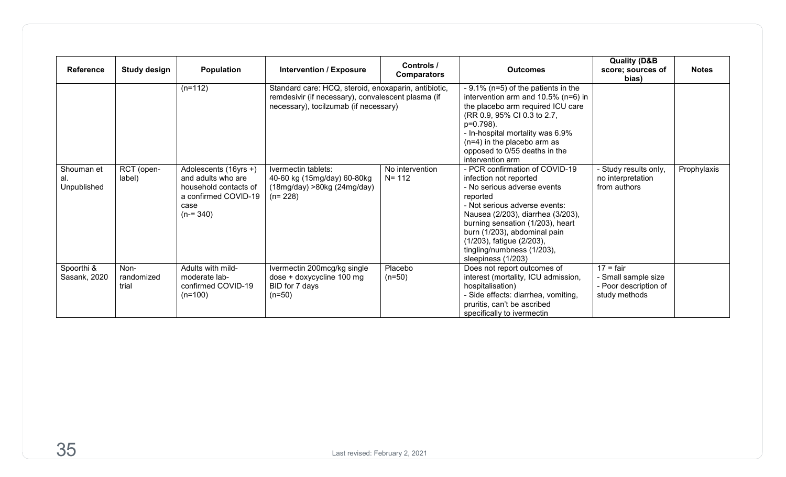| <b>Reference</b>                 | <b>Study design</b>         | Population                                                                                                        | <b>Intervention / Exposure</b>                                                                                                                      | <b>Controls /</b><br><b>Comparators</b> | <b>Outcomes</b>                                                                                                                                                                                                                                                                                                                | <b>Quality (D&amp;B</b><br>score; sources of<br>bias)                               | <b>Notes</b> |
|----------------------------------|-----------------------------|-------------------------------------------------------------------------------------------------------------------|-----------------------------------------------------------------------------------------------------------------------------------------------------|-----------------------------------------|--------------------------------------------------------------------------------------------------------------------------------------------------------------------------------------------------------------------------------------------------------------------------------------------------------------------------------|-------------------------------------------------------------------------------------|--------------|
|                                  |                             | $(n=112)$                                                                                                         | Standard care: HCQ, steroid, enoxaparin, antibiotic,<br>remdesivir (if necessary), convalescent plasma (if<br>necessary), tocilzumab (if necessary) |                                         | - 9.1% (n=5) of the patients in the<br>intervention arm and 10.5% (n=6) in<br>the placebo arm required ICU care<br>(RR 0.9, 95% CI 0.3 to 2.7,<br>p=0.798).<br>- In-hospital mortality was 6.9%<br>$(n=4)$ in the placebo arm as<br>opposed to 0/55 deaths in the<br>intervention arm                                          |                                                                                     |              |
| Shouman et<br>al.<br>Unpublished | RCT (open-<br>label)        | Adolescents (16yrs +)<br>and adults who are<br>household contacts of<br>a confirmed COVID-19<br>case<br>$(n=340)$ | Ivermectin tablets:<br>40-60 kg (15mg/day) 60-80kg<br>(18mg/day) > 80kg (24mg/day)<br>$(n=228)$                                                     | No intervention<br>$N = 112$            | - PCR confirmation of COVID-19<br>infection not reported<br>- No serious adverse events<br>reported<br>- Not serious adverse events:<br>Nausea (2/203), diarrhea (3/203),<br>burning sensation (1/203), heart<br>burn (1/203), abdominal pain<br>(1/203), fatigue (2/203),<br>tingling/numbness (1/203),<br>sleepiness (1/203) | - Study results only,<br>no interpretation<br>from authors                          | Prophylaxis  |
| Spoorthi &<br>Sasank, 2020       | Non-<br>randomized<br>trial | Adults with mild-<br>moderate lab-<br>confirmed COVID-19<br>$(n=100)$                                             | Ivermectin 200mcg/kg single<br>dose + doxycycline 100 mg<br>BID for 7 days<br>$(n=50)$                                                              | Placebo<br>$(n=50)$                     | Does not report outcomes of<br>interest (mortality, ICU admission,<br>hospitalisation)<br>- Side effects: diarrhea, vomiting,<br>pruritis, can't be ascribed<br>specifically to ivermectin                                                                                                                                     | $17 = \text{fair}$<br>- Small sample size<br>- Poor description of<br>study methods |              |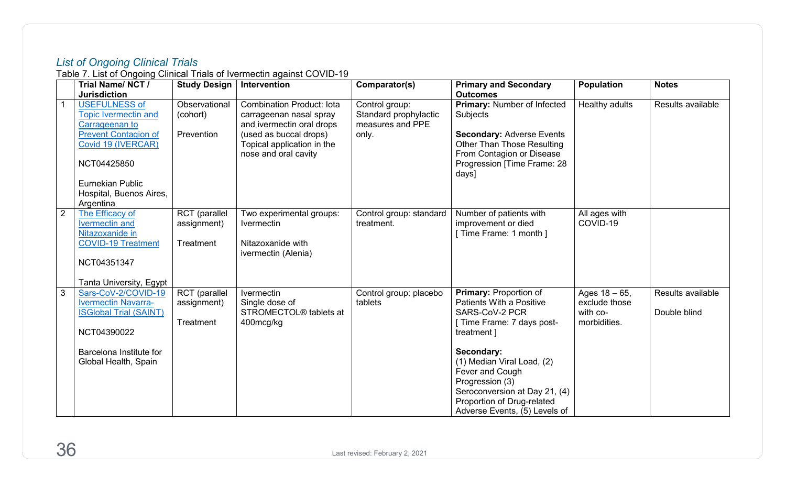## *List of Ongoing Clinical Trials*

Table 7. List of Ongoing Clinical Trials of Ivermectin against COVID-19

<span id="page-39-0"></span>

|                | Trial Name/NCT/               | <b>Study Design</b> | Intervention                       | Comparator(s)           | <b>Primary and Secondary</b>         | <b>Population</b> | <b>Notes</b>      |
|----------------|-------------------------------|---------------------|------------------------------------|-------------------------|--------------------------------------|-------------------|-------------------|
|                | <b>Jurisdiction</b>           |                     |                                    |                         | <b>Outcomes</b>                      |                   |                   |
|                | <b>USEFULNESS of</b>          | Observational       | <b>Combination Product: lota</b>   | Control group:          | Primary: Number of Infected          | Healthy adults    | Results available |
|                | <b>Topic Ivermectin and</b>   | (cohort)            | carrageenan nasal spray            | Standard prophylactic   | Subjects                             |                   |                   |
|                | Carrageenan to                |                     | and ivermectin oral drops          | measures and PPE        |                                      |                   |                   |
|                | <b>Prevent Contagion of</b>   | Prevention          | (used as buccal drops)             | only.                   | <b>Secondary: Adverse Events</b>     |                   |                   |
|                | Covid 19 (IVERCAR)            |                     | Topical application in the         |                         | <b>Other Than Those Resulting</b>    |                   |                   |
|                |                               |                     | nose and oral cavity               |                         | From Contagion or Disease            |                   |                   |
|                | NCT04425850                   |                     |                                    |                         | Progression [Time Frame: 28<br>days] |                   |                   |
|                | <b>Eurnekian Public</b>       |                     |                                    |                         |                                      |                   |                   |
|                | Hospital, Buenos Aires,       |                     |                                    |                         |                                      |                   |                   |
|                | Argentina                     |                     |                                    |                         |                                      |                   |                   |
| $\overline{2}$ | The Efficacy of               | RCT (parallel       | Two experimental groups:           | Control group: standard | Number of patients with              | All ages with     |                   |
|                | <b>Ivermectin and</b>         | assignment)         | <b>Ivermectin</b>                  | treatment.              | improvement or died                  | COVID-19          |                   |
|                | Nitazoxanide in               |                     |                                    |                         | [Time Frame: 1 month ]               |                   |                   |
|                | <b>COVID-19 Treatment</b>     | Treatment           | Nitazoxanide with                  |                         |                                      |                   |                   |
|                |                               |                     | ivermectin (Alenia)                |                         |                                      |                   |                   |
|                | NCT04351347                   |                     |                                    |                         |                                      |                   |                   |
|                |                               |                     |                                    |                         |                                      |                   |                   |
|                | Tanta University, Egypt       |                     |                                    |                         |                                      |                   |                   |
| $\overline{3}$ | Sars-CoV-2/COVID-19           | RCT (parallel       | <b>Ivermectin</b>                  | Control group: placebo  | <b>Primary: Proportion of</b>        | Ages $18 - 65$ ,  | Results available |
|                | <b>Ivermectin Navarra-</b>    | assignment)         | Single dose of                     | tablets                 | <b>Patients With a Positive</b>      | exclude those     |                   |
|                | <b>ISGlobal Trial (SAINT)</b> |                     | STROMECTOL <sup>®</sup> tablets at |                         | SARS-CoV-2 PCR                       | with co-          | Double blind      |
|                |                               | Treatment           | 400mcg/kg                          |                         | [ Time Frame: 7 days post-           | morbidities.      |                   |
|                | NCT04390022                   |                     |                                    |                         | treatment ]                          |                   |                   |
|                | Barcelona Institute for       |                     |                                    |                         | Secondary:                           |                   |                   |
|                | Global Health, Spain          |                     |                                    |                         | (1) Median Viral Load, (2)           |                   |                   |
|                |                               |                     |                                    |                         | Fever and Cough                      |                   |                   |
|                |                               |                     |                                    |                         | Progression (3)                      |                   |                   |
|                |                               |                     |                                    |                         | Seroconversion at Day 21, (4)        |                   |                   |
|                |                               |                     |                                    |                         | Proportion of Drug-related           |                   |                   |
|                |                               |                     |                                    |                         | Adverse Events, (5) Levels of        |                   |                   |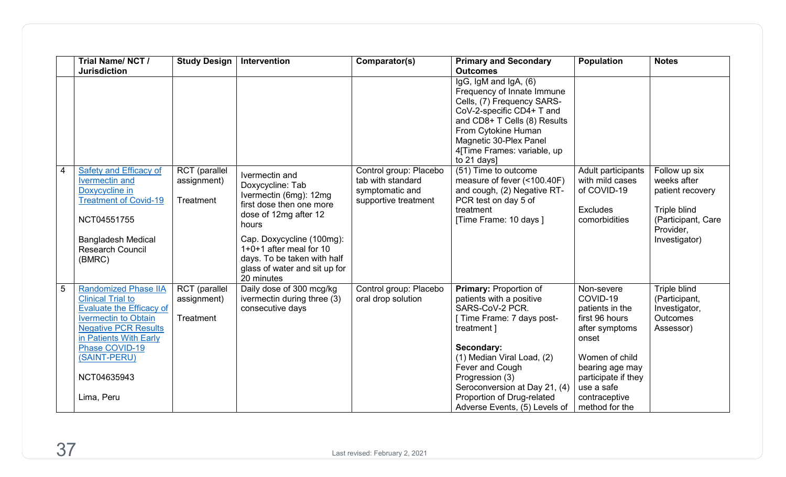|                | Trial Name/NCT/<br><b>Jurisdiction</b>                                                                                                                                             | <b>Study Design</b>                       | Intervention                                                                                                                                                                                                      | Comparator(s)                                                                          | <b>Primary and Secondary</b><br><b>Outcomes</b>                                                                                                                                                                                               | <b>Population</b>                                                                        | <b>Notes</b>                                                                                                         |
|----------------|------------------------------------------------------------------------------------------------------------------------------------------------------------------------------------|-------------------------------------------|-------------------------------------------------------------------------------------------------------------------------------------------------------------------------------------------------------------------|----------------------------------------------------------------------------------------|-----------------------------------------------------------------------------------------------------------------------------------------------------------------------------------------------------------------------------------------------|------------------------------------------------------------------------------------------|----------------------------------------------------------------------------------------------------------------------|
|                |                                                                                                                                                                                    |                                           |                                                                                                                                                                                                                   |                                                                                        | IgG, IgM and IgA, (6)<br>Frequency of Innate Immune<br>Cells, (7) Frequency SARS-<br>CoV-2-specific CD4+ T and<br>and CD8+ T Cells (8) Results<br>From Cytokine Human<br>Magnetic 30-Plex Panel<br>4[Time Frames: variable, up<br>to 21 days] |                                                                                          |                                                                                                                      |
| $\overline{4}$ | Safety and Efficacy of<br><b>Ivermectin</b> and<br>Doxycycline in<br><b>Treatment of Covid-19</b><br>NCT04551755<br><b>Bangladesh Medical</b><br><b>Research Council</b><br>(BMRC) | RCT (parallel<br>assignment)<br>Treatment | Ivermectin and<br>Doxycycline: Tab<br>Ivermectin (6mg): 12mg<br>first dose then one more<br>dose of 12mg after 12<br>hours<br>Cap. Doxycycline (100mg):<br>1+0+1 after meal for 10<br>days. To be taken with half | Control group: Placebo<br>tab with standard<br>symptomatic and<br>supportive treatment | $\overline{(51)}$ Time to outcome<br>measure of fever (<100.40F)<br>and cough, (2) Negative RT-<br>PCR test on day 5 of<br>treatment<br>[Time Frame: 10 days]                                                                                 | Adult participants<br>with mild cases<br>of COVID-19<br><b>Excludes</b><br>comorbidities | Follow up six<br>weeks after<br>patient recovery<br>Triple blind<br>(Participant, Care<br>Provider,<br>Investigator) |
|                |                                                                                                                                                                                    |                                           | glass of water and sit up for<br>20 minutes                                                                                                                                                                       |                                                                                        |                                                                                                                                                                                                                                               |                                                                                          |                                                                                                                      |
| $\overline{5}$ | <b>Randomized Phase IIA</b><br><b>Clinical Trial to</b><br><b>Evaluate the Efficacy of</b><br><b>Ivermectin to Obtain</b><br><b>Negative PCR Results</b><br>in Patients With Early | RCT (parallel<br>assignment)<br>Treatment | Daily dose of 300 mcg/kg<br>ivermectin during three (3)<br>consecutive days                                                                                                                                       | Control group: Placebo<br>oral drop solution                                           | <b>Primary: Proportion of</b><br>patients with a positive<br>SARS-CoV-2 PCR.<br>[ Time Frame: 7 days post-<br>treatment ]                                                                                                                     | Non-severe<br>COVID-19<br>patients in the<br>first 96 hours<br>after symptoms<br>onset   | Triple blind<br>(Participant,<br>Investigator,<br><b>Outcomes</b><br>Assessor)                                       |
|                | Phase COVID-19<br>(SAINT-PERU)<br>NCT04635943                                                                                                                                      |                                           |                                                                                                                                                                                                                   |                                                                                        | Secondary:<br>(1) Median Viral Load, (2)<br>Fever and Cough<br>Progression (3)<br>Seroconversion at Day 21, (4)                                                                                                                               | Women of child<br>bearing age may<br>participate if they<br>use a safe                   |                                                                                                                      |
|                | Lima, Peru                                                                                                                                                                         |                                           |                                                                                                                                                                                                                   |                                                                                        | Proportion of Drug-related<br>Adverse Events, (5) Levels of                                                                                                                                                                                   | contraceptive<br>method for the                                                          |                                                                                                                      |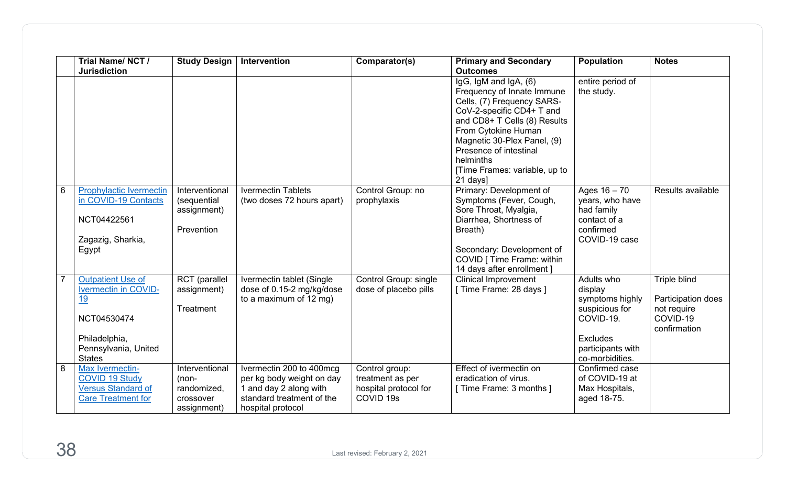|   | Trial Name/NCT/<br><b>Jurisdiction</b>                                                                                                 | <b>Study Design</b>                                                  | Intervention                                                                                                                      | Comparator(s)                                                                       | <b>Primary and Secondary</b><br><b>Outcomes</b>                                                                                                                                                                                                                                          | <b>Population</b>                                                                                                           | <b>Notes</b>                                                                  |
|---|----------------------------------------------------------------------------------------------------------------------------------------|----------------------------------------------------------------------|-----------------------------------------------------------------------------------------------------------------------------------|-------------------------------------------------------------------------------------|------------------------------------------------------------------------------------------------------------------------------------------------------------------------------------------------------------------------------------------------------------------------------------------|-----------------------------------------------------------------------------------------------------------------------------|-------------------------------------------------------------------------------|
|   |                                                                                                                                        |                                                                      |                                                                                                                                   |                                                                                     | IgG, IgM and IgA, (6)<br>Frequency of Innate Immune<br>Cells, (7) Frequency SARS-<br>CoV-2-specific CD4+ T and<br>and CD8+ T Cells (8) Results<br>From Cytokine Human<br>Magnetic 30-Plex Panel, (9)<br>Presence of intestinal<br>helminths<br>[Time Frames: variable, up to<br>21 days] | entire period of<br>the study.                                                                                              |                                                                               |
| 6 | <b>Prophylactic Ivermectin</b><br>in COVID-19 Contacts<br>NCT04422561<br>Zagazig, Sharkia,<br>Egypt                                    | Interventional<br>(sequential<br>assignment)<br>Prevention           | <b>Ivermectin Tablets</b><br>(two doses 72 hours apart)                                                                           | Control Group: no<br>prophylaxis                                                    | Primary: Development of<br>Symptoms (Fever, Cough,<br>Sore Throat, Myalgia,<br>Diarrhea, Shortness of<br>Breath)<br>Secondary: Development of<br>COVID [ Time Frame: within<br>14 days after enrollment ]                                                                                | Ages $16 - 70$<br>years, who have<br>had family<br>contact of a<br>confirmed<br>COVID-19 case                               | Results available                                                             |
|   | <b>Outpatient Use of</b><br><b>Ivermectin in COVID-</b><br>19<br>NCT04530474<br>Philadelphia,<br>Pennsylvania, United<br><b>States</b> | RCT (parallel<br>assignment)<br>Treatment                            | Ivermectin tablet (Single<br>dose of 0.15-2 mg/kg/dose<br>to a maximum of 12 mg)                                                  | <b>Control Group: single</b><br>dose of placebo pills                               | <b>Clinical Improvement</b><br>[Time Frame: 28 days ]                                                                                                                                                                                                                                    | Adults who<br>display<br>symptoms highly<br>suspicious for<br>COVID-19.<br>Excludes<br>participants with<br>co-morbidities. | Triple blind<br>Participation does<br>not require<br>COVID-19<br>confirmation |
| 8 | Max Ivermectin-<br><b>COVID 19 Study</b><br><b>Versus Standard of</b><br><b>Care Treatment for</b>                                     | Interventional<br>$(non-$<br>randomized,<br>crossover<br>assignment) | Ivermectin 200 to 400mcg<br>per kg body weight on day<br>1 and day 2 along with<br>standard treatment of the<br>hospital protocol | Control group:<br>treatment as per<br>hospital protocol for<br>COVID <sub>19s</sub> | Effect of ivermectin on<br>eradication of virus.<br>[ Time Frame: 3 months ]                                                                                                                                                                                                             | Confirmed case<br>of COVID-19 at<br>Max Hospitals,<br>aged 18-75.                                                           |                                                                               |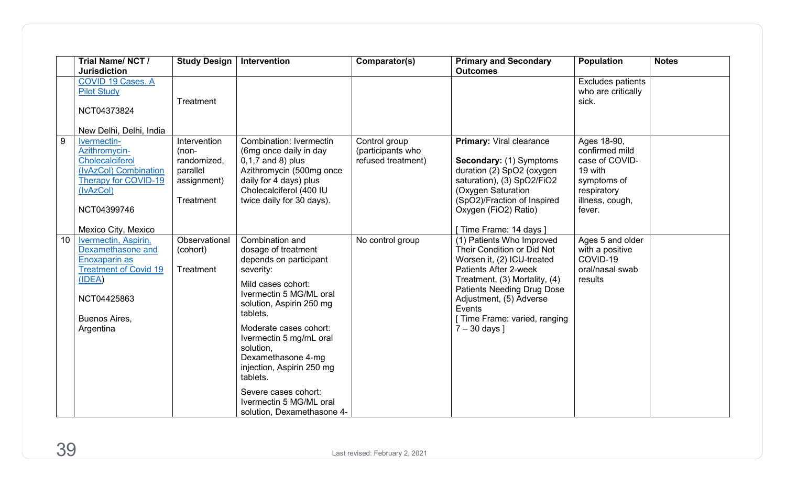|                 | Trial Name/NCT/<br><b>Jurisdiction</b>                                                                                                                                                | <b>Study Design</b>                                                            | Intervention                                                                                                                                                                                                                                                                                                                                                                             | Comparator(s)                                            | <b>Primary and Secondary</b><br><b>Outcomes</b>                                                                                                                                                                                                                              | <b>Population</b>                                                                                                     | <b>Notes</b> |
|-----------------|---------------------------------------------------------------------------------------------------------------------------------------------------------------------------------------|--------------------------------------------------------------------------------|------------------------------------------------------------------------------------------------------------------------------------------------------------------------------------------------------------------------------------------------------------------------------------------------------------------------------------------------------------------------------------------|----------------------------------------------------------|------------------------------------------------------------------------------------------------------------------------------------------------------------------------------------------------------------------------------------------------------------------------------|-----------------------------------------------------------------------------------------------------------------------|--------------|
|                 | COVID 19 Cases. A<br><b>Pilot Study</b><br>NCT04373824                                                                                                                                | Treatment                                                                      |                                                                                                                                                                                                                                                                                                                                                                                          |                                                          |                                                                                                                                                                                                                                                                              | <b>Excludes patients</b><br>who are critically<br>sick.                                                               |              |
| 9               | New Delhi, Delhi, India<br>Ivermectin-<br>Azithromycin-<br><b>Cholecalciferol</b><br>(IvAzCol) Combination<br>Therapy for COVID-19<br>(IvAzCol)<br>NCT04399746<br>Mexico City, Mexico | Intervention<br>$(non-$<br>randomized,<br>parallel<br>assignment)<br>Treatment | <b>Combination: Ivermectin</b><br>(6mg once daily in day<br>$0,1,7$ and 8) plus<br>Azithromycin (500mg once<br>daily for 4 days) plus<br>Cholecalciferol (400 IU<br>twice daily for 30 days).                                                                                                                                                                                            | Control group<br>(participants who<br>refused treatment) | <b>Primary: Viral clearance</b><br>Secondary: (1) Symptoms<br>duration (2) SpO2 (oxygen<br>saturation), (3) SpO2/FiO2<br>(Oxygen Saturation<br>(SpO2)/Fraction of Inspired<br>Oxygen (FiO2) Ratio)<br>[Time Frame: 14 days]                                                  | Ages 18-90,<br>confirmed mild<br>case of COVID-<br>19 with<br>symptoms of<br>respiratory<br>illness, cough,<br>fever. |              |
| 10 <sup>°</sup> | Ivermectin, Aspirin,<br>Dexamethasone and<br>Enoxaparin as<br><b>Treatment of Covid 19</b><br>(IDEA)<br>NCT04425863<br>Buenos Aires,<br>Argentina                                     | Observational<br>(cohort)<br>Treatment                                         | Combination and<br>dosage of treatment<br>depends on participant<br>severity:<br>Mild cases cohort:<br>Ivermectin 5 MG/ML oral<br>solution, Aspirin 250 mg<br>tablets.<br>Moderate cases cohort:<br>Ivermectin 5 mg/mL oral<br>solution.<br>Dexamethasone 4-mg<br>injection, Aspirin 250 mg<br>tablets.<br>Severe cases cohort:<br>Ivermectin 5 MG/ML oral<br>solution, Dexamethasone 4- | No control group                                         | (1) Patients Who Improved<br>Their Condition or Did Not<br>Worsen it, (2) ICU-treated<br>Patients After 2-week<br>Treatment, (3) Mortality, (4)<br>Patients Needing Drug Dose<br>Adjustment, (5) Adverse<br>Events<br>[ Time Frame: varied, ranging<br>$7 - 30$ days $\vert$ | Ages 5 and older<br>with a positive<br>COVID-19<br>oral/nasal swab<br>results                                         |              |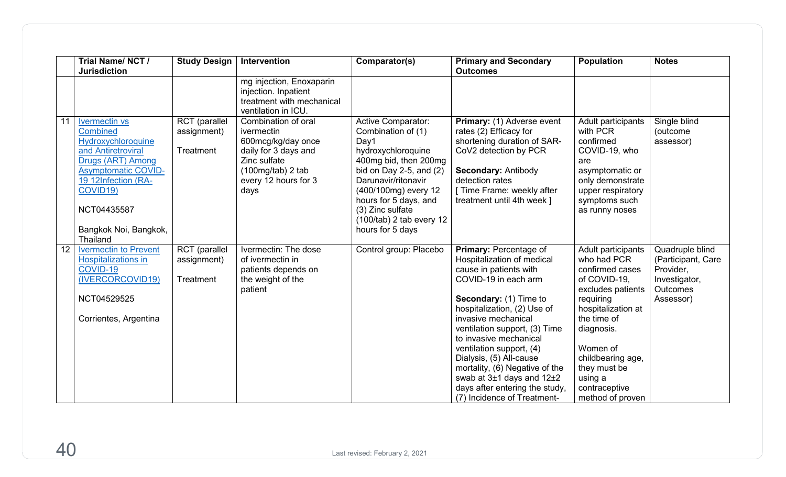|    | Trial Name/NCT/<br><b>Jurisdiction</b>                                                                                                                                                                                               | <b>Study Design</b>                       | Intervention                                                                                                                                           | Comparator(s)                                                                                                                                                                                                                                                                     | <b>Primary and Secondary</b><br><b>Outcomes</b>                                                                                                                                                                                                                                                                                                                                                                                              | <b>Population</b>                                                                                                                                                                                                                                          | <b>Notes</b>                                                                                        |
|----|--------------------------------------------------------------------------------------------------------------------------------------------------------------------------------------------------------------------------------------|-------------------------------------------|--------------------------------------------------------------------------------------------------------------------------------------------------------|-----------------------------------------------------------------------------------------------------------------------------------------------------------------------------------------------------------------------------------------------------------------------------------|----------------------------------------------------------------------------------------------------------------------------------------------------------------------------------------------------------------------------------------------------------------------------------------------------------------------------------------------------------------------------------------------------------------------------------------------|------------------------------------------------------------------------------------------------------------------------------------------------------------------------------------------------------------------------------------------------------------|-----------------------------------------------------------------------------------------------------|
|    |                                                                                                                                                                                                                                      |                                           | mg injection, Enoxaparin<br>injection. Inpatient<br>treatment with mechanical<br>ventilation in ICU.                                                   |                                                                                                                                                                                                                                                                                   |                                                                                                                                                                                                                                                                                                                                                                                                                                              |                                                                                                                                                                                                                                                            |                                                                                                     |
| 11 | <b>Ivermectin vs</b><br><b>Combined</b><br><b>Hydroxychloroquine</b><br>and Antiretroviral<br>Drugs (ART) Among<br><b>Asymptomatic COVID-</b><br>19 12Infection (RA-<br>COVID19)<br>NCT04435587<br>Bangkok Noi, Bangkok,<br>Thailand | RCT (parallel<br>assignment)<br>Treatment | Combination of oral<br>ivermectin<br>600mcg/kg/day once<br>daily for 3 days and<br>Zinc sulfate<br>$(100mg/tab)$ 2 tab<br>every 12 hours for 3<br>days | <b>Active Comparator:</b><br>Combination of (1)<br>Day1<br>hydroxychloroquine<br>400mg bid, then 200mg<br>bid on Day 2-5, and $(2)$<br>Darunavir/ritonavir<br>(400/100mg) every 12<br>hours for 5 days, and<br>(3) Zinc sulfate<br>$(100/tab)$ 2 tab every 12<br>hours for 5 days | Primary: (1) Adverse event<br>rates (2) Efficacy for<br>shortening duration of SAR-<br>CoV2 detection by PCR<br>Secondary: Antibody<br>detection rates<br>Time Frame: weekly after<br>treatment until 4th week ]                                                                                                                                                                                                                             | Adult participants<br>with PCR<br>confirmed<br>COVID-19, who<br>are<br>asymptomatic or<br>only demonstrate<br>upper respiratory<br>symptoms such<br>as runny noses                                                                                         | Single blind<br>(outcome<br>assessor)                                                               |
| 12 | <b>Ivermectin to Prevent</b><br><b>Hospitalizations in</b><br>COVID-19<br>(IVERCORCOVID19)<br>NCT04529525<br>Corrientes, Argentina                                                                                                   | RCT (parallel<br>assignment)<br>Treatment | Ivermectin: The dose<br>of ivermectin in<br>patients depends on<br>the weight of the<br>patient                                                        | Control group: Placebo                                                                                                                                                                                                                                                            | Primary: Percentage of<br>Hospitalization of medical<br>cause in patients with<br>COVID-19 in each arm<br>Secondary: (1) Time to<br>hospitalization, (2) Use of<br>invasive mechanical<br>ventilation support, (3) Time<br>to invasive mechanical<br>ventilation support, (4)<br>Dialysis, (5) All-cause<br>mortality, (6) Negative of the<br>swab at $3±1$ days and $12±2$<br>days after entering the study,<br>(7) Incidence of Treatment- | Adult participants<br>who had PCR<br>confirmed cases<br>of COVID-19,<br>excludes patients<br>requiring<br>hospitalization at<br>the time of<br>diagnosis.<br>Women of<br>childbearing age,<br>they must be<br>using a<br>contraceptive<br>method of proven | Quadruple blind<br>(Participant, Care<br>Provider,<br>Investigator,<br><b>Outcomes</b><br>Assessor) |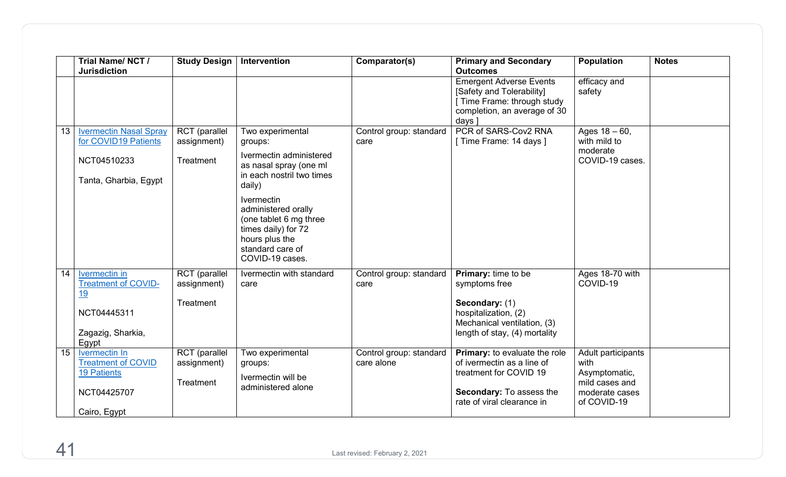|                 | Trial Name/NCT/<br><b>Jurisdiction</b>                                                                          | <b>Study Design</b>                       | Intervention                                                                                                                                       | Comparator(s)                         | <b>Primary and Secondary</b><br><b>Outcomes</b>                                                                                                 | <b>Population</b>                                                                              | <b>Notes</b> |
|-----------------|-----------------------------------------------------------------------------------------------------------------|-------------------------------------------|----------------------------------------------------------------------------------------------------------------------------------------------------|---------------------------------------|-------------------------------------------------------------------------------------------------------------------------------------------------|------------------------------------------------------------------------------------------------|--------------|
|                 |                                                                                                                 |                                           |                                                                                                                                                    |                                       | <b>Emergent Adverse Events</b><br>[Safety and Tolerability]<br>[ Time Frame: through study<br>completion, an average of 30<br>days ]            | efficacy and<br>safety                                                                         |              |
| 13              | <b>Ivermectin Nasal Spray</b><br>for COVID19 Patients                                                           | <b>RCT</b> (parallel<br>assignment)       | Two experimental<br>groups:                                                                                                                        | Control group: standard<br>care       | PCR of SARS-Cov2 RNA<br>[ Time Frame: 14 days ]                                                                                                 | Ages $18 - 60$ ,<br>with mild to                                                               |              |
|                 | NCT04510233<br>Tanta, Gharbia, Egypt                                                                            | Treatment                                 | Ivermectin administered<br>as nasal spray (one ml<br>in each nostril two times<br>daily)                                                           |                                       |                                                                                                                                                 | moderate<br>COVID-19 cases.                                                                    |              |
|                 |                                                                                                                 |                                           | <b>Ivermectin</b><br>administered orally<br>(one tablet 6 mg three<br>times daily) for 72<br>hours plus the<br>standard care of<br>COVID-19 cases. |                                       |                                                                                                                                                 |                                                                                                |              |
| 14              | <b>Ivermectin</b> in<br><b>Treatment of COVID-</b><br><u>19</u>                                                 | RCT (parallel<br>assignment)              | Ivermectin with standard<br>care                                                                                                                   | Control group: standard<br>care       | <b>Primary:</b> time to be<br>symptoms free                                                                                                     | Ages 18-70 with<br>COVID-19                                                                    |              |
|                 | NCT04445311<br>Zagazig, Sharkia,                                                                                | Treatment                                 |                                                                                                                                                    |                                       | Secondary: (1)<br>hospitalization, (2)<br>Mechanical ventilation, (3)<br>length of stay, (4) mortality                                          |                                                                                                |              |
| 15 <sub>1</sub> | Egypt<br><b>Ivermectin In</b><br><b>Treatment of COVID</b><br><b>19 Patients</b><br>NCT04425707<br>Cairo, Egypt | RCT (parallel<br>assignment)<br>Treatment | Two experimental<br>groups:<br>Ivermectin will be<br>administered alone                                                                            | Control group: standard<br>care alone | Primary: to evaluate the role<br>of ivermectin as a line of<br>treatment for COVID 19<br>Secondary: To assess the<br>rate of viral clearance in | Adult participants<br>with<br>Asymptomatic,<br>mild cases and<br>moderate cases<br>of COVID-19 |              |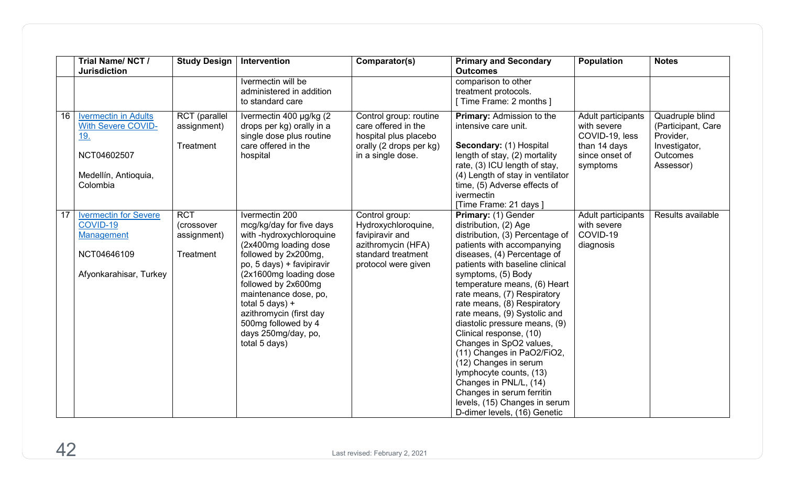|    | Trial Name/NCT/<br><b>Jurisdiction</b>                                                                                    | <b>Study Design</b>                                  | <b>Intervention</b>                                                                                                                                                                                                                                                                                                                            | Comparator(s)                                                                                                               | <b>Primary and Secondary</b><br><b>Outcomes</b>                                                                                                                                                                                                                                                                                                                                                                                                                                                                                                                                                                                      | <b>Population</b>                                                                                 | <b>Notes</b>                                                                                        |
|----|---------------------------------------------------------------------------------------------------------------------------|------------------------------------------------------|------------------------------------------------------------------------------------------------------------------------------------------------------------------------------------------------------------------------------------------------------------------------------------------------------------------------------------------------|-----------------------------------------------------------------------------------------------------------------------------|--------------------------------------------------------------------------------------------------------------------------------------------------------------------------------------------------------------------------------------------------------------------------------------------------------------------------------------------------------------------------------------------------------------------------------------------------------------------------------------------------------------------------------------------------------------------------------------------------------------------------------------|---------------------------------------------------------------------------------------------------|-----------------------------------------------------------------------------------------------------|
|    |                                                                                                                           |                                                      | Ivermectin will be<br>administered in addition<br>to standard care                                                                                                                                                                                                                                                                             |                                                                                                                             | comparison to other<br>treatment protocols.<br>[ Time Frame: 2 months ]                                                                                                                                                                                                                                                                                                                                                                                                                                                                                                                                                              |                                                                                                   |                                                                                                     |
| 16 | <b>Ivermectin in Adults</b><br><b>With Severe COVID-</b><br><u>19.</u><br>NCT04602507<br>Medellín, Antioquia,<br>Colombia | <b>RCT</b> (parallel<br>assignment)<br>Treatment     | Ivermectin 400 µg/kg (2)<br>drops per kg) orally in a<br>single dose plus routine<br>care offered in the<br>hospital                                                                                                                                                                                                                           | Control group: routine<br>care offered in the<br>hospital plus placebo<br>orally (2 drops per kg)<br>in a single dose.      | <b>Primary: Admission to the</b><br>intensive care unit.<br>Secondary: (1) Hospital<br>length of stay, (2) mortality<br>rate, (3) ICU length of stay,<br>(4) Length of stay in ventilator<br>time, (5) Adverse effects of<br>ivermectin<br>[Time Frame: 21 days]                                                                                                                                                                                                                                                                                                                                                                     | Adult participants<br>with severe<br>COVID-19, less<br>than 14 days<br>since onset of<br>symptoms | Quadruple blind<br>(Participant, Care<br>Provider,<br>Investigator,<br><b>Outcomes</b><br>Assessor) |
| 17 | <b>Ivermectin for Severe</b><br>COVID-19<br>Management<br>NCT04646109<br>Afyonkarahisar, Turkey                           | <b>RCT</b><br>(crossover<br>assignment)<br>Treatment | Ivermectin 200<br>mcg/kg/day for five days<br>with -hydroxychloroquine<br>(2x400mg loading dose<br>followed by 2x200mg,<br>po, 5 days) + favipiravir<br>(2x1600mg loading dose)<br>followed by 2x600mg<br>maintenance dose, po,<br>total $5$ days) +<br>azithromycin (first day<br>500mg followed by 4<br>days 250mg/day, po,<br>total 5 days) | Control group:<br>Hydroxychloroquine,<br>favipiravir and<br>azithromycin (HFA)<br>standard treatment<br>protocol were given | Primary: (1) Gender<br>distribution, (2) Age<br>distribution, (3) Percentage of<br>patients with accompanying<br>diseases, (4) Percentage of<br>patients with baseline clinical<br>symptoms, (5) Body<br>temperature means, (6) Heart<br>rate means, (7) Respiratory<br>rate means, (8) Respiratory<br>rate means, (9) Systolic and<br>diastolic pressure means, (9)<br>Clinical response, (10)<br>Changes in SpO2 values,<br>(11) Changes in PaO2/FiO2,<br>(12) Changes in serum<br>lymphocyte counts, (13)<br>Changes in PNL/L, (14)<br>Changes in serum ferritin<br>levels, (15) Changes in serum<br>D-dimer levels, (16) Genetic | Adult participants<br>with severe<br>COVID-19<br>diagnosis                                        | Results available                                                                                   |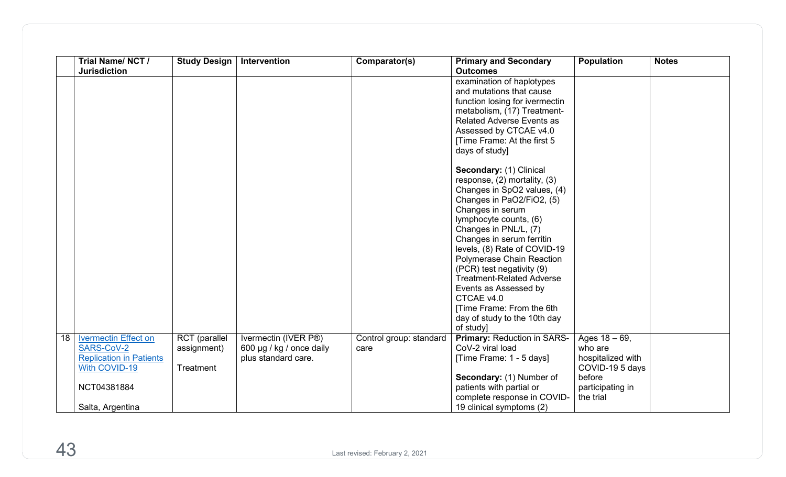|    | Trial Name/NCT/<br><b>Jurisdiction</b> | <b>Study Design</b>  | Intervention             | Comparator(s)           | <b>Primary and Secondary</b><br><b>Outcomes</b>               | <b>Population</b> | <b>Notes</b> |
|----|----------------------------------------|----------------------|--------------------------|-------------------------|---------------------------------------------------------------|-------------------|--------------|
|    |                                        |                      |                          |                         | examination of haplotypes                                     |                   |              |
|    |                                        |                      |                          |                         | and mutations that cause                                      |                   |              |
|    |                                        |                      |                          |                         | function losing for ivermectin                                |                   |              |
|    |                                        |                      |                          |                         | metabolism, (17) Treatment-                                   |                   |              |
|    |                                        |                      |                          |                         | <b>Related Adverse Events as</b>                              |                   |              |
|    |                                        |                      |                          |                         | Assessed by CTCAE v4.0                                        |                   |              |
|    |                                        |                      |                          |                         | [Time Frame: At the first 5                                   |                   |              |
|    |                                        |                      |                          |                         | days of study]                                                |                   |              |
|    |                                        |                      |                          |                         | Secondary: (1) Clinical                                       |                   |              |
|    |                                        |                      |                          |                         | response, (2) mortality, (3)                                  |                   |              |
|    |                                        |                      |                          |                         | Changes in SpO2 values, (4)                                   |                   |              |
|    |                                        |                      |                          |                         | Changes in PaO2/FiO2, (5)                                     |                   |              |
|    |                                        |                      |                          |                         | Changes in serum                                              |                   |              |
|    |                                        |                      |                          |                         | lymphocyte counts, (6)                                        |                   |              |
|    |                                        |                      |                          |                         | Changes in PNL/L, (7)                                         |                   |              |
|    |                                        |                      |                          |                         | Changes in serum ferritin                                     |                   |              |
|    |                                        |                      |                          |                         | levels, (8) Rate of COVID-19                                  |                   |              |
|    |                                        |                      |                          |                         | Polymerase Chain Reaction                                     |                   |              |
|    |                                        |                      |                          |                         | (PCR) test negativity (9)<br><b>Treatment-Related Adverse</b> |                   |              |
|    |                                        |                      |                          |                         |                                                               |                   |              |
|    |                                        |                      |                          |                         | Events as Assessed by<br>CTCAE v4.0                           |                   |              |
|    |                                        |                      |                          |                         | [Time Frame: From the 6th                                     |                   |              |
|    |                                        |                      |                          |                         | day of study to the 10th day                                  |                   |              |
|    |                                        |                      |                          |                         | of study]                                                     |                   |              |
| 18 | <b>Ivermectin Effect on</b>            | <b>RCT</b> (parallel | Ivermectin (IVER P®)     | Control group: standard | Primary: Reduction in SARS-                                   | Ages $18 - 69$ ,  |              |
|    | SARS-CoV-2                             | assignment)          | 600 µg / kg / once daily | care                    | CoV-2 viral load                                              | who are           |              |
|    | <b>Replication in Patients</b>         |                      | plus standard care.      |                         | [Time Frame: 1 - 5 days]                                      | hospitalized with |              |
|    | With COVID-19                          | Treatment            |                          |                         |                                                               | COVID-19 5 days   |              |
|    |                                        |                      |                          |                         | Secondary: (1) Number of                                      | before            |              |
|    | NCT04381884                            |                      |                          |                         | patients with partial or                                      | participating in  |              |
|    |                                        |                      |                          |                         | complete response in COVID-                                   | the trial         |              |
|    | Salta, Argentina                       |                      |                          |                         | 19 clinical symptoms (2)                                      |                   |              |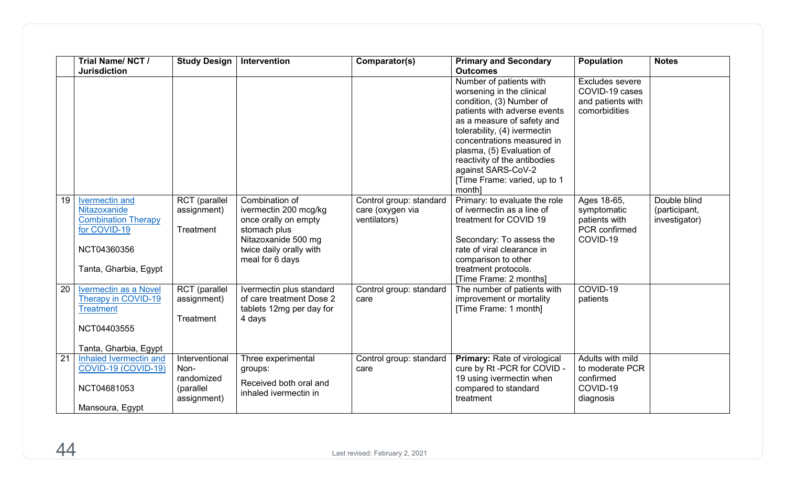|    | Trial Name/NCT/                                                                                                      | <b>Study Design</b>                                              | Intervention                                                                                                                                         | Comparator(s)                                               | <b>Primary and Secondary</b>                                                                                                                                                                                                                                                                                                                                 | Population                                                                | <b>Notes</b>                                   |
|----|----------------------------------------------------------------------------------------------------------------------|------------------------------------------------------------------|------------------------------------------------------------------------------------------------------------------------------------------------------|-------------------------------------------------------------|--------------------------------------------------------------------------------------------------------------------------------------------------------------------------------------------------------------------------------------------------------------------------------------------------------------------------------------------------------------|---------------------------------------------------------------------------|------------------------------------------------|
|    | <b>Jurisdiction</b>                                                                                                  |                                                                  |                                                                                                                                                      |                                                             | <b>Outcomes</b><br>Number of patients with<br>worsening in the clinical<br>condition, (3) Number of<br>patients with adverse events<br>as a measure of safety and<br>tolerability, (4) ivermectin<br>concentrations measured in<br>plasma, (5) Evaluation of<br>reactivity of the antibodies<br>against SARS-CoV-2<br>[Time Frame: varied, up to 1<br>month] | Excludes severe<br>COVID-19 cases<br>and patients with<br>comorbidities   |                                                |
| 19 | Ivermectin and<br>Nitazoxanide<br><b>Combination Therapy</b><br>for COVID-19<br>NCT04360356<br>Tanta, Gharbia, Egypt | <b>RCT</b> (parallel<br>assignment)<br>Treatment                 | Combination of<br>ivermectin 200 mcg/kg<br>once orally on empty<br>stomach plus<br>Nitazoxanide 500 mg<br>twice daily orally with<br>meal for 6 days | Control group: standard<br>care (oxygen via<br>ventilators) | Primary: to evaluate the role<br>of ivermectin as a line of<br>treatment for COVID 19<br>Secondary: To assess the<br>rate of viral clearance in<br>comparison to other<br>treatment protocols.<br>[Time Frame: 2 months]                                                                                                                                     | Ages 18-65,<br>symptomatic<br>patients with<br>PCR confirmed<br>COVID-19  | Double blind<br>(participant,<br>investigator) |
| 20 | <b>Ivermectin as a Novel</b><br>Therapy in COVID-19<br><b>Treatment</b><br>NCT04403555<br>Tanta, Gharbia, Egypt      | RCT (parallel<br>assignment)<br>Treatment                        | Ivermectin plus standard<br>of care treatment Dose 2<br>tablets 12mg per day for<br>4 days                                                           | Control group: standard<br>care                             | The number of patients with<br>improvement or mortality<br>[Time Frame: 1 month]                                                                                                                                                                                                                                                                             | COVID-19<br>patients                                                      |                                                |
| 21 | Inhaled Ivermectin and<br>COVID-19 (COVID-19)<br>NCT04681053<br>Mansoura, Egypt                                      | Interventional<br>Non-<br>randomized<br>(parallel<br>assignment) | Three experimental<br>groups:<br>Received both oral and<br>inhaled ivermectin in                                                                     | Control group: standard<br>care                             | <b>Primary: Rate of virological</b><br>cure by Rt -PCR for COVID -<br>19 using ivermectin when<br>compared to standard<br>treatment                                                                                                                                                                                                                          | Adults with mild<br>to moderate PCR<br>confirmed<br>COVID-19<br>diagnosis |                                                |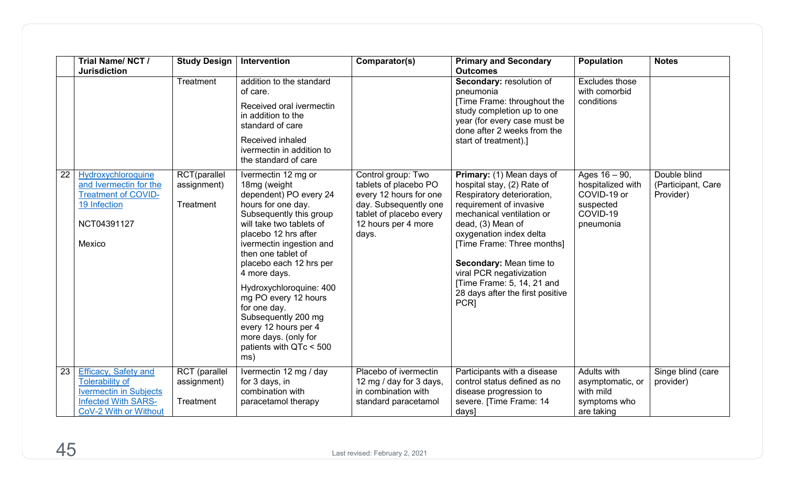|    | Trial Name/NCT/<br><b>Jurisdiction</b>                                                                                                        | <b>Study Design</b>                       | Intervention                                                                                                                                                                                                                                                                                                                                                                                                                                | Comparator(s)                                                                                                                                             | <b>Primary and Secondary</b><br><b>Outcomes</b>                                                                                                                                                                                                                                                                                                              | <b>Population</b>                                                                          | <b>Notes</b>                                    |
|----|-----------------------------------------------------------------------------------------------------------------------------------------------|-------------------------------------------|---------------------------------------------------------------------------------------------------------------------------------------------------------------------------------------------------------------------------------------------------------------------------------------------------------------------------------------------------------------------------------------------------------------------------------------------|-----------------------------------------------------------------------------------------------------------------------------------------------------------|--------------------------------------------------------------------------------------------------------------------------------------------------------------------------------------------------------------------------------------------------------------------------------------------------------------------------------------------------------------|--------------------------------------------------------------------------------------------|-------------------------------------------------|
|    |                                                                                                                                               | Treatment                                 | addition to the standard<br>of care.<br>Received oral ivermectin<br>in addition to the<br>standard of care<br>Received inhaled<br>ivermectin in addition to<br>the standard of care                                                                                                                                                                                                                                                         |                                                                                                                                                           | Secondary: resolution of<br>pneumonia<br>[Time Frame: throughout the<br>study completion up to one<br>year (for every case must be<br>done after 2 weeks from the<br>start of treatment).]                                                                                                                                                                   | Excludes those<br>with comorbid<br>conditions                                              |                                                 |
| 22 | Hydroxychloroquine<br>and Ivermectin for the<br><b>Treatment of COVID-</b><br>19 Infection<br>NCT04391127<br>Mexico                           | RCT(parallel<br>assignment)<br>Treatment  | Ivermectin 12 mg or<br>18mg (weight<br>dependent) PO every 24<br>hours for one day.<br>Subsequently this group<br>will take two tablets of<br>placebo 12 hrs after<br>ivermectin ingestion and<br>then one tablet of<br>placebo each 12 hrs per<br>4 more days.<br>Hydroxychloroquine: 400<br>mg PO every 12 hours<br>for one day.<br>Subsequently 200 mg<br>every 12 hours per 4<br>more days. (only for<br>patients with QTc < 500<br>ms) | Control group: Two<br>tablets of placebo PO<br>every 12 hours for one<br>day. Subsequently one<br>tablet of placebo every<br>12 hours per 4 more<br>days. | Primary: (1) Mean days of<br>hospital stay, (2) Rate of<br>Respiratory deterioration,<br>requirement of invasive<br>mechanical ventilation or<br>dead, (3) Mean of<br>oxygenation index delta<br>[Time Frame: Three months]<br>Secondary: Mean time to<br>viral PCR negativization<br>[Time Frame: 5, 14, 21 and<br>28 days after the first positive<br>PCR] | Ages $16 - 90$ ,<br>hospitalized with<br>COVID-19 or<br>suspected<br>COVID-19<br>pneumonia | Double blind<br>(Participant, Care<br>Provider) |
| 23 | <b>Efficacy, Safety and</b><br><b>Tolerability of</b><br><b>Ivermectin in Subjects</b><br><b>Infected With SARS-</b><br>CoV-2 With or Without | RCT (parallel<br>assignment)<br>Treatment | Ivermectin 12 mg / day<br>for 3 days, in<br>combination with<br>paracetamol therapy                                                                                                                                                                                                                                                                                                                                                         | Placebo of ivermectin<br>12 mg / day for 3 days,<br>in combination with<br>standard paracetamol                                                           | Participants with a disease<br>control status defined as no<br>disease progression to<br>severe. [Time Frame: 14<br>days]                                                                                                                                                                                                                                    | Adults with<br>asymptomatic, or<br>with mild<br>symptoms who<br>are taking                 | Singe blind (care<br>provider)                  |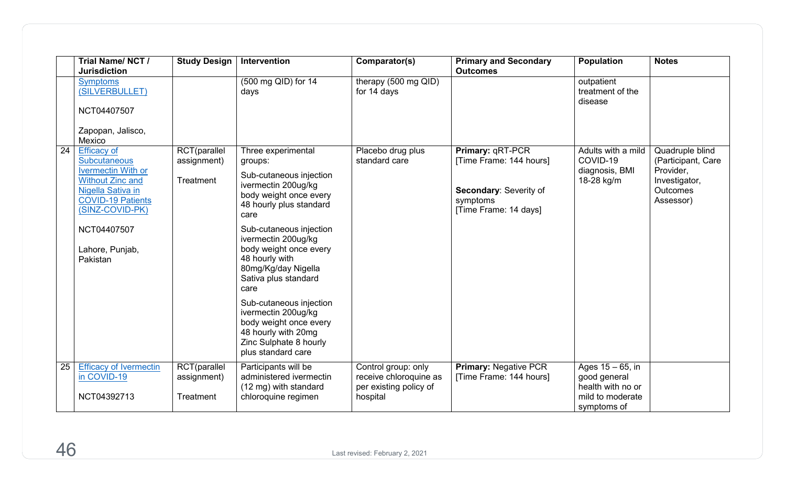|    | Trial Name/NCT/<br><b>Jurisdiction</b>                                                                                                                                | <b>Study Design</b>                      | Intervention                                                                                                                                      | Comparator(s)                                                                       | <b>Primary and Secondary</b><br><b>Outcomes</b>                                                            | <b>Population</b>                                                                           | <b>Notes</b>                                                                                 |
|----|-----------------------------------------------------------------------------------------------------------------------------------------------------------------------|------------------------------------------|---------------------------------------------------------------------------------------------------------------------------------------------------|-------------------------------------------------------------------------------------|------------------------------------------------------------------------------------------------------------|---------------------------------------------------------------------------------------------|----------------------------------------------------------------------------------------------|
|    | <b>Symptoms</b><br>(SILVERBULLET)<br>NCT04407507                                                                                                                      |                                          | (500 mg QID) for 14<br>days                                                                                                                       | therapy (500 mg QID)<br>for 14 days                                                 |                                                                                                            | outpatient<br>treatment of the<br>disease                                                   |                                                                                              |
|    | Zapopan, Jalisco,<br>Mexico                                                                                                                                           |                                          |                                                                                                                                                   |                                                                                     |                                                                                                            |                                                                                             |                                                                                              |
| 24 | <b>Efficacy of</b><br><b>Subcutaneous</b><br><b>Ivermectin With or</b><br><b>Without Zinc and</b><br>Nigella Sativa in<br><b>COVID-19 Patients</b><br>(SINZ-COVID-PK) | RCT(parallel<br>assignment)<br>Treatment | Three experimental<br>groups:<br>Sub-cutaneous injection<br>ivermectin 200ug/kg<br>body weight once every<br>48 hourly plus standard<br>care      | Placebo drug plus<br>standard care                                                  | Primary: qRT-PCR<br>[Time Frame: 144 hours]<br>Secondary: Severity of<br>symptoms<br>[Time Frame: 14 days] | Adults with a mild<br>COVID-19<br>diagnosis, BMI<br>18-28 kg/m                              | Quadruple blind<br>(Participant, Care<br>Provider,<br>Investigator,<br>Outcomes<br>Assessor) |
|    | NCT04407507<br>Lahore, Punjab,<br>Pakistan                                                                                                                            |                                          | Sub-cutaneous injection<br>ivermectin 200ug/kg<br>body weight once every<br>48 hourly with<br>80mg/Kg/day Nigella<br>Sativa plus standard<br>care |                                                                                     |                                                                                                            |                                                                                             |                                                                                              |
|    |                                                                                                                                                                       |                                          | Sub-cutaneous injection<br>ivermectin 200ug/kg<br>body weight once every<br>48 hourly with 20mg<br>Zinc Sulphate 8 hourly<br>plus standard care   |                                                                                     |                                                                                                            |                                                                                             |                                                                                              |
| 25 | <b>Efficacy of Ivermectin</b><br>in COVID-19<br>NCT04392713                                                                                                           | RCT(parallel<br>assignment)<br>Treatment | Participants will be<br>administered ivermectin<br>(12 mg) with standard<br>chloroquine regimen                                                   | Control group: only<br>receive chloroquine as<br>per existing policy of<br>hospital | <b>Primary: Negative PCR</b><br>[Time Frame: 144 hours]                                                    | Ages $15 - 65$ , in<br>good general<br>health with no or<br>mild to moderate<br>symptoms of |                                                                                              |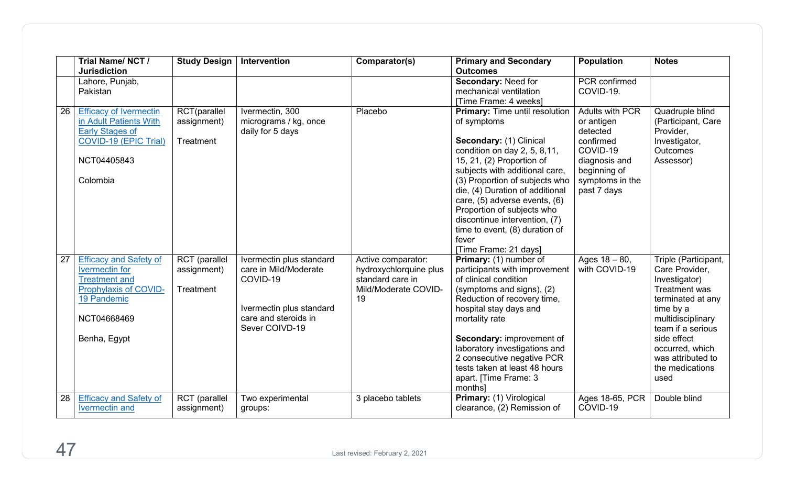|    | Trial Name/NCT/<br><b>Jurisdiction</b>                                                                                                                | <b>Study Design</b>                              | Intervention                                                                                                                        | Comparator(s)                                                                                  | <b>Primary and Secondary</b><br><b>Outcomes</b>                                                                                                                                                                                                                                                                                                                                                                                                     | Population                                                                                                                                   | <b>Notes</b>                                                                                                                                                                                                                           |
|----|-------------------------------------------------------------------------------------------------------------------------------------------------------|--------------------------------------------------|-------------------------------------------------------------------------------------------------------------------------------------|------------------------------------------------------------------------------------------------|-----------------------------------------------------------------------------------------------------------------------------------------------------------------------------------------------------------------------------------------------------------------------------------------------------------------------------------------------------------------------------------------------------------------------------------------------------|----------------------------------------------------------------------------------------------------------------------------------------------|----------------------------------------------------------------------------------------------------------------------------------------------------------------------------------------------------------------------------------------|
|    | Lahore, Punjab,<br>Pakistan                                                                                                                           |                                                  |                                                                                                                                     |                                                                                                | Secondary: Need for<br>mechanical ventilation                                                                                                                                                                                                                                                                                                                                                                                                       | <b>PCR</b> confirmed<br>COVID-19.                                                                                                            |                                                                                                                                                                                                                                        |
| 26 | <b>Efficacy of Ivermectin</b><br>in Adult Patients With<br><b>Early Stages of</b><br>COVID-19 (EPIC Trial)<br>NCT04405843<br>Colombia                 | RCT(parallel<br>assignment)<br>Treatment         | Ivermectin, 300<br>micrograms / kg, once<br>daily for 5 days                                                                        | Placebo                                                                                        | [Time Frame: 4 weeks]<br><b>Primary: Time until resolution</b><br>of symptoms<br>Secondary: (1) Clinical<br>condition on day $2, 5, 8, 11,$<br>15, 21, (2) Proportion of<br>subjects with additional care,<br>(3) Proportion of subjects who<br>die, (4) Duration of additional<br>care, (5) adverse events, (6)<br>Proportion of subjects who<br>discontinue intervention, (7)<br>time to event, (8) duration of<br>fever<br>[Time Frame: 21 days] | <b>Adults with PCR</b><br>or antigen<br>detected<br>confirmed<br>COVID-19<br>diagnosis and<br>beginning of<br>symptoms in the<br>past 7 days | Quadruple blind<br>(Participant, Care<br>Provider,<br>Investigator,<br><b>Outcomes</b><br>Assessor)                                                                                                                                    |
| 27 | <b>Efficacy and Safety of</b><br><b>Ivermectin</b> for<br><b>Treatment and</b><br>Prophylaxis of COVID-<br>19 Pandemic<br>NCT04668469<br>Benha, Egypt | <b>RCT</b> (parallel<br>assignment)<br>Treatment | Ivermectin plus standard<br>care in Mild/Moderate<br>COVID-19<br>Ivermectin plus standard<br>care and steroids in<br>Sever COIVD-19 | Active comparator:<br>hydroxychlorquine plus<br>standard care in<br>Mild/Moderate COVID-<br>19 | Primary: (1) number of<br>participants with improvement<br>of clinical condition<br>(symptoms and signs), (2)<br>Reduction of recovery time,<br>hospital stay days and<br>mortality rate<br>Secondary: improvement of<br>laboratory investigations and<br>2 consecutive negative PCR<br>tests taken at least 48 hours<br>apart. [Time Frame: 3<br>months]                                                                                           | Ages $18 - 80$ ,<br>with COVID-19                                                                                                            | Triple (Participant,<br>Care Provider,<br>Investigator)<br>Treatment was<br>terminated at any<br>time by a<br>multidisciplinary<br>team if a serious<br>side effect<br>occurred, which<br>was attributed to<br>the medications<br>used |
| 28 | <b>Efficacy and Safety of</b><br><b>Ivermectin and</b>                                                                                                | RCT (parallel<br>assignment)                     | Two experimental<br>groups:                                                                                                         | 3 placebo tablets                                                                              | Primary: (1) Virological<br>clearance, (2) Remission of                                                                                                                                                                                                                                                                                                                                                                                             | Ages 18-65, PCR<br>COVID-19                                                                                                                  | Double blind                                                                                                                                                                                                                           |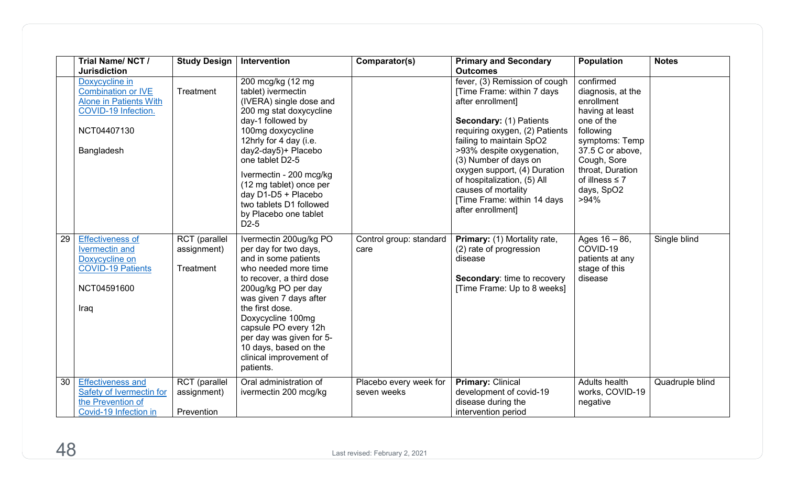|    | Trial Name/NCT/<br><b>Jurisdiction</b>                                                                                           | <b>Study Design</b>                              | Intervention                                                                                                                                                                                                                                                                                                                                           | Comparator(s)                         | <b>Primary and Secondary</b><br><b>Outcomes</b>                                                                                                                                                                                                                                                                                                                           | <b>Population</b>                                                                                                                                                                                                   | <b>Notes</b>    |
|----|----------------------------------------------------------------------------------------------------------------------------------|--------------------------------------------------|--------------------------------------------------------------------------------------------------------------------------------------------------------------------------------------------------------------------------------------------------------------------------------------------------------------------------------------------------------|---------------------------------------|---------------------------------------------------------------------------------------------------------------------------------------------------------------------------------------------------------------------------------------------------------------------------------------------------------------------------------------------------------------------------|---------------------------------------------------------------------------------------------------------------------------------------------------------------------------------------------------------------------|-----------------|
|    | Doxycycline in<br><b>Combination or IVE</b><br><b>Alone in Patients With</b><br>COVID-19 Infection.<br>NCT04407130<br>Bangladesh | Treatment                                        | 200 mcg/kg (12 mg<br>tablet) ivermectin<br>(IVERA) single dose and<br>200 mg stat doxycycline<br>day-1 followed by<br>100mg doxycycline<br>12hrly for 4 day (i.e.<br>day2-day5)+ Placebo<br>one tablet D2-5<br>Ivermectin - 200 mcg/kg<br>(12 mg tablet) once per<br>day D1-D5 + Placebo<br>two tablets D1 followed<br>by Placebo one tablet<br>$D2-5$ |                                       | fever, (3) Remission of cough<br>[Time Frame: within 7 days<br>after enrollment]<br>Secondary: (1) Patients<br>requiring oxygen, (2) Patients<br>failing to maintain SpO2<br>>93% despite oxygenation,<br>(3) Number of days on<br>oxygen support, (4) Duration<br>of hospitalization, (5) All<br>causes of mortality<br>[Time Frame: within 14 days<br>after enrollment] | confirmed<br>diagnosis, at the<br>enrollment<br>having at least<br>one of the<br>following<br>symptoms: Temp<br>37.5 C or above,<br>Cough, Sore<br>throat, Duration<br>of illness $\leq 7$<br>days, SpO2<br>$>94\%$ |                 |
| 29 | <b>Effectiveness of</b><br><b>Ivermectin and</b><br>Doxycycline on<br><b>COVID-19 Patients</b><br>NCT04591600<br>Iraq            | <b>RCT</b> (parallel<br>assignment)<br>Treatment | Ivermectin 200ug/kg PO<br>per day for two days,<br>and in some patients<br>who needed more time<br>to recover, a third dose<br>200ug/kg PO per day<br>was given 7 days after<br>the first dose.<br>Doxycycline 100mg<br>capsule PO every 12h<br>per day was given for 5-<br>10 days, based on the<br>clinical improvement of<br>patients.              | Control group: standard<br>care       | Primary: (1) Mortality rate,<br>(2) rate of progression<br>disease<br>Secondary: time to recovery<br>[Time Frame: Up to 8 weeks]                                                                                                                                                                                                                                          | Ages $16 - 86$ ,<br>COVID-19<br>patients at any<br>stage of this<br>disease                                                                                                                                         | Single blind    |
| 30 | <b>Effectiveness and</b><br><b>Safety of Ivermectin for</b><br>the Prevention of<br>Covid-19 Infection in                        | RCT (parallel<br>assignment)<br>Prevention       | Oral administration of<br>ivermectin 200 mcg/kg                                                                                                                                                                                                                                                                                                        | Placebo every week for<br>seven weeks | <b>Primary: Clinical</b><br>development of covid-19<br>disease during the<br>intervention period                                                                                                                                                                                                                                                                          | Adults health<br>works, COVID-19<br>negative                                                                                                                                                                        | Quadruple blind |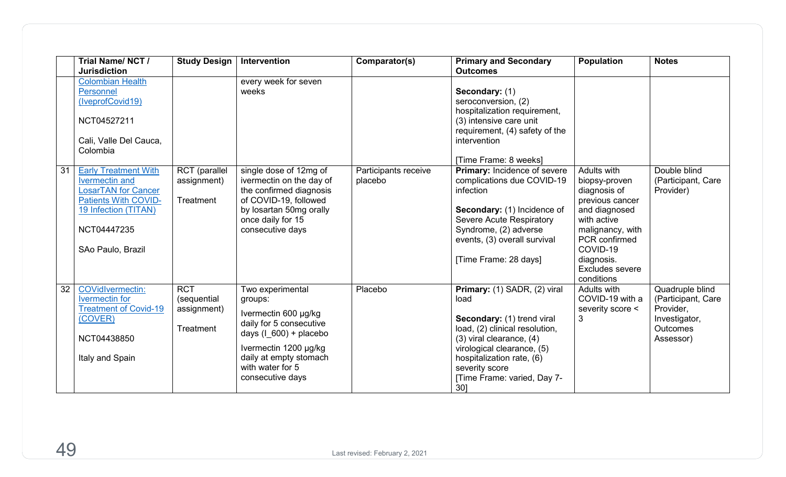|    | Trial Name/NCT/<br><b>Jurisdiction</b>                                                                                                                                        | <b>Study Design</b>                                   | Intervention                                                                                                                                                                                          | Comparator(s)                   | <b>Primary and Secondary</b><br><b>Outcomes</b>                                                                                                                                                                                                            | <b>Population</b>                                                                                                                                                                                      | <b>Notes</b>                                                                                        |
|----|-------------------------------------------------------------------------------------------------------------------------------------------------------------------------------|-------------------------------------------------------|-------------------------------------------------------------------------------------------------------------------------------------------------------------------------------------------------------|---------------------------------|------------------------------------------------------------------------------------------------------------------------------------------------------------------------------------------------------------------------------------------------------------|--------------------------------------------------------------------------------------------------------------------------------------------------------------------------------------------------------|-----------------------------------------------------------------------------------------------------|
|    | <b>Colombian Health</b><br>Personnel<br>(IveprofCovid19)<br>NCT04527211<br>Cali, Valle Del Cauca,<br>Colombia                                                                 |                                                       | every week for seven<br>weeks                                                                                                                                                                         |                                 | Secondary: (1)<br>seroconversion, (2)<br>hospitalization requirement,<br>(3) intensive care unit<br>requirement, (4) safety of the<br>intervention<br>[Time Frame: 8 weeks]                                                                                |                                                                                                                                                                                                        |                                                                                                     |
| 31 | <b>Early Treatment With</b><br><b>Ivermectin and</b><br><b>LosarTAN</b> for Cancer<br><b>Patients With COVID-</b><br>19 Infection (TITAN)<br>NCT04447235<br>SAo Paulo, Brazil | RCT (parallel<br>assignment)<br>Treatment             | single dose of 12mg of<br>ivermectin on the day of<br>the confirmed diagnosis<br>of COVID-19, followed<br>by losartan 50mg orally<br>once daily for 15<br>consecutive days                            | Participants receive<br>placebo | Primary: Incidence of severe<br>complications due COVID-19<br>infection<br>Secondary: (1) Incidence of<br>Severe Acute Respiratory<br>Syndrome, (2) adverse<br>events, (3) overall survival<br>[Time Frame: 28 days]                                       | Adults with<br>biopsy-proven<br>diagnosis of<br>previous cancer<br>and diagnosed<br>with active<br>malignancy, with<br>PCR confirmed<br>COVID-19<br>diagnosis.<br><b>Excludes severe</b><br>conditions | Double blind<br>(Participant, Care<br>Provider)                                                     |
| 32 | <b>COVidIvermectin:</b><br><b>Ivermectin</b> for<br><b>Treatment of Covid-19</b><br>(COVER)<br>NCT04438850<br>Italy and Spain                                                 | <b>RCT</b><br>(sequential<br>assignment)<br>Treatment | Two experimental<br>groups:<br>Ivermectin 600 µg/kg<br>daily for 5 consecutive<br>days $(1 600) +$ placebo<br>Ivermectin 1200 µg/kg<br>daily at empty stomach<br>with water for 5<br>consecutive days | Placebo                         | Primary: (1) SADR, (2) viral<br>load<br>Secondary: (1) trend viral<br>load, (2) clinical resolution,<br>$(3)$ viral clearance, $(4)$<br>virological clearance, (5)<br>hospitalization rate, (6)<br>severity score<br>[Time Frame: varied, Day 7-<br>$30$ ] | Adults with<br>COVID-19 with a<br>severity score <<br>3                                                                                                                                                | Quadruple blind<br>(Participant, Care<br>Provider,<br>Investigator,<br><b>Outcomes</b><br>Assessor) |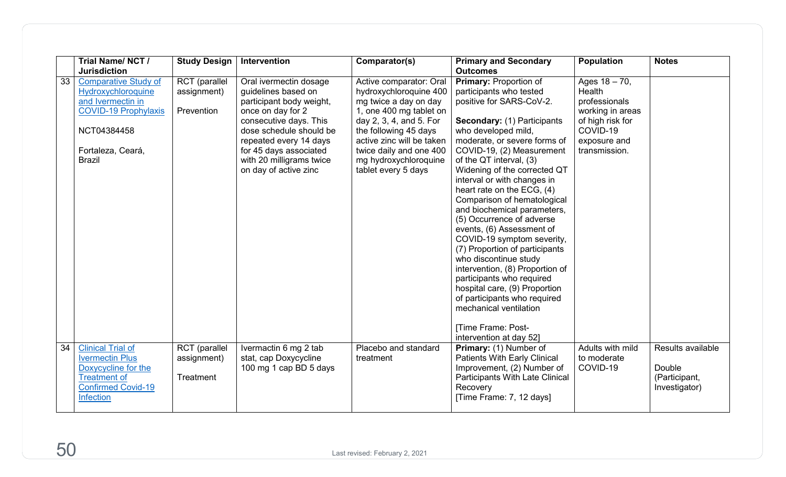|    | Trial Name/NCT /<br><b>Jurisdiction</b>                                                                                                                    | <b>Study Design</b>                        | Intervention                                                                                                                                                                                                                                                 | Comparator(s)                                                                                                                                                                                                                                                     | <b>Primary and Secondary</b><br><b>Outcomes</b>                                                                                                                                                                                                                                                                                                                                                                                                                                                                                                                                                                                                                                                                                                                           | <b>Population</b>                                                                                                                | <b>Notes</b>                                                  |
|----|------------------------------------------------------------------------------------------------------------------------------------------------------------|--------------------------------------------|--------------------------------------------------------------------------------------------------------------------------------------------------------------------------------------------------------------------------------------------------------------|-------------------------------------------------------------------------------------------------------------------------------------------------------------------------------------------------------------------------------------------------------------------|---------------------------------------------------------------------------------------------------------------------------------------------------------------------------------------------------------------------------------------------------------------------------------------------------------------------------------------------------------------------------------------------------------------------------------------------------------------------------------------------------------------------------------------------------------------------------------------------------------------------------------------------------------------------------------------------------------------------------------------------------------------------------|----------------------------------------------------------------------------------------------------------------------------------|---------------------------------------------------------------|
| 33 | <b>Comparative Study of</b><br>Hydroxychloroquine<br>and Ivermectin in<br><b>COVID-19 Prophylaxis</b><br>NCT04384458<br>Fortaleza, Ceará,<br><b>Brazil</b> | RCT (parallel<br>assignment)<br>Prevention | Oral ivermectin dosage<br>guidelines based on<br>participant body weight,<br>once on day for 2<br>consecutive days. This<br>dose schedule should be<br>repeated every 14 days<br>for 45 days associated<br>with 20 milligrams twice<br>on day of active zinc | Active comparator: Oral<br>hydroxychloroquine 400<br>mg twice a day on day<br>1, one 400 mg tablet on<br>day 2, 3, 4, and 5. For<br>the following 45 days<br>active zinc will be taken<br>twice daily and one 400<br>mg hydroxychloroquine<br>tablet every 5 days | <b>Primary: Proportion of</b><br>participants who tested<br>positive for SARS-CoV-2.<br><b>Secondary: (1) Participants</b><br>who developed mild,<br>moderate, or severe forms of<br>COVID-19, (2) Measurement<br>of the QT interval, (3)<br>Widening of the corrected QT<br>interval or with changes in<br>heart rate on the ECG, (4)<br>Comparison of hematological<br>and biochemical parameters,<br>(5) Occurrence of adverse<br>events, (6) Assessment of<br>COVID-19 symptom severity,<br>(7) Proportion of participants<br>who discontinue study<br>intervention, (8) Proportion of<br>participants who required<br>hospital care, (9) Proportion<br>of participants who required<br>mechanical ventilation<br><b>Time Frame: Post-</b><br>intervention at day 52] | Ages $18 - 70$ ,<br>Health<br>professionals<br>working in areas<br>of high risk for<br>COVID-19<br>exposure and<br>transmission. |                                                               |
| 34 | <b>Clinical Trial of</b><br><b>Ivermectin Plus</b><br>Doxycycline for the<br><b>Treatment of</b><br><b>Confirmed Covid-19</b><br><b>Infection</b>          | RCT (parallel<br>assignment)<br>Treatment  | Ivermactin 6 mg 2 tab<br>stat, cap Doxycycline<br>100 mg 1 cap BD 5 days                                                                                                                                                                                     | Placebo and standard<br>treatment                                                                                                                                                                                                                                 | Primary: (1) Number of<br><b>Patients With Early Clinical</b><br>Improvement, (2) Number of<br>Participants With Late Clinical<br>Recovery<br>[Time Frame: 7, 12 days]                                                                                                                                                                                                                                                                                                                                                                                                                                                                                                                                                                                                    | Adults with mild<br>to moderate<br>COVID-19                                                                                      | Results available<br>Double<br>(Participant,<br>Investigator) |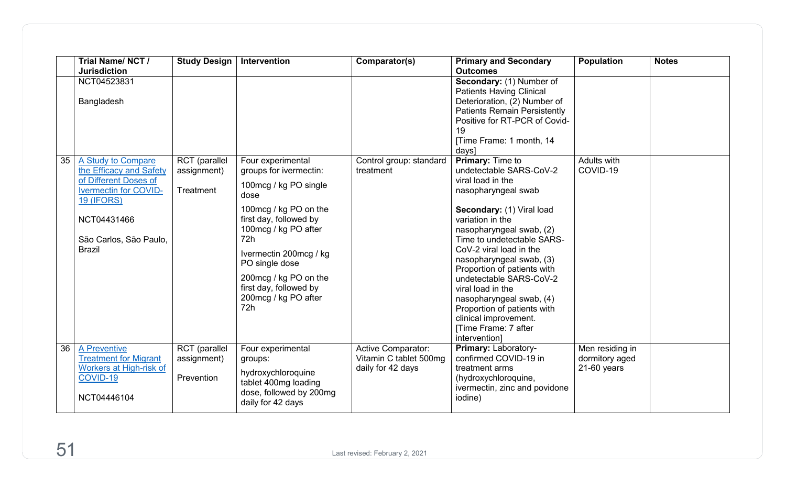|    | Trial Name/NCT/<br><b>Jurisdiction</b>                                                             | <b>Study Design</b>                        | Intervention                                                                                                               | Comparator(s)                                                            | <b>Primary and Secondary</b><br><b>Outcomes</b>                                                                                                                                                                | <b>Population</b>                                  | <b>Notes</b> |
|----|----------------------------------------------------------------------------------------------------|--------------------------------------------|----------------------------------------------------------------------------------------------------------------------------|--------------------------------------------------------------------------|----------------------------------------------------------------------------------------------------------------------------------------------------------------------------------------------------------------|----------------------------------------------------|--------------|
|    | NCT04523831<br>Bangladesh                                                                          |                                            |                                                                                                                            |                                                                          | Secondary: (1) Number of<br><b>Patients Having Clinical</b><br>Deterioration, (2) Number of<br><b>Patients Remain Persistently</b><br>Positive for RT-PCR of Covid-<br>19<br>[Time Frame: 1 month, 14<br>days] |                                                    |              |
| 35 | A Study to Compare<br>the Efficacy and Safety<br>of Different Doses of                             | <b>RCT</b> (parallel<br>assignment)        | Four experimental<br>groups for ivermectin:                                                                                | Control group: standard<br>treatment                                     | <b>Primary: Time to</b><br>undetectable SARS-CoV-2<br>viral load in the                                                                                                                                        | Adults with<br>COVID-19                            |              |
|    | <b>Ivermectin for COVID-</b><br><b>19 (IFORS)</b>                                                  | Treatment                                  | 100mcg / kg PO single<br>dose                                                                                              |                                                                          | nasopharyngeal swab                                                                                                                                                                                            |                                                    |              |
|    | NCT04431466                                                                                        |                                            | 100mcg / kg PO on the<br>first day, followed by<br>100mcg / kg PO after                                                    |                                                                          | Secondary: (1) Viral load<br>variation in the<br>nasopharyngeal swab, (2)                                                                                                                                      |                                                    |              |
|    | São Carlos, São Paulo,<br><b>Brazil</b>                                                            |                                            | 72h<br>Ivermectin 200mcg / kg<br>PO single dose                                                                            |                                                                          | Time to undetectable SARS-<br>CoV-2 viral load in the<br>nasopharyngeal swab, (3)                                                                                                                              |                                                    |              |
|    |                                                                                                    |                                            | 200mcg / kg PO on the<br>first day, followed by<br>200mcg / kg PO after<br>72h                                             |                                                                          | Proportion of patients with<br>undetectable SARS-CoV-2<br>viral load in the<br>nasopharyngeal swab, (4)<br>Proportion of patients with<br>clinical improvement.<br><b>Time Frame: 7 after</b><br>intervention] |                                                    |              |
| 36 | A Preventive<br><b>Treatment for Migrant</b><br>Workers at High-risk of<br>COVID-19<br>NCT04446104 | RCT (parallel<br>assignment)<br>Prevention | Four experimental<br>groups:<br>hydroxychloroquine<br>tablet 400mg loading<br>dose, followed by 200mg<br>daily for 42 days | <b>Active Comparator:</b><br>Vitamin C tablet 500mg<br>daily for 42 days | Primary: Laboratory-<br>confirmed COVID-19 in<br>treatment arms<br>(hydroxychloroquine,<br>ivermectin, zinc and povidone<br>iodine)                                                                            | Men residing in<br>dormitory aged<br>$21-60$ years |              |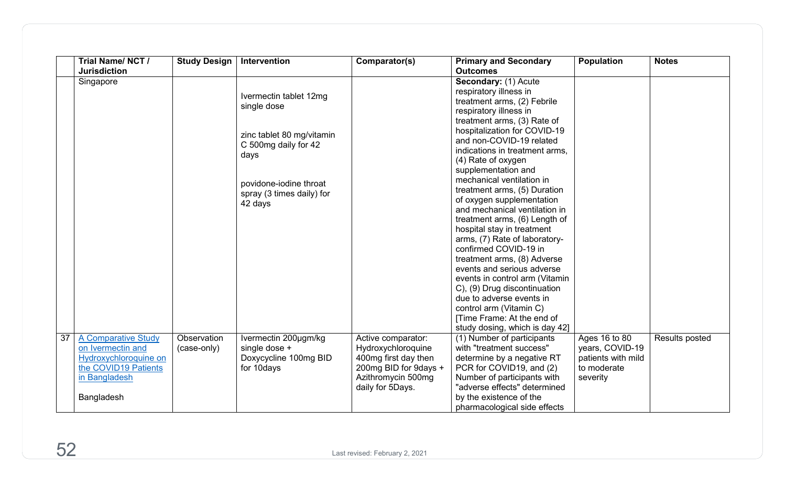|    | Trial Name/NCT/<br><b>Jurisdiction</b>                                                            | <b>Study Design</b> | Intervention                                                                                                                                                         | Comparator(s)                                                                                                 | <b>Primary and Secondary</b><br><b>Outcomes</b>                                                                                                                                                                                                                                                                                                                                                                                                                                                                                                                                                                                                                                                  | <b>Population</b>                                                | <b>Notes</b>   |
|----|---------------------------------------------------------------------------------------------------|---------------------|----------------------------------------------------------------------------------------------------------------------------------------------------------------------|---------------------------------------------------------------------------------------------------------------|--------------------------------------------------------------------------------------------------------------------------------------------------------------------------------------------------------------------------------------------------------------------------------------------------------------------------------------------------------------------------------------------------------------------------------------------------------------------------------------------------------------------------------------------------------------------------------------------------------------------------------------------------------------------------------------------------|------------------------------------------------------------------|----------------|
|    | Singapore                                                                                         |                     | Ivermectin tablet 12mg<br>single dose<br>zinc tablet 80 mg/vitamin<br>C 500mg daily for 42<br>days<br>povidone-iodine throat<br>spray (3 times daily) for<br>42 days |                                                                                                               | Secondary: (1) Acute<br>respiratory illness in<br>treatment arms, (2) Febrile<br>respiratory illness in<br>treatment arms, (3) Rate of<br>hospitalization for COVID-19<br>and non-COVID-19 related<br>indications in treatment arms,<br>(4) Rate of oxygen<br>supplementation and<br>mechanical ventilation in<br>treatment arms, (5) Duration<br>of oxygen supplementation<br>and mechanical ventilation in<br>treatment arms, (6) Length of<br>hospital stay in treatment<br>arms, (7) Rate of laboratory-<br>confirmed COVID-19 in<br>treatment arms, (8) Adverse<br>events and serious adverse<br>events in control arm (Vitamin<br>C), (9) Drug discontinuation<br>due to adverse events in |                                                                  |                |
| 37 | <b>A Comparative Study</b>                                                                        | Observation         | Ivermectin 200µgm/kg                                                                                                                                                 | Active comparator:                                                                                            | control arm (Vitamin C)<br>[Time Frame: At the end of<br>study dosing, which is day 42]<br>(1) Number of participants                                                                                                                                                                                                                                                                                                                                                                                                                                                                                                                                                                            | Ages 16 to 80                                                    | Results posted |
|    | on Ivermectin and<br>Hydroxychloroquine on<br>the COVID19 Patients<br>in Bangladesh<br>Bangladesh | (case-only)         | single dose +<br>Doxycycline 100mg BID<br>for 10days                                                                                                                 | Hydroxychloroquine<br>400mg first day then<br>200mg BID for 9days +<br>Azithromycin 500mg<br>daily for 5Days. | with "treatment success"<br>determine by a negative RT<br>PCR for COVID19, and (2)<br>Number of participants with<br>"adverse effects" determined<br>by the existence of the<br>pharmacological side effects                                                                                                                                                                                                                                                                                                                                                                                                                                                                                     | years, COVID-19<br>patients with mild<br>to moderate<br>severity |                |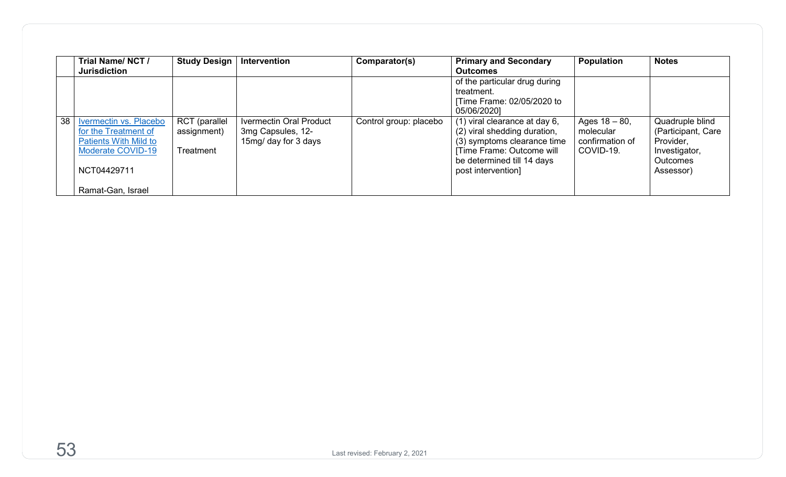|    | Trial Name/NCT/<br><b>Jurisdiction</b>                                                                                    | <b>Study Design</b>                       | Intervention                                                         | Comparator(s)          | <b>Primary and Secondary</b><br><b>Outcomes</b>                                                                                                                                | Population                                                    | <b>Notes</b>                                                                                        |
|----|---------------------------------------------------------------------------------------------------------------------------|-------------------------------------------|----------------------------------------------------------------------|------------------------|--------------------------------------------------------------------------------------------------------------------------------------------------------------------------------|---------------------------------------------------------------|-----------------------------------------------------------------------------------------------------|
|    |                                                                                                                           |                                           |                                                                      |                        | of the particular drug during<br>treatment.<br>Time Frame: 02/05/2020 to<br>05/06/20201                                                                                        |                                                               |                                                                                                     |
| 38 | Ivermectin vs. Placebo<br>for the Treatment of<br><b>Patients With Mild to</b><br><b>Moderate COVID-19</b><br>NCT04429711 | RCT (parallel<br>assignment)<br>Treatment | Ivermectin Oral Product<br>3mg Capsules, 12-<br>15mg/ day for 3 days | Control group: placebo | $(1)$ viral clearance at day 6,<br>(2) viral shedding duration,<br>(3) symptoms clearance time<br>Time Frame: Outcome will<br>be determined till 14 days<br>post intervention] | Ages $18 - 80$ ,<br>molecular<br>confirmation of<br>COVID-19. | Quadruple blind<br>(Participant, Care<br>Provider,<br>Investigator,<br><b>Outcomes</b><br>Assessor) |
|    | Ramat-Gan, Israel                                                                                                         |                                           |                                                                      |                        |                                                                                                                                                                                |                                                               |                                                                                                     |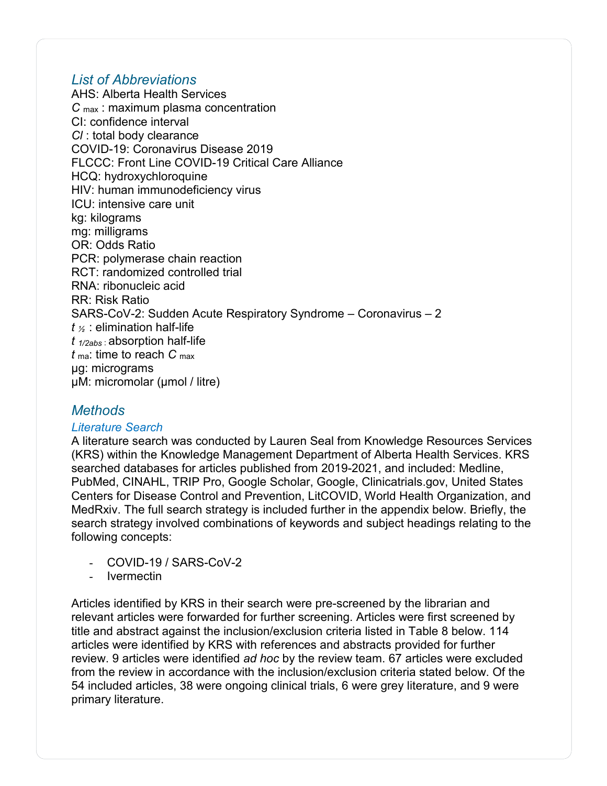## <span id="page-57-0"></span>*List of Abbreviations*

AHS: Alberta Health Services *C* max : maximum plasma concentration CI: confidence interval *Cl* : total body clearance COVID-19: Coronavirus Disease 2019 FLCCC: Front Line COVID-19 Critical Care Alliance HCQ: hydroxychloroquine HIV: human immunodeficiency virus ICU: intensive care unit kg: kilograms mg: milligrams OR: Odds Ratio PCR: polymerase chain reaction RCT: randomized controlled trial RNA: ribonucleic acid RR: Risk Ratio SARS-CoV-2: Sudden Acute Respiratory Syndrome – Coronavirus – 2 *t <sup>½</sup>*: elimination half-life *t 1/2abs* : absorption half-life *t* ma: time to reach *C* max μg: micrograms μM: micromolar (μmol / litre)

## <span id="page-57-1"></span>*Methods*

#### <span id="page-57-2"></span>*Literature Search*

A literature search was conducted by Lauren Seal from Knowledge Resources Services (KRS) within the Knowledge Management Department of Alberta Health Services. KRS searched databases for articles published from 2019-2021, and included: Medline, PubMed, CINAHL, TRIP Pro, Google Scholar, Google, Clinicatrials.gov, United States Centers for Disease Control and Prevention, LitCOVID, World Health Organization, and MedRxiv. The full search strategy is included further in the appendix below. Briefly, the search strategy involved combinations of keywords and subject headings relating to the following concepts:

- COVID-19 / SARS-CoV-2
- **Ivermectin**

Articles identified by KRS in their search were pre-screened by the librarian and relevant articles were forwarded for further screening. Articles were first screened by title and abstract against the inclusion/exclusion criteria listed in Table 8 below. 114 articles were identified by KRS with references and abstracts provided for further review. 9 articles were identified *ad hoc* by the review team. 67 articles were excluded from the review in accordance with the inclusion/exclusion criteria stated below. Of the 54 included articles, 38 were ongoing clinical trials, 6 were grey literature, and 9 were primary literature.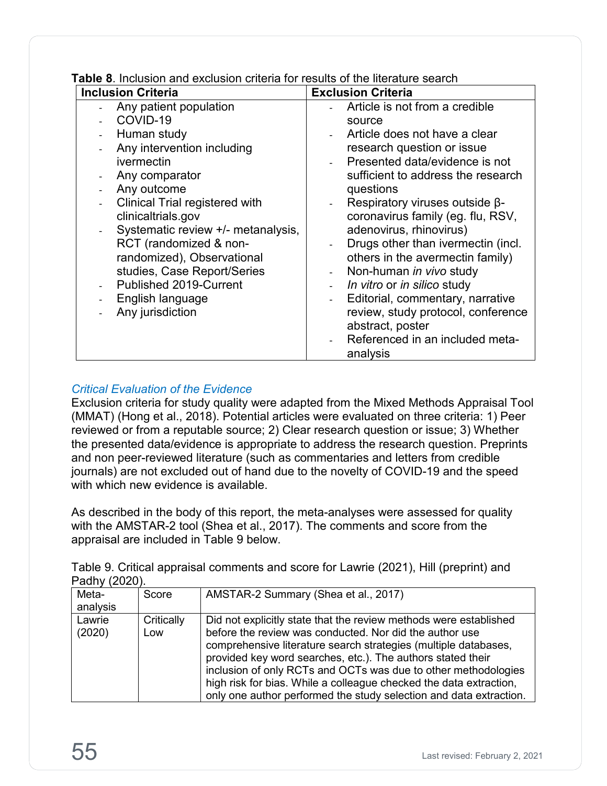| <b>Table 8.</b> Inclusion and exclusion criteria for results of the literature search |  |
|---------------------------------------------------------------------------------------|--|
|---------------------------------------------------------------------------------------|--|

| <b>Inclusion Criteria</b>             | <b>Exclusion Criteria</b>                                    |
|---------------------------------------|--------------------------------------------------------------|
| Any patient population                | Article is not from a credible                               |
| COVID-19                              | source                                                       |
| Human study                           | Article does not have a clear                                |
| Any intervention including            | research question or issue                                   |
| ivermectin                            | Presented data/evidence is not                               |
| Any comparator                        | sufficient to address the research                           |
| Any outcome                           | questions                                                    |
| <b>Clinical Trial registered with</b> | Respiratory viruses outside $\beta$ -<br>$\blacksquare$      |
| clinicaltrials.gov                    | coronavirus family (eg. flu, RSV,                            |
| Systematic review +/- metanalysis,    | adenovirus, rhinovirus)                                      |
| RCT (randomized & non-                | Drugs other than ivermectin (incl.<br>$\overline{a}$         |
| randomized), Observational            | others in the avermectin family)                             |
| studies, Case Report/Series           | Non-human in vivo study<br>$\frac{1}{2}$                     |
| Published 2019-Current                | In vitro or in silico study<br>$\frac{1}{2}$                 |
| English language                      | Editorial, commentary, narrative<br>$\overline{\phantom{0}}$ |
| Any jurisdiction                      | review, study protocol, conference                           |
|                                       | abstract, poster                                             |
|                                       | Referenced in an included meta-                              |
|                                       | analysis                                                     |

### <span id="page-58-0"></span>*Critical Evaluation of the Evidence*

Exclusion criteria for study quality were adapted from the Mixed Methods Appraisal Tool (MMAT) (Hong et al., 2018). Potential articles were evaluated on three criteria: 1) Peer reviewed or from a reputable source; 2) Clear research question or issue; 3) Whether the presented data/evidence is appropriate to address the research question. Preprints and non peer-reviewed literature (such as commentaries and letters from credible journals) are not excluded out of hand due to the novelty of COVID-19 and the speed with which new evidence is available.

As described in the body of this report, the meta-analyses were assessed for quality with the AMSTAR-2 tool (Shea et al., 2017). The comments and score from the appraisal are included in Table 9 below.

Table 9. Critical appraisal comments and score for Lawrie (2021), Hill (preprint) and Padhy (2020).

|          | $\overline{1}$ autry (2020). |                                                                    |  |  |  |
|----------|------------------------------|--------------------------------------------------------------------|--|--|--|
| Meta-    | Score                        | AMSTAR-2 Summary (Shea et al., 2017)                               |  |  |  |
| analysis |                              |                                                                    |  |  |  |
| Lawrie   | Critically                   | Did not explicitly state that the review methods were established  |  |  |  |
| (2020)   | Low                          | before the review was conducted. Nor did the author use            |  |  |  |
|          |                              | comprehensive literature search strategies (multiple databases,    |  |  |  |
|          |                              | provided key word searches, etc.). The authors stated their        |  |  |  |
|          |                              | inclusion of only RCTs and OCTs was due to other methodologies     |  |  |  |
|          |                              | high risk for bias. While a colleague checked the data extraction, |  |  |  |
|          |                              | only one author performed the study selection and data extraction. |  |  |  |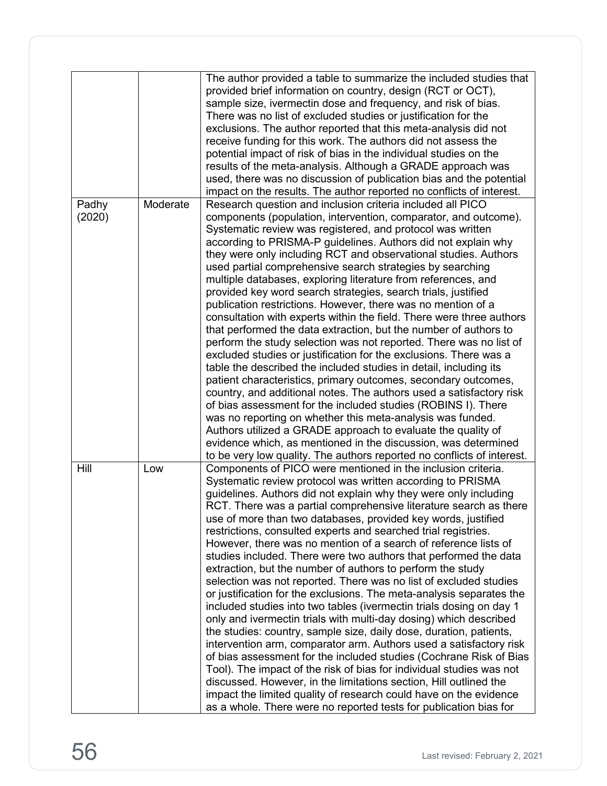|                 |          | The author provided a table to summarize the included studies that<br>provided brief information on country, design (RCT or OCT),<br>sample size, ivermectin dose and frequency, and risk of bias.<br>There was no list of excluded studies or justification for the<br>exclusions. The author reported that this meta-analysis did not<br>receive funding for this work. The authors did not assess the<br>potential impact of risk of bias in the individual studies on the<br>results of the meta-analysis. Although a GRADE approach was<br>used, there was no discussion of publication bias and the potential<br>impact on the results. The author reported no conflicts of interest.                                                                                                                                                                                                                                                                                                                                                                                                                                                                                                                                                                                                                                                                                                                                                    |
|-----------------|----------|------------------------------------------------------------------------------------------------------------------------------------------------------------------------------------------------------------------------------------------------------------------------------------------------------------------------------------------------------------------------------------------------------------------------------------------------------------------------------------------------------------------------------------------------------------------------------------------------------------------------------------------------------------------------------------------------------------------------------------------------------------------------------------------------------------------------------------------------------------------------------------------------------------------------------------------------------------------------------------------------------------------------------------------------------------------------------------------------------------------------------------------------------------------------------------------------------------------------------------------------------------------------------------------------------------------------------------------------------------------------------------------------------------------------------------------------|
| Padhy<br>(2020) | Moderate | Research question and inclusion criteria included all PICO<br>components (population, intervention, comparator, and outcome).<br>Systematic review was registered, and protocol was written<br>according to PRISMA-P guidelines. Authors did not explain why<br>they were only including RCT and observational studies. Authors<br>used partial comprehensive search strategies by searching<br>multiple databases, exploring literature from references, and<br>provided key word search strategies, search trials, justified<br>publication restrictions. However, there was no mention of a<br>consultation with experts within the field. There were three authors<br>that performed the data extraction, but the number of authors to<br>perform the study selection was not reported. There was no list of<br>excluded studies or justification for the exclusions. There was a<br>table the described the included studies in detail, including its<br>patient characteristics, primary outcomes, secondary outcomes,<br>country, and additional notes. The authors used a satisfactory risk<br>of bias assessment for the included studies (ROBINS I). There<br>was no reporting on whether this meta-analysis was funded.<br>Authors utilized a GRADE approach to evaluate the quality of<br>evidence which, as mentioned in the discussion, was determined<br>to be very low quality. The authors reported no conflicts of interest. |
| Hill            | Low      | Components of PICO were mentioned in the inclusion criteria.<br>Systematic review protocol was written according to PRISMA<br>guidelines. Authors did not explain why they were only including<br>RCT. There was a partial comprehensive literature search as there<br>use of more than two databases, provided key words, justified<br>restrictions, consulted experts and searched trial registries.<br>However, there was no mention of a search of reference lists of<br>studies included. There were two authors that performed the data<br>extraction, but the number of authors to perform the study<br>selection was not reported. There was no list of excluded studies<br>or justification for the exclusions. The meta-analysis separates the<br>included studies into two tables (ivermectin trials dosing on day 1<br>only and ivermectin trials with multi-day dosing) which described<br>the studies: country, sample size, daily dose, duration, patients,<br>intervention arm, comparator arm. Authors used a satisfactory risk<br>of bias assessment for the included studies (Cochrane Risk of Bias<br>Tool). The impact of the risk of bias for individual studies was not<br>discussed. However, in the limitations section, Hill outlined the<br>impact the limited quality of research could have on the evidence<br>as a whole. There were no reported tests for publication bias for                                  |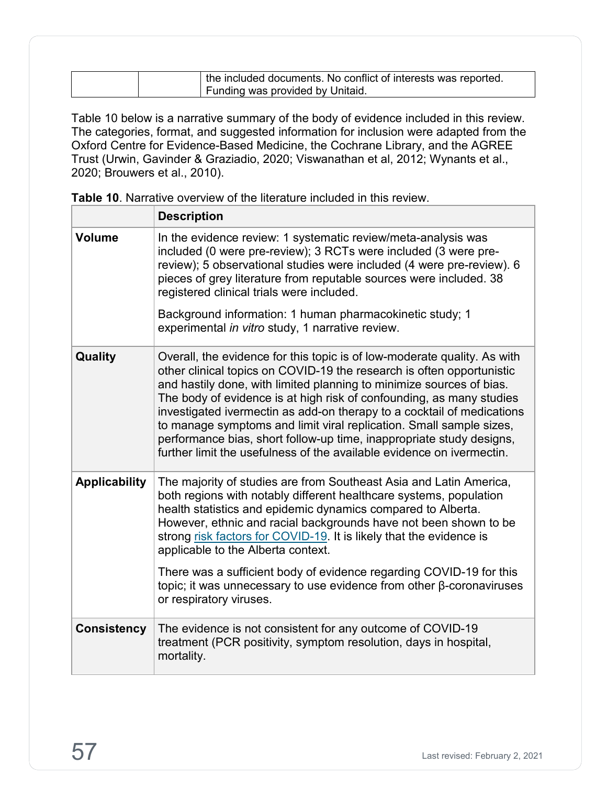|  | the included documents. No conflict of interests was reported. |
|--|----------------------------------------------------------------|
|  | Funding was provided by Unitaid.                               |

Table 10 below is a narrative summary of the body of evidence included in this review. The categories, format, and suggested information for inclusion were adapted from the Oxford Centre for Evidence-Based Medicine, the Cochrane Library, and the AGREE Trust (Urwin, Gavinder & Graziadio, 2020; Viswanathan et al, 2012; Wynants et al., 2020; Brouwers et al., 2010).

|                      | <b>Description</b>                                                                                                                                                                                                                                                                                                                                                                                                                                                                                                                                                                                  |
|----------------------|-----------------------------------------------------------------------------------------------------------------------------------------------------------------------------------------------------------------------------------------------------------------------------------------------------------------------------------------------------------------------------------------------------------------------------------------------------------------------------------------------------------------------------------------------------------------------------------------------------|
| <b>Volume</b>        | In the evidence review: 1 systematic review/meta-analysis was<br>included (0 were pre-review); 3 RCTs were included (3 were pre-<br>review); 5 observational studies were included (4 were pre-review). 6<br>pieces of grey literature from reputable sources were included. 38<br>registered clinical trials were included.                                                                                                                                                                                                                                                                        |
|                      | Background information: 1 human pharmacokinetic study; 1<br>experimental in vitro study, 1 narrative review.                                                                                                                                                                                                                                                                                                                                                                                                                                                                                        |
| Quality              | Overall, the evidence for this topic is of low-moderate quality. As with<br>other clinical topics on COVID-19 the research is often opportunistic<br>and hastily done, with limited planning to minimize sources of bias.<br>The body of evidence is at high risk of confounding, as many studies<br>investigated ivermectin as add-on therapy to a cocktail of medications<br>to manage symptoms and limit viral replication. Small sample sizes,<br>performance bias, short follow-up time, inappropriate study designs,<br>further limit the usefulness of the available evidence on ivermectin. |
| <b>Applicability</b> | The majority of studies are from Southeast Asia and Latin America,<br>both regions with notably different healthcare systems, population<br>health statistics and epidemic dynamics compared to Alberta.<br>However, ethnic and racial backgrounds have not been shown to be<br>strong risk factors for COVID-19. It is likely that the evidence is<br>applicable to the Alberta context.<br>There was a sufficient body of evidence regarding COVID-19 for this<br>topic; it was unnecessary to use evidence from other $\beta$ -coronaviruses<br>or respiratory viruses.                          |
| <b>Consistency</b>   | The evidence is not consistent for any outcome of COVID-19<br>treatment (PCR positivity, symptom resolution, days in hospital,<br>mortality.                                                                                                                                                                                                                                                                                                                                                                                                                                                        |

**Table 10**. Narrative overview of the literature included in this review.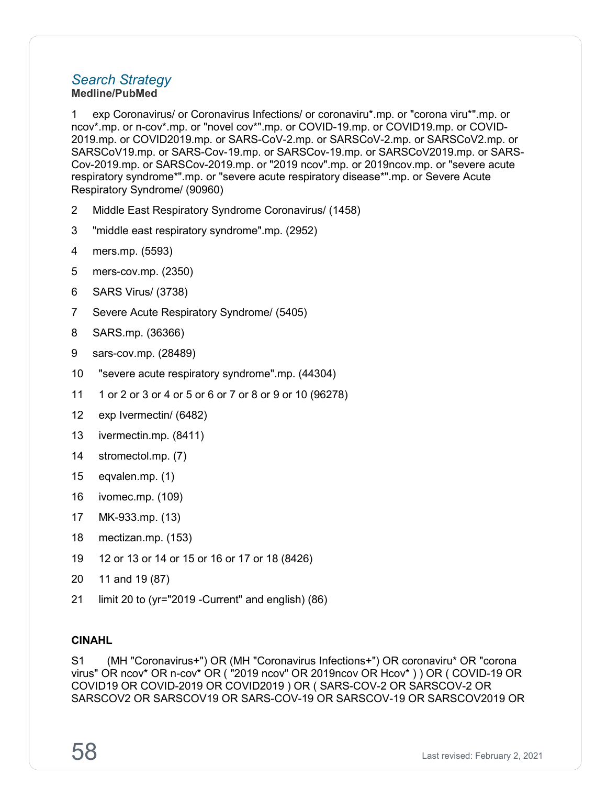#### <span id="page-61-0"></span>*Search Strategy* **Medline/PubMed**

1 exp Coronavirus/ or Coronavirus Infections/ or coronaviru\*.mp. or "corona viru\*".mp. or ncov\*.mp. or n-cov\*.mp. or "novel cov\*".mp. or COVID-19.mp. or COVID19.mp. or COVID-2019.mp. or COVID2019.mp. or SARS-CoV-2.mp. or SARSCoV-2.mp. or SARSCoV2.mp. or SARSCoV19.mp. or SARS-Cov-19.mp. or SARSCov-19.mp. or SARSCoV2019.mp. or SARS-Cov-2019.mp. or SARSCov-2019.mp. or "2019 ncov".mp. or 2019ncov.mp. or "severe acute respiratory syndrome\*".mp. or "severe acute respiratory disease\*".mp. or Severe Acute Respiratory Syndrome/ (90960)

- 2 Middle East Respiratory Syndrome Coronavirus/ (1458)
- 3 "middle east respiratory syndrome".mp. (2952)
- 4 mers.mp. (5593)
- 5 mers-cov.mp. (2350)
- 6 SARS Virus/ (3738)
- 7 Severe Acute Respiratory Syndrome/ (5405)
- 8 SARS.mp. (36366)
- 9 sars-cov.mp. (28489)
- 10 "severe acute respiratory syndrome".mp. (44304)
- 11 1 or 2 or 3 or 4 or 5 or 6 or 7 or 8 or 9 or 10 (96278)
- 12 exp Ivermectin/ (6482)
- 13 ivermectin.mp. (8411)
- 14 stromectol.mp. (7)
- 15 eqvalen.mp. (1)
- 16 ivomec.mp. (109)
- 17 MK-933.mp. (13)
- 18 mectizan.mp. (153)
- 19 12 or 13 or 14 or 15 or 16 or 17 or 18 (8426)
- 20 11 and 19 (87)
- 21 limit 20 to (yr="2019 -Current" and english) (86)

#### **CINAHL**

S1 (MH "Coronavirus+") OR (MH "Coronavirus Infections+") OR coronaviru\* OR "corona virus" OR ncov\* OR n-cov\* OR ( "2019 ncov" OR 2019ncov OR Hcov\* ) ) OR ( COVID-19 OR COVID19 OR COVID-2019 OR COVID2019 ) OR ( SARS-COV-2 OR SARSCOV-2 OR SARSCOV2 OR SARSCOV19 OR SARS-COV-19 OR SARSCOV-19 OR SARSCOV2019 OR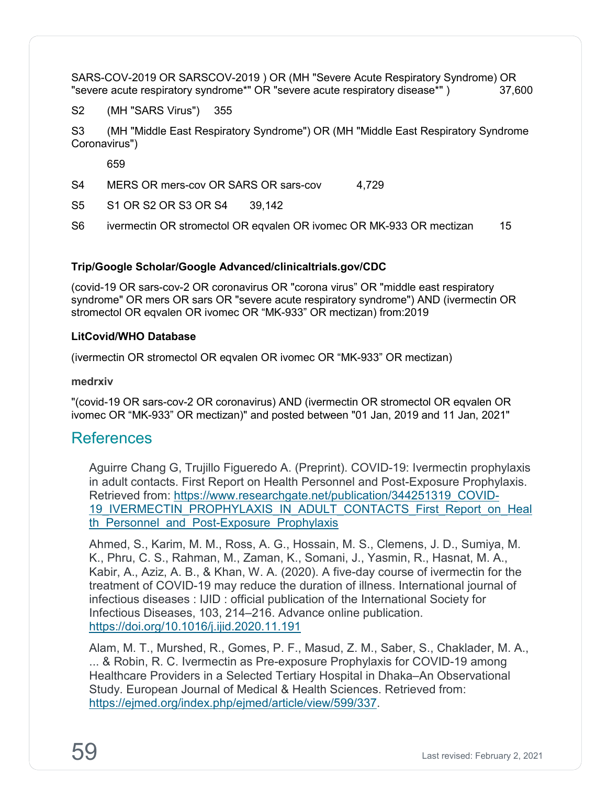SARS-COV-2019 OR SARSCOV-2019 ) OR (MH "Severe Acute Respiratory Syndrome) OR<br>"severe acute respiratory syndrome\*" OR "severe acute respiratory disease\*" ) 37.600 "severe acute respiratory syndrome\*" OR "severe acute respiratory disease\*")

S2 (MH "SARS Virus") 355

S3 (MH "Middle East Respiratory Syndrome") OR (MH "Middle East Respiratory Syndrome Coronavirus")

659

S4 MERS OR mers-cov OR SARS OR sars-cov 4.729

S5 S1 OR S2 OR S3 OR S4 39,142

S6 ivermectin OR stromectol OR eqvalen OR ivomec OR MK-933 OR mectizan 15

#### **Trip/Google Scholar/Google Advanced/clinicaltrials.gov/CDC**

(covid-19 OR sars-cov-2 OR coronavirus OR "corona virus" OR "middle east respiratory syndrome" OR mers OR sars OR "severe acute respiratory syndrome") AND (ivermectin OR stromectol OR eqvalen OR ivomec OR "MK-933" OR mectizan) from:2019

#### **LitCovid/WHO Database**

(ivermectin OR stromectol OR eqvalen OR ivomec OR "MK-933" OR mectizan)

#### **medrxiv**

"(covid-19 OR sars-cov-2 OR coronavirus) AND (ivermectin OR stromectol OR eqvalen OR ivomec OR "MK-933" OR mectizan)" and posted between "01 Jan, 2019 and 11 Jan, 2021"

## <span id="page-62-0"></span>References

Aguirre Chang G, Trujillo Figueredo A. (Preprint). COVID-19: Ivermectin prophylaxis in adult contacts. First Report on Health Personnel and Post-Exposure Prophylaxis. Retrieved from: [https://www.researchgate.net/publication/344251319\\_COVID-](https://www.researchgate.net/publication/344251319_COVID-19_IVERMECTIN_PROPHYLAXIS_IN_ADULT_CONTACTS_First_Report_on_Health_Personnel_and_Post-Exposure_Prophylaxis)19 IVERMECTIN\_PROPHYLAXIS\_IN\_ADULT\_CONTACTS\_First\_Report\_on\_Heal th Personnel and Post-Exposure Prophylaxis

Ahmed, S., Karim, M. M., Ross, A. G., Hossain, M. S., Clemens, J. D., Sumiya, M. K., Phru, C. S., Rahman, M., Zaman, K., Somani, J., Yasmin, R., Hasnat, M. A., Kabir, A., Aziz, A. B., & Khan, W. A. (2020). A five-day course of ivermectin for the treatment of COVID-19 may reduce the duration of illness. International journal of infectious diseases : IJID : official publication of the International Society for Infectious Diseases, 103, 214–216. Advance online publication. <https://doi.org/10.1016/j.ijid.2020.11.191>

Alam, M. T., Murshed, R., Gomes, P. F., Masud, Z. M., Saber, S., Chaklader, M. A., ... & Robin, R. C. Ivermectin as Pre-exposure Prophylaxis for COVID-19 among Healthcare Providers in a Selected Tertiary Hospital in Dhaka–An Observational Study. European Journal of Medical & Health Sciences. Retrieved from: [https://ejmed.org/index.php/ejmed/article/view/599/337.](https://ejmed.org/index.php/ejmed/article/view/599/337)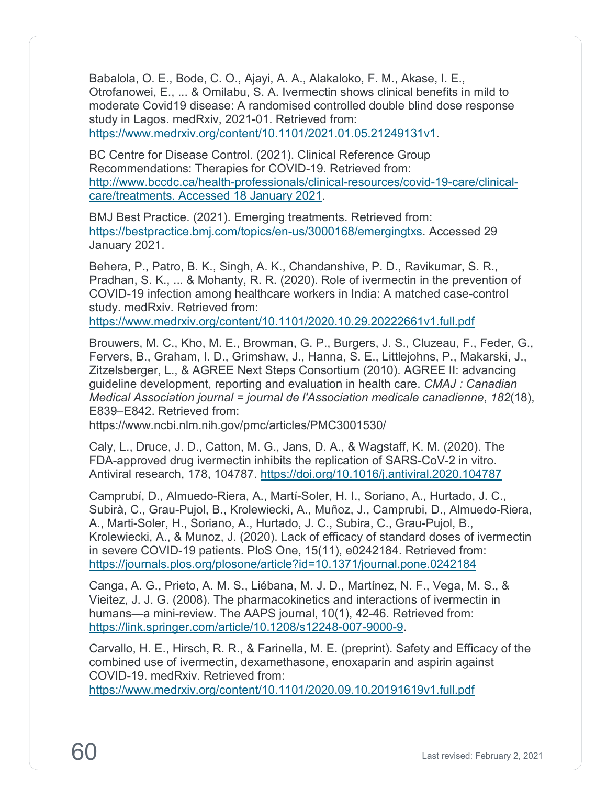Babalola, O. E., Bode, C. O., Ajayi, A. A., Alakaloko, F. M., Akase, I. E., Otrofanowei, E., ... & Omilabu, S. A. Ivermectin shows clinical benefits in mild to moderate Covid19 disease: A randomised controlled double blind dose response study in Lagos. medRxiv, 2021-01. Retrieved from: [https://www.medrxiv.org/content/10.1101/2021.01.05.21249131v1.](https://www.medrxiv.org/content/10.1101/2021.01.05.21249131v1)

BC Centre for Disease Control. (2021). Clinical Reference Group Recommendations: Therapies for COVID-19. Retrieved from: [http://www.bccdc.ca/health-professionals/clinical-resources/covid-19-care/clinical](http://www.bccdc.ca/health-professionals/clinical-resources/covid-19-care/clinical-care/treatments.%20Accessed%2018%20January%202021)[care/treatments. Accessed 18 January 2021.](http://www.bccdc.ca/health-professionals/clinical-resources/covid-19-care/clinical-care/treatments.%20Accessed%2018%20January%202021)

BMJ Best Practice. (2021). Emerging treatments. Retrieved from: [https://bestpractice.bmj.com/topics/en-us/3000168/emergingtxs.](https://bestpractice.bmj.com/topics/en-us/3000168/emergingtxs) Accessed 29 January 2021.

Behera, P., Patro, B. K., Singh, A. K., Chandanshive, P. D., Ravikumar, S. R., Pradhan, S. K., ... & Mohanty, R. R. (2020). Role of ivermectin in the prevention of COVID-19 infection among healthcare workers in India: A matched case-control study. medRxiv. Retrieved from:

<https://www.medrxiv.org/content/10.1101/2020.10.29.20222661v1.full.pdf>

Brouwers, M. C., Kho, M. E., Browman, G. P., Burgers, J. S., Cluzeau, F., Feder, G., Fervers, B., Graham, I. D., Grimshaw, J., Hanna, S. E., Littlejohns, P., Makarski, J., Zitzelsberger, L., & AGREE Next Steps Consortium (2010). AGREE II: advancing guideline development, reporting and evaluation in health care. *CMAJ : Canadian Medical Association journal = journal de l'Association medicale canadienne*, *182*(18), E839–E842. Retrieved from:

<https://www.ncbi.nlm.nih.gov/pmc/articles/PMC3001530/>

Caly, L., Druce, J. D., Catton, M. G., Jans, D. A., & Wagstaff, K. M. (2020). The FDA-approved drug ivermectin inhibits the replication of SARS-CoV-2 in vitro. Antiviral research, 178, 104787.<https://doi.org/10.1016/j.antiviral.2020.104787>

Camprubí, D., Almuedo-Riera, A., Martí-Soler, H. I., Soriano, A., Hurtado, J. C., Subirà, C., Grau-Pujol, B., Krolewiecki, A., Muñoz, J., Camprubi, D., Almuedo-Riera, A., Marti-Soler, H., Soriano, A., Hurtado, J. C., Subira, C., Grau-Pujol, B., Krolewiecki, A., & Munoz, J. (2020). Lack of efficacy of standard doses of ivermectin in severe COVID-19 patients. PloS One, 15(11), e0242184. Retrieved from: <https://journals.plos.org/plosone/article?id=10.1371/journal.pone.0242184>

Canga, A. G., Prieto, A. M. S., Liébana, M. J. D., Martínez, N. F., Vega, M. S., & Vieitez, J. J. G. (2008). The pharmacokinetics and interactions of ivermectin in humans—a mini-review. The AAPS journal, 10(1), 42-46. Retrieved from: [https://link.springer.com/article/10.1208/s12248-007-9000-9.](https://link.springer.com/article/10.1208/s12248-007-9000-9)

Carvallo, H. E., Hirsch, R. R., & Farinella, M. E. (preprint). Safety and Efficacy of the combined use of ivermectin, dexamethasone, enoxaparin and aspirin against COVID-19. medRxiv. Retrieved from:

<https://www.medrxiv.org/content/10.1101/2020.09.10.20191619v1.full.pdf>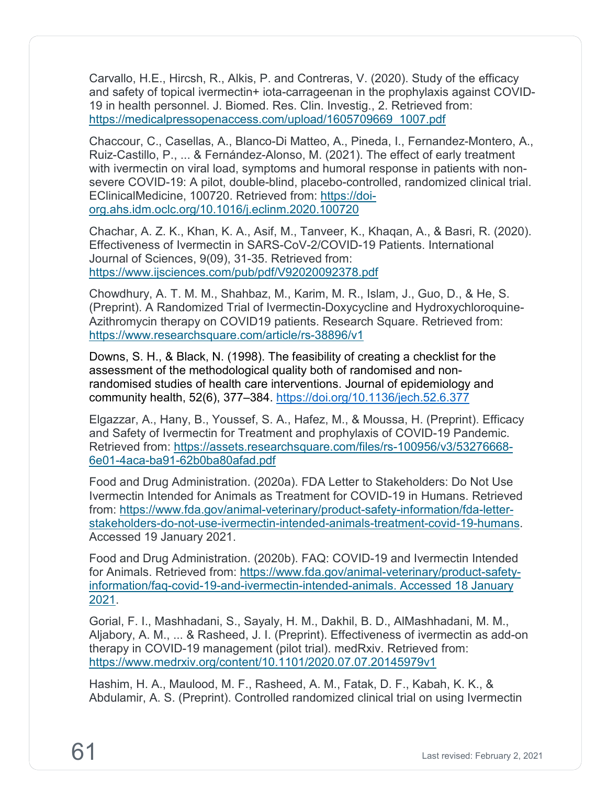Carvallo, H.E., Hircsh, R., Alkis, P. and Contreras, V. (2020). Study of the efficacy and safety of topical ivermectin+ iota-carrageenan in the prophylaxis against COVID-19 in health personnel. J. Biomed. Res. Clin. Investig., 2. Retrieved from: [https://medicalpressopenaccess.com/upload/1605709669\\_1007.pdf](https://medicalpressopenaccess.com/upload/1605709669_1007.pdf)

Chaccour, C., Casellas, A., Blanco-Di Matteo, A., Pineda, I., Fernandez-Montero, A., Ruiz-Castillo, P., ... & Fernández-Alonso, M. (2021). The effect of early treatment with ivermectin on viral load, symptoms and humoral response in patients with nonsevere COVID-19: A pilot, double-blind, placebo-controlled, randomized clinical trial. EClinicalMedicine, 100720. Retrieved from: [https://doi](https://doi-org.ahs.idm.oclc.org/10.1016/j.eclinm.2020.100720)[org.ahs.idm.oclc.org/10.1016/j.eclinm.2020.100720](https://doi-org.ahs.idm.oclc.org/10.1016/j.eclinm.2020.100720)

Chachar, A. Z. K., Khan, K. A., Asif, M., Tanveer, K., Khaqan, A., & Basri, R. (2020). Effectiveness of Ivermectin in SARS-CoV-2/COVID-19 Patients. International Journal of Sciences, 9(09), 31-35. Retrieved from: <https://www.ijsciences.com/pub/pdf/V92020092378.pdf>

Chowdhury, A. T. M. M., Shahbaz, M., Karim, M. R., Islam, J., Guo, D., & He, S. (Preprint). A Randomized Trial of Ivermectin-Doxycycline and Hydroxychloroquine-Azithromycin therapy on COVID19 patients. Research Square. Retrieved from: <https://www.researchsquare.com/article/rs-38896/v1>

Downs, S. H., & Black, N. (1998). The feasibility of creating a checklist for the assessment of the methodological quality both of randomised and nonrandomised studies of health care interventions. Journal of epidemiology and community health, 52(6), 377–384. <https://doi.org/10.1136/jech.52.6.377>

Elgazzar, A., Hany, B., Youssef, S. A., Hafez, M., & Moussa, H. (Preprint). Efficacy and Safety of Ivermectin for Treatment and prophylaxis of COVID-19 Pandemic. Retrieved from: [https://assets.researchsquare.com/files/rs-100956/v3/53276668-](https://assets.researchsquare.com/files/rs-100956/v3/53276668-6e01-4aca-ba91-62b0ba80afad.pdf) [6e01-4aca-ba91-62b0ba80afad.pdf](https://assets.researchsquare.com/files/rs-100956/v3/53276668-6e01-4aca-ba91-62b0ba80afad.pdf)

Food and Drug Administration. (2020a). FDA Letter to Stakeholders: Do Not Use Ivermectin Intended for Animals as Treatment for COVID-19 in Humans. Retrieved from: [https://www.fda.gov/animal-veterinary/product-safety-information/fda-letter](https://www.fda.gov/animal-veterinary/product-safety-information/fda-letter-stakeholders-do-not-use-ivermectin-intended-animals-treatment-covid-19-humans)[stakeholders-do-not-use-ivermectin-intended-animals-treatment-covid-19-humans.](https://www.fda.gov/animal-veterinary/product-safety-information/fda-letter-stakeholders-do-not-use-ivermectin-intended-animals-treatment-covid-19-humans) Accessed 19 January 2021.

Food and Drug Administration. (2020b). FAQ: COVID-19 and Ivermectin Intended for Animals. Retrieved from: [https://www.fda.gov/animal-veterinary/product-safety](https://www.fda.gov/animal-veterinary/product-safety-information/faq-covid-19-and-ivermectin-intended-animals.%20Accessed%2018%20January%202021)[information/faq-covid-19-and-ivermectin-intended-animals. Accessed 18 January](https://www.fda.gov/animal-veterinary/product-safety-information/faq-covid-19-and-ivermectin-intended-animals.%20Accessed%2018%20January%202021)  [2021.](https://www.fda.gov/animal-veterinary/product-safety-information/faq-covid-19-and-ivermectin-intended-animals.%20Accessed%2018%20January%202021)

Gorial, F. I., Mashhadani, S., Sayaly, H. M., Dakhil, B. D., AlMashhadani, M. M., Aljabory, A. M., ... & Rasheed, J. I. (Preprint). Effectiveness of ivermectin as add-on therapy in COVID-19 management (pilot trial). medRxiv. Retrieved from: <https://www.medrxiv.org/content/10.1101/2020.07.07.20145979v1>

Hashim, H. A., Maulood, M. F., Rasheed, A. M., Fatak, D. F., Kabah, K. K., & Abdulamir, A. S. (Preprint). Controlled randomized clinical trial on using Ivermectin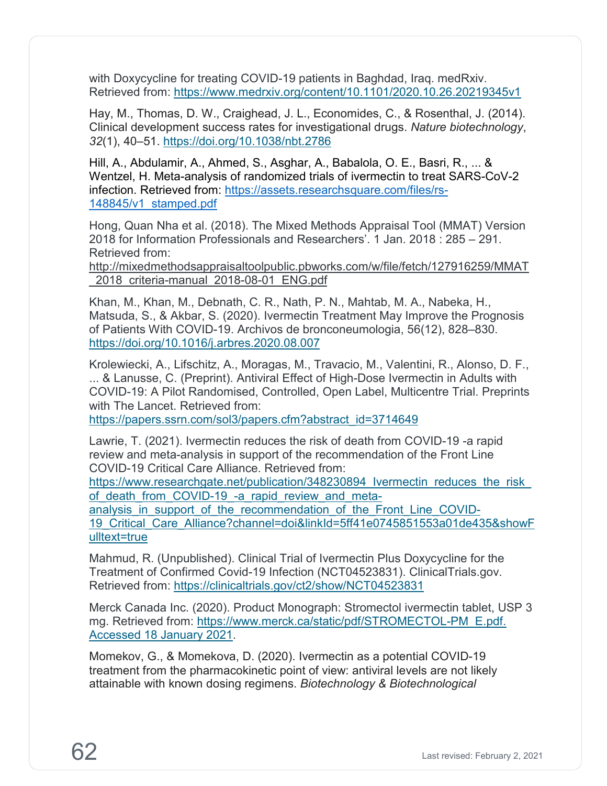with Doxycycline for treating COVID-19 patients in Baghdad, Iraq. medRxiv. Retrieved from:<https://www.medrxiv.org/content/10.1101/2020.10.26.20219345v1>

Hay, M., Thomas, D. W., Craighead, J. L., Economides, C., & Rosenthal, J. (2014). Clinical development success rates for investigational drugs. *Nature biotechnology*, *32*(1), 40–51.<https://doi.org/10.1038/nbt.2786>

Hill, A., Abdulamir, A., Ahmed, S., Asghar, A., Babalola, O. E., Basri, R., ... & Wentzel, H. Meta-analysis of randomized trials of ivermectin to treat SARS-CoV-2 infection. Retrieved from: [https://assets.researchsquare.com/files/rs-](https://assets.researchsquare.com/files/rs-148845/v1_stamped.pdf)[148845/v1\\_stamped.pdf](https://assets.researchsquare.com/files/rs-148845/v1_stamped.pdf)

Hong, Quan Nha et al. (2018). The Mixed Methods Appraisal Tool (MMAT) Version 2018 for Information Professionals and Researchers'. 1 Jan. 2018 : 285 – 291. Retrieved from:

[http://mixedmethodsappraisaltoolpublic.pbworks.com/w/file/fetch/127916259/MMAT](http://mixedmethodsappraisaltoolpublic.pbworks.com/w/file/fetch/127916259/MMAT_2018_criteria-manual_2018-08-01_ENG.pdf) [\\_2018\\_criteria-manual\\_2018-08-01\\_ENG.pdf](http://mixedmethodsappraisaltoolpublic.pbworks.com/w/file/fetch/127916259/MMAT_2018_criteria-manual_2018-08-01_ENG.pdf)

Khan, M., Khan, M., Debnath, C. R., Nath, P. N., Mahtab, M. A., Nabeka, H., Matsuda, S., & Akbar, S. (2020). Ivermectin Treatment May Improve the Prognosis of Patients With COVID-19. Archivos de bronconeumologia, 56(12), 828–830. <https://doi.org/10.1016/j.arbres.2020.08.007>

Krolewiecki, A., Lifschitz, A., Moragas, M., Travacio, M., Valentini, R., Alonso, D. F., ... & Lanusse, C. (Preprint). Antiviral Effect of High-Dose Ivermectin in Adults with COVID-19: A Pilot Randomised, Controlled, Open Label, Multicentre Trial. Preprints with The Lancet. Retrieved from:

[https://papers.ssrn.com/sol3/papers.cfm?abstract\\_id=3714649](https://papers.ssrn.com/sol3/papers.cfm?abstract_id=3714649)

Lawrie, T. (2021). Ivermectin reduces the risk of death from COVID-19 -a rapid review and meta-analysis in support of the recommendation of the Front Line COVID-19 Critical Care Alliance. Retrieved from:

https://www.researchgate.net/publication/348230894 lvermectin\_reduces\_the\_risk\_ of death from COVID-19 -a rapid review and meta-

analysis in support of the recommendation of the Front Line COVID-[19\\_Critical\\_Care\\_Alliance?channel=doi&linkId=5ff41e0745851553a01de435&showF](https://www.researchgate.net/publication/348230894_Ivermectin_reduces_the_risk_of_death_from_COVID-19_-a_rapid_review_and_meta-analysis_in_support_of_the_recommendation_of_the_Front_Line_COVID-19_Critical_Care_Alliance?channel=doi&linkId=5ff41e0745851553a01de435&showFulltext=true) [ulltext=true](https://www.researchgate.net/publication/348230894_Ivermectin_reduces_the_risk_of_death_from_COVID-19_-a_rapid_review_and_meta-analysis_in_support_of_the_recommendation_of_the_Front_Line_COVID-19_Critical_Care_Alliance?channel=doi&linkId=5ff41e0745851553a01de435&showFulltext=true)

Mahmud, R. (Unpublished). Clinical Trial of Ivermectin Plus Doxycycline for the Treatment of Confirmed Covid-19 Infection (NCT04523831). ClinicalTrials.gov. Retrieved from:<https://clinicaltrials.gov/ct2/show/NCT04523831>

Merck Canada Inc. (2020). Product Monograph: Stromectol ivermectin tablet, USP 3 mg. Retrieved from: [https://www.merck.ca/static/pdf/STROMECTOL-PM\\_E.pdf.](https://www.merck.ca/static/pdf/STROMECTOL-PM_E.pdf.%20Accessed%2018%20January%202021)  [Accessed 18 January 2021.](https://www.merck.ca/static/pdf/STROMECTOL-PM_E.pdf.%20Accessed%2018%20January%202021)

Momekov, G., & Momekova, D. (2020). Ivermectin as a potential COVID-19 treatment from the pharmacokinetic point of view: antiviral levels are not likely attainable with known dosing regimens. *Biotechnology & Biotechnological*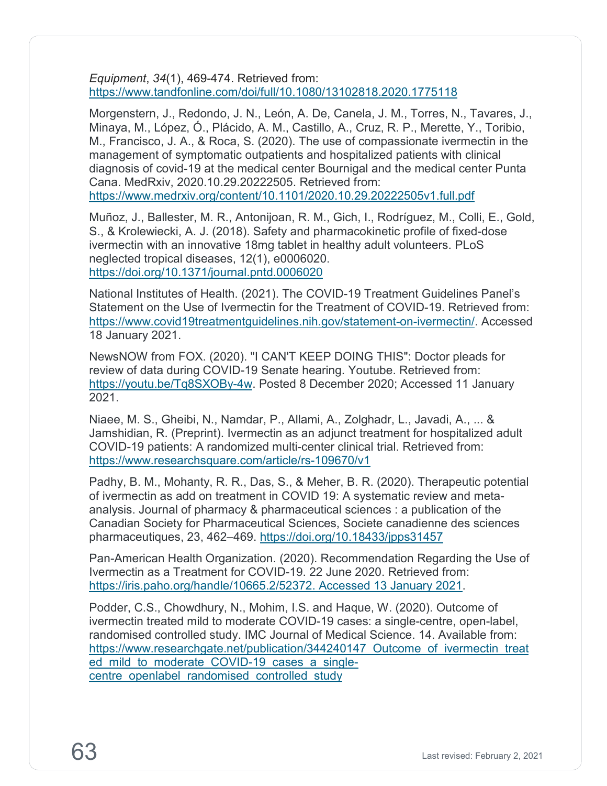*Equipment*, *34*(1), 469-474. Retrieved from: <https://www.tandfonline.com/doi/full/10.1080/13102818.2020.1775118>

Morgenstern, J., Redondo, J. N., León, A. De, Canela, J. M., Torres, N., Tavares, J., Minaya, M., López, Ó., Plácido, A. M., Castillo, A., Cruz, R. P., Merette, Y., Toribio, M., Francisco, J. A., & Roca, S. (2020). The use of compassionate ivermectin in the management of symptomatic outpatients and hospitalized patients with clinical diagnosis of covid-19 at the medical center Bournigal and the medical center Punta Cana. MedRxiv, 2020.10.29.20222505. Retrieved from:

<https://www.medrxiv.org/content/10.1101/2020.10.29.20222505v1.full.pdf>

Muñoz, J., Ballester, M. R., Antonijoan, R. M., Gich, I., Rodríguez, M., Colli, E., Gold, S., & Krolewiecki, A. J. (2018). Safety and pharmacokinetic profile of fixed-dose ivermectin with an innovative 18mg tablet in healthy adult volunteers. PLoS neglected tropical diseases, 12(1), e0006020. <https://doi.org/10.1371/journal.pntd.0006020>

National Institutes of Health. (2021). The COVID-19 Treatment Guidelines Panel's Statement on the Use of Ivermectin for the Treatment of COVID-19. Retrieved from: [https://www.covid19treatmentguidelines.nih.gov/statement-on-ivermectin/.](https://www.covid19treatmentguidelines.nih.gov/statement-on-ivermectin/) Accessed 18 January 2021.

NewsNOW from FOX. (2020). "I CAN'T KEEP DOING THIS": Doctor pleads for review of data during COVID-19 Senate hearing. Youtube. Retrieved from: [https://youtu.be/Tq8SXOBy-4w.](https://youtu.be/Tq8SXOBy-4w) Posted 8 December 2020; Accessed 11 January 2021.

Niaee, M. S., Gheibi, N., Namdar, P., Allami, A., Zolghadr, L., Javadi, A., ... & Jamshidian, R. (Preprint). Ivermectin as an adjunct treatment for hospitalized adult COVID-19 patients: A randomized multi-center clinical trial. Retrieved from: <https://www.researchsquare.com/article/rs-109670/v1>

Padhy, B. M., Mohanty, R. R., Das, S., & Meher, B. R. (2020). Therapeutic potential of ivermectin as add on treatment in COVID 19: A systematic review and metaanalysis. Journal of pharmacy & pharmaceutical sciences : a publication of the Canadian Society for Pharmaceutical Sciences, Societe canadienne des sciences pharmaceutiques, 23, 462–469.<https://doi.org/10.18433/jpps31457>

Pan-American Health Organization. (2020). Recommendation Regarding the Use of Ivermectin as a Treatment for COVID-19. 22 June 2020. Retrieved from: [https://iris.paho.org/handle/10665.2/52372. Accessed 13 January 2021.](https://iris.paho.org/handle/10665.2/52372.%20Accessed%2013%20January%202021)

Podder, C.S., Chowdhury, N., Mohim, I.S. and Haque, W. (2020). Outcome of ivermectin treated mild to moderate COVID-19 cases: a single-centre, open-label, randomised controlled study. IMC Journal of Medical Science. 14. Available from: https://www.researchgate.net/publication/344240147 Outcome of ivermectin treat ed mild to moderate COVID-19 cases a singlecentre openlabel randomised controlled study